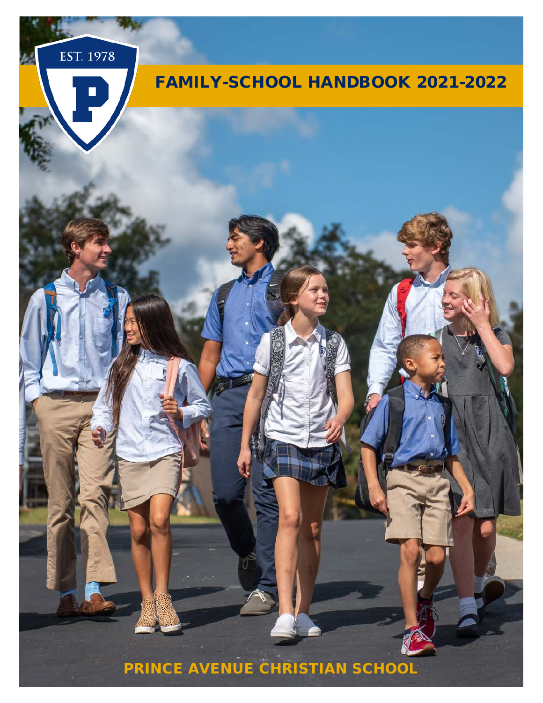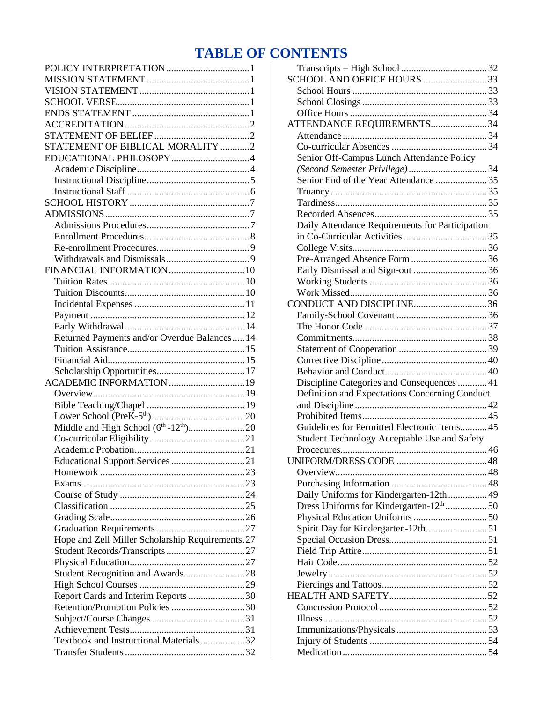# **TABLE OF CONTENTS**

| STATEMENT OF BIBLICAL MORALITY 2                  |  |
|---------------------------------------------------|--|
|                                                   |  |
|                                                   |  |
|                                                   |  |
|                                                   |  |
|                                                   |  |
|                                                   |  |
|                                                   |  |
|                                                   |  |
|                                                   |  |
|                                                   |  |
|                                                   |  |
| FINANCIAL INFORMATION 10                          |  |
|                                                   |  |
|                                                   |  |
|                                                   |  |
|                                                   |  |
|                                                   |  |
| Returned Payments and/or Overdue Balances 14      |  |
|                                                   |  |
|                                                   |  |
|                                                   |  |
| ACADEMIC INFORMATION 19                           |  |
|                                                   |  |
|                                                   |  |
|                                                   |  |
|                                                   |  |
|                                                   |  |
|                                                   |  |
| Educational Support Services 21                   |  |
|                                                   |  |
|                                                   |  |
|                                                   |  |
|                                                   |  |
|                                                   |  |
|                                                   |  |
| Hope and Zell Miller Scholarship Requirements. 27 |  |
|                                                   |  |
|                                                   |  |
| Student Recognition and Awards28                  |  |
|                                                   |  |
| Report Cards and Interim Reports 30               |  |
| Retention/Promotion Policies 30                   |  |
|                                                   |  |
|                                                   |  |
| Textbook and Instructional Materials32            |  |
|                                                   |  |
|                                                   |  |

| ATTENDANCE REQUIREMENTS34<br>Senior Off-Campus Lunch Attendance Policy<br>Senior End of the Year Attendance 35<br>Daily Attendance Requirements for Participation<br>CONDUCT AND DISCIPLINE36<br>Discipline Categories and Consequences  41<br>Definition and Expectations Concerning Conduct<br>Guidelines for Permitted Electronic Items 45<br><b>Student Technology Acceptable Use and Safety</b><br>Daily Uniforms for Kindergarten-12th 49<br>Dress Uniforms for Kindergarten-12 <sup>th</sup> 50<br>Spirit Day for Kindergarten-12th51 |                            |  |
|----------------------------------------------------------------------------------------------------------------------------------------------------------------------------------------------------------------------------------------------------------------------------------------------------------------------------------------------------------------------------------------------------------------------------------------------------------------------------------------------------------------------------------------------|----------------------------|--|
|                                                                                                                                                                                                                                                                                                                                                                                                                                                                                                                                              | SCHOOL AND OFFICE HOURS 33 |  |
|                                                                                                                                                                                                                                                                                                                                                                                                                                                                                                                                              |                            |  |
|                                                                                                                                                                                                                                                                                                                                                                                                                                                                                                                                              |                            |  |
|                                                                                                                                                                                                                                                                                                                                                                                                                                                                                                                                              |                            |  |
|                                                                                                                                                                                                                                                                                                                                                                                                                                                                                                                                              |                            |  |
|                                                                                                                                                                                                                                                                                                                                                                                                                                                                                                                                              |                            |  |
|                                                                                                                                                                                                                                                                                                                                                                                                                                                                                                                                              |                            |  |
|                                                                                                                                                                                                                                                                                                                                                                                                                                                                                                                                              |                            |  |
|                                                                                                                                                                                                                                                                                                                                                                                                                                                                                                                                              |                            |  |
|                                                                                                                                                                                                                                                                                                                                                                                                                                                                                                                                              |                            |  |
|                                                                                                                                                                                                                                                                                                                                                                                                                                                                                                                                              |                            |  |
|                                                                                                                                                                                                                                                                                                                                                                                                                                                                                                                                              |                            |  |
|                                                                                                                                                                                                                                                                                                                                                                                                                                                                                                                                              |                            |  |
|                                                                                                                                                                                                                                                                                                                                                                                                                                                                                                                                              |                            |  |
|                                                                                                                                                                                                                                                                                                                                                                                                                                                                                                                                              |                            |  |
|                                                                                                                                                                                                                                                                                                                                                                                                                                                                                                                                              |                            |  |
|                                                                                                                                                                                                                                                                                                                                                                                                                                                                                                                                              |                            |  |
|                                                                                                                                                                                                                                                                                                                                                                                                                                                                                                                                              |                            |  |
|                                                                                                                                                                                                                                                                                                                                                                                                                                                                                                                                              |                            |  |
|                                                                                                                                                                                                                                                                                                                                                                                                                                                                                                                                              |                            |  |
|                                                                                                                                                                                                                                                                                                                                                                                                                                                                                                                                              |                            |  |
|                                                                                                                                                                                                                                                                                                                                                                                                                                                                                                                                              |                            |  |
|                                                                                                                                                                                                                                                                                                                                                                                                                                                                                                                                              |                            |  |
|                                                                                                                                                                                                                                                                                                                                                                                                                                                                                                                                              |                            |  |
|                                                                                                                                                                                                                                                                                                                                                                                                                                                                                                                                              |                            |  |
|                                                                                                                                                                                                                                                                                                                                                                                                                                                                                                                                              |                            |  |
|                                                                                                                                                                                                                                                                                                                                                                                                                                                                                                                                              |                            |  |
|                                                                                                                                                                                                                                                                                                                                                                                                                                                                                                                                              |                            |  |
|                                                                                                                                                                                                                                                                                                                                                                                                                                                                                                                                              |                            |  |
|                                                                                                                                                                                                                                                                                                                                                                                                                                                                                                                                              |                            |  |
|                                                                                                                                                                                                                                                                                                                                                                                                                                                                                                                                              |                            |  |
|                                                                                                                                                                                                                                                                                                                                                                                                                                                                                                                                              |                            |  |
|                                                                                                                                                                                                                                                                                                                                                                                                                                                                                                                                              |                            |  |
|                                                                                                                                                                                                                                                                                                                                                                                                                                                                                                                                              |                            |  |
|                                                                                                                                                                                                                                                                                                                                                                                                                                                                                                                                              |                            |  |
|                                                                                                                                                                                                                                                                                                                                                                                                                                                                                                                                              |                            |  |
|                                                                                                                                                                                                                                                                                                                                                                                                                                                                                                                                              |                            |  |
|                                                                                                                                                                                                                                                                                                                                                                                                                                                                                                                                              |                            |  |
|                                                                                                                                                                                                                                                                                                                                                                                                                                                                                                                                              |                            |  |
|                                                                                                                                                                                                                                                                                                                                                                                                                                                                                                                                              |                            |  |
|                                                                                                                                                                                                                                                                                                                                                                                                                                                                                                                                              |                            |  |
|                                                                                                                                                                                                                                                                                                                                                                                                                                                                                                                                              |                            |  |
|                                                                                                                                                                                                                                                                                                                                                                                                                                                                                                                                              |                            |  |
|                                                                                                                                                                                                                                                                                                                                                                                                                                                                                                                                              |                            |  |
|                                                                                                                                                                                                                                                                                                                                                                                                                                                                                                                                              |                            |  |
|                                                                                                                                                                                                                                                                                                                                                                                                                                                                                                                                              |                            |  |
|                                                                                                                                                                                                                                                                                                                                                                                                                                                                                                                                              |                            |  |
|                                                                                                                                                                                                                                                                                                                                                                                                                                                                                                                                              |                            |  |
|                                                                                                                                                                                                                                                                                                                                                                                                                                                                                                                                              |                            |  |
|                                                                                                                                                                                                                                                                                                                                                                                                                                                                                                                                              |                            |  |
|                                                                                                                                                                                                                                                                                                                                                                                                                                                                                                                                              |                            |  |
|                                                                                                                                                                                                                                                                                                                                                                                                                                                                                                                                              |                            |  |
|                                                                                                                                                                                                                                                                                                                                                                                                                                                                                                                                              |                            |  |
|                                                                                                                                                                                                                                                                                                                                                                                                                                                                                                                                              |                            |  |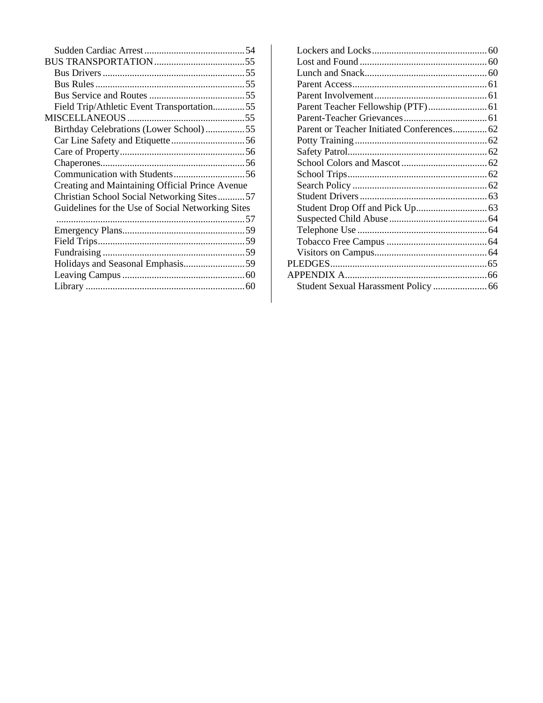| Field Trip/Athletic Event Transportation55        |  |
|---------------------------------------------------|--|
|                                                   |  |
| Birthday Celebrations (Lower School)55            |  |
|                                                   |  |
|                                                   |  |
|                                                   |  |
|                                                   |  |
| Creating and Maintaining Official Prince Avenue   |  |
| Christian School Social Networking Sites57        |  |
| Guidelines for the Use of Social Networking Sites |  |
|                                                   |  |
|                                                   |  |
|                                                   |  |
|                                                   |  |
|                                                   |  |
|                                                   |  |
|                                                   |  |
|                                                   |  |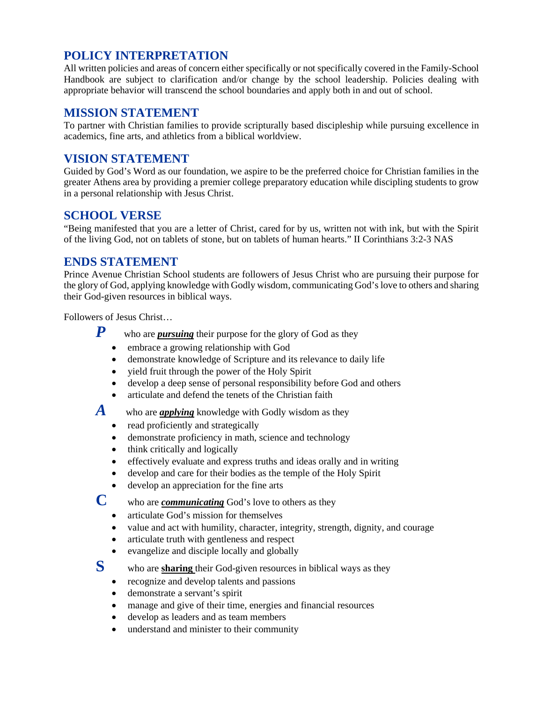## <span id="page-3-0"></span>**POLICY INTERPRETATION**

All written policies and areas of concern either specifically or not specifically covered in the Family-School Handbook are subject to clarification and/or change by the school leadership. Policies dealing with appropriate behavior will transcend the school boundaries and apply both in and out of school.

### <span id="page-3-1"></span>**MISSION STATEMENT**

To partner with Christian families to provide scripturally based discipleship while pursuing excellence in academics, fine arts, and athletics from a biblical worldview.

### <span id="page-3-2"></span>**VISION STATEMENT**

Guided by God's Word as our foundation, we aspire to be the preferred choice for Christian families in the greater Athens area by providing a premier college preparatory education while discipling students to grow in a personal relationship with Jesus Christ.

### <span id="page-3-3"></span>**SCHOOL VERSE**

"Being manifested that you are a letter of Christ, cared for by us, written not with ink, but with the Spirit of the living God, not on tablets of stone, but on tablets of human hearts." II Corinthians 3:2-3 NAS

### <span id="page-3-4"></span>**ENDS STATEMENT**

Prince Avenue Christian School students are followers of Jesus Christ who are pursuing their purpose for the glory of God, applying knowledge with Godly wisdom, communicating God's love to others and sharing their God-given resources in biblical ways.

Followers of Jesus Christ…

- *P* who are *pursuing* their purpose for the glory of God as they
	- embrace a growing relationship with God
	- demonstrate knowledge of Scripture and its relevance to daily life
	- yield fruit through the power of the Holy Spirit
	- develop a deep sense of personal responsibility before God and others
	- articulate and defend the tenets of the Christian faith

A who are *applying* knowledge with Godly wisdom as they

- read proficiently and strategically
- demonstrate proficiency in math, science and technology
- think critically and logically
- effectively evaluate and express truths and ideas orally and in writing
- develop and care for their bodies as the temple of the Holy Spirit
- develop an appreciation for the fine arts

**C** who are *communicating* God's love to others as they

- articulate God's mission for themselves
- value and act with humility, character, integrity, strength, dignity, and courage
- articulate truth with gentleness and respect
- evangelize and disciple locally and globally
- **S** who are **sharing** their God-given resources in biblical ways as they
	- recognize and develop talents and passions
	- demonstrate a servant's spirit
	- manage and give of their time, energies and financial resources
	- develop as leaders and as team members
	- understand and minister to their community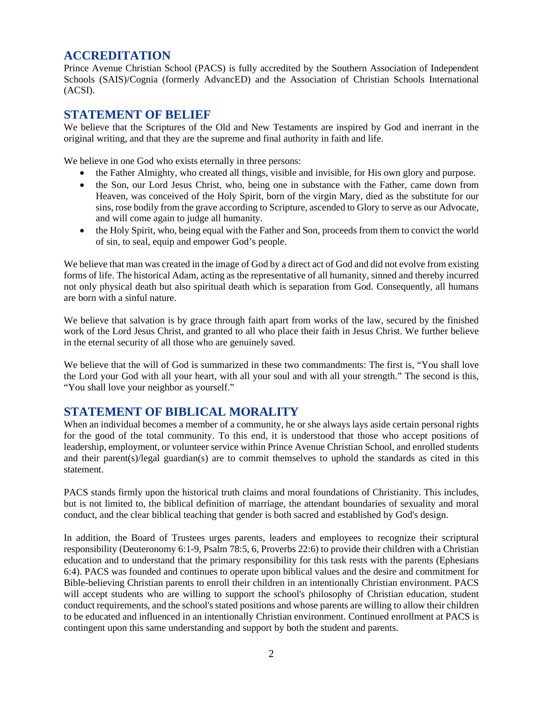## <span id="page-4-0"></span>**ACCREDITATION**

Prince Avenue Christian School (PACS) is fully accredited by the Southern Association of Independent Schools (SAIS)/Cognia (formerly AdvancED) and the Association of Christian Schools International (ACSI).

### <span id="page-4-1"></span>**STATEMENT OF BELIEF**

We believe that the Scriptures of the Old and New Testaments are inspired by God and inerrant in the original writing, and that they are the supreme and final authority in faith and life.

We believe in one God who exists eternally in three persons:

- the Father Almighty, who created all things, visible and invisible, for His own glory and purpose.
- the Son, our Lord Jesus Christ, who, being one in substance with the Father, came down from Heaven, was conceived of the Holy Spirit, born of the virgin Mary, died as the substitute for our sins, rose bodily from the grave according to Scripture, ascended to Glory to serve as our Advocate, and will come again to judge all humanity.
- the Holy Spirit, who, being equal with the Father and Son, proceeds from them to convict the world of sin, to seal, equip and empower God's people.

We believe that man was created in the image of God by a direct act of God and did not evolve from existing forms of life. The historical Adam, acting as the representative of all humanity, sinned and thereby incurred not only physical death but also spiritual death which is separation from God. Consequently, all humans are born with a sinful nature.

We believe that salvation is by grace through faith apart from works of the law, secured by the finished work of the Lord Jesus Christ, and granted to all who place their faith in Jesus Christ. We further believe in the eternal security of all those who are genuinely saved.

We believe that the will of God is summarized in these two commandments: The first is, "You shall love the Lord your God with all your heart, with all your soul and with all your strength." The second is this, "You shall love your neighbor as yourself."

### <span id="page-4-2"></span>**STATEMENT OF BIBLICAL MORALITY**

When an individual becomes a member of a community, he or she always lays aside certain personal rights for the good of the total community. To this end, it is understood that those who accept positions of leadership, employment, or volunteer service within Prince Avenue Christian School, and enrolled students and their parent(s)/legal guardian(s) are to commit themselves to uphold the standards as cited in this statement.

PACS stands firmly upon the historical truth claims and moral foundations of Christianity. This includes, but is not limited to, the biblical definition of marriage, the attendant boundaries of sexuality and moral conduct, and the clear biblical teaching that gender is both sacred and established by God's design.

In addition, the Board of Trustees urges parents, leaders and employees to recognize their scriptural responsibility (Deuteronomy 6:1-9, Psalm 78:5, 6, Proverbs 22:6) to provide their children with a Christian education and to understand that the primary responsibility for this task rests with the parents (Ephesians 6:4). PACS was founded and continues to operate upon biblical values and the desire and commitment for Bible-believing Christian parents to enroll their children in an intentionally Christian environment. PACS will accept students who are willing to support the school's philosophy of Christian education, student conduct requirements, and the school's stated positions and whose parents are willing to allow their children to be educated and influenced in an intentionally Christian environment. Continued enrollment at PACS is contingent upon this same understanding and support by both the student and parents.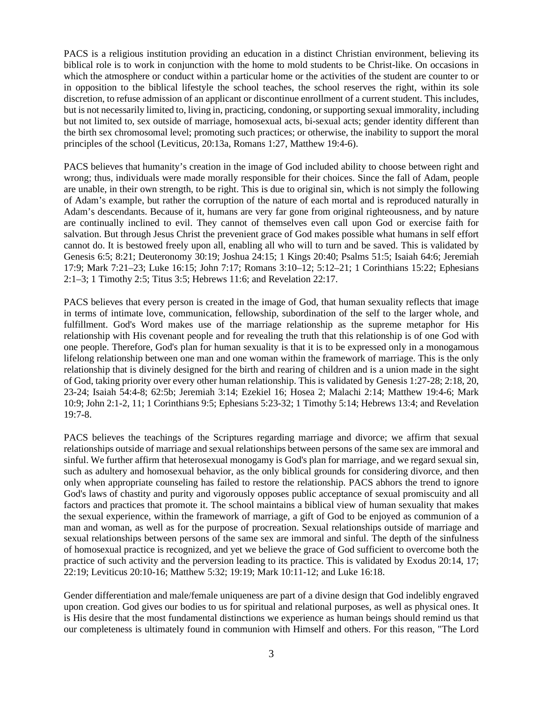PACS is a religious institution providing an education in a distinct Christian environment, believing its biblical role is to work in conjunction with the home to mold students to be Christ-like. On occasions in which the atmosphere or conduct within a particular home or the activities of the student are counter to or in opposition to the biblical lifestyle the school teaches, the school reserves the right, within its sole discretion, to refuse admission of an applicant or discontinue enrollment of a current student. This includes, but is not necessarily limited to, living in, practicing, condoning, or supporting sexual immorality, including but not limited to, sex outside of marriage, homosexual acts, bi-sexual acts; gender identity different than the birth sex chromosomal level; promoting such practices; or otherwise, the inability to support the moral principles of the school (Leviticus, 20:13a, Romans 1:27, Matthew 19:4-6).

PACS believes that humanity's creation in the image of God included ability to choose between right and wrong; thus, individuals were made morally responsible for their choices. Since the fall of Adam, people are unable, in their own strength, to be right. This is due to original sin, which is not simply the following of Adam's example, but rather the corruption of the nature of each mortal and is reproduced naturally in Adam's descendants. Because of it, humans are very far gone from original righteousness, and by nature are continually inclined to evil. They cannot of themselves even call upon God or exercise faith for salvation. But through Jesus Christ the prevenient grace of God makes possible what humans in self effort cannot do. It is bestowed freely upon all, enabling all who will to turn and be saved. This is validated by Genesis 6:5; 8:21; Deuteronomy 30:19; Joshua 24:15; 1 Kings 20:40; Psalms 51:5; Isaiah 64:6; Jeremiah 17:9; Mark 7:21–23; Luke 16:15; John 7:17; Romans 3:10–12; 5:12–21; 1 Corinthians 15:22; Ephesians 2:1–3; 1 Timothy 2:5; Titus 3:5; Hebrews 11:6; and Revelation 22:17.

PACS believes that every person is created in the image of God, that human sexuality reflects that image in terms of intimate love, communication, fellowship, subordination of the self to the larger whole, and fulfillment. God's Word makes use of the marriage relationship as the supreme metaphor for His relationship with His covenant people and for revealing the truth that this relationship is of one God with one people. Therefore, God's plan for human sexuality is that it is to be expressed only in a monogamous lifelong relationship between one man and one woman within the framework of marriage. This is the only relationship that is divinely designed for the birth and rearing of children and is a union made in the sight of God, taking priority over every other human relationship. This is validated by Genesis 1:27-28; 2:18, 20, 23-24; Isaiah 54:4-8; 62:5b; Jeremiah 3:14; Ezekiel 16; Hosea 2; Malachi 2:14; Matthew 19:4-6; Mark 10:9; John 2:1-2, 11; 1 Corinthians 9:5; Ephesians 5:23-32; 1 Timothy 5:14; Hebrews 13:4; and Revelation 19:7-8.

PACS believes the teachings of the Scriptures regarding marriage and divorce; we affirm that sexual relationships outside of marriage and sexual relationships between persons of the same sex are immoral and sinful. We further affirm that heterosexual monogamy is God's plan for marriage, and we regard sexual sin, such as adultery and homosexual behavior, as the only biblical grounds for considering divorce, and then only when appropriate counseling has failed to restore the relationship. PACS abhors the trend to ignore God's laws of chastity and purity and vigorously opposes public acceptance of sexual promiscuity and all factors and practices that promote it. The school maintains a biblical view of human sexuality that makes the sexual experience, within the framework of marriage, a gift of God to be enjoyed as communion of a man and woman, as well as for the purpose of procreation. Sexual relationships outside of marriage and sexual relationships between persons of the same sex are immoral and sinful. The depth of the sinfulness of homosexual practice is recognized, and yet we believe the grace of God sufficient to overcome both the practice of such activity and the perversion leading to its practice. This is validated by Exodus 20:14, 17; 22:19; Leviticus 20:10-16; Matthew 5:32; 19:19; Mark 10:11-12; and Luke 16:18.

Gender differentiation and male/female uniqueness are part of a divine design that God indelibly engraved upon creation. God gives our bodies to us for spiritual and relational purposes, as well as physical ones. It is His desire that the most fundamental distinctions we experience as human beings should remind us that our completeness is ultimately found in communion with Himself and others. For this reason, "The Lord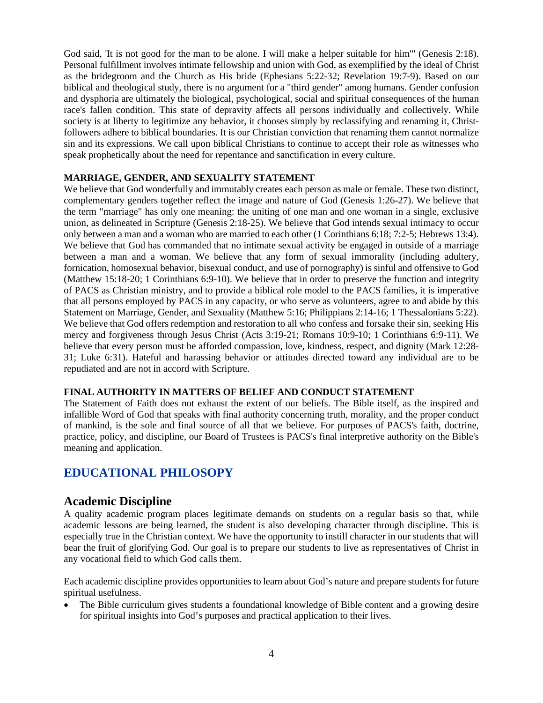God said, 'It is not good for the man to be alone. I will make a helper suitable for him'" (Genesis 2:18). Personal fulfillment involves intimate fellowship and union with God, as exemplified by the ideal of Christ as the bridegroom and the Church as His bride (Ephesians 5:22-32; Revelation 19:7-9). Based on our biblical and theological study, there is no argument for a "third gender" among humans. Gender confusion and dysphoria are ultimately the biological, psychological, social and spiritual consequences of the human race's fallen condition. This state of depravity affects all persons individually and collectively. While society is at liberty to legitimize any behavior, it chooses simply by reclassifying and renaming it, Christfollowers adhere to biblical boundaries. It is our Christian conviction that renaming them cannot normalize sin and its expressions. We call upon biblical Christians to continue to accept their role as witnesses who speak prophetically about the need for repentance and sanctification in every culture.

#### **MARRIAGE, GENDER, AND SEXUALITY STATEMENT**

We believe that God wonderfully and immutably creates each person as male or female. These two distinct, complementary genders together reflect the image and nature of God (Genesis 1:26-27). We believe that the term "marriage" has only one meaning: the uniting of one man and one woman in a single, exclusive union, as delineated in Scripture (Genesis 2:18-25). We believe that God intends sexual intimacy to occur only between a man and a woman who are married to each other (1 Corinthians 6:18; 7:2-5; Hebrews 13:4). We believe that God has commanded that no intimate sexual activity be engaged in outside of a marriage between a man and a woman. We believe that any form of sexual immorality (including adultery, fornication, homosexual behavior, bisexual conduct, and use of pornography) is sinful and offensive to God (Matthew 15:18-20; 1 Corinthians 6:9-10). We believe that in order to preserve the function and integrity of PACS as Christian ministry, and to provide a biblical role model to the PACS families, it is imperative that all persons employed by PACS in any capacity, or who serve as volunteers, agree to and abide by this Statement on Marriage, Gender, and Sexuality (Matthew 5:16; Philippians 2:14-16; 1 Thessalonians 5:22). We believe that God offers redemption and restoration to all who confess and forsake their sin, seeking His mercy and forgiveness through Jesus Christ (Acts 3:19-21; Romans 10:9-10; 1 Corinthians 6:9-11). We believe that every person must be afforded compassion, love, kindness, respect, and dignity (Mark 12:28- 31; Luke 6:31). Hateful and harassing behavior or attitudes directed toward any individual are to be repudiated and are not in accord with Scripture.

#### **FINAL AUTHORITY IN MATTERS OF BELIEF AND CONDUCT STATEMENT**

The Statement of Faith does not exhaust the extent of our beliefs. The Bible itself, as the inspired and infallible Word of God that speaks with final authority concerning truth, morality, and the proper conduct of mankind, is the sole and final source of all that we believe. For purposes of PACS's faith, doctrine, practice, policy, and discipline, our Board of Trustees is PACS's final interpretive authority on the Bible's meaning and application.

### <span id="page-6-0"></span>**EDUCATIONAL PHILOSOPY**

### <span id="page-6-1"></span>**Academic Discipline**

A quality academic program places legitimate demands on students on a regular basis so that, while academic lessons are being learned, the student is also developing character through discipline. This is especially true in the Christian context. We have the opportunity to instill character in our students that will bear the fruit of glorifying God. Our goal is to prepare our students to live as representatives of Christ in any vocational field to which God calls them.

Each academic discipline provides opportunities to learn about God's nature and prepare students for future spiritual usefulness.

• The Bible curriculum gives students a foundational knowledge of Bible content and a growing desire for spiritual insights into God's purposes and practical application to their lives.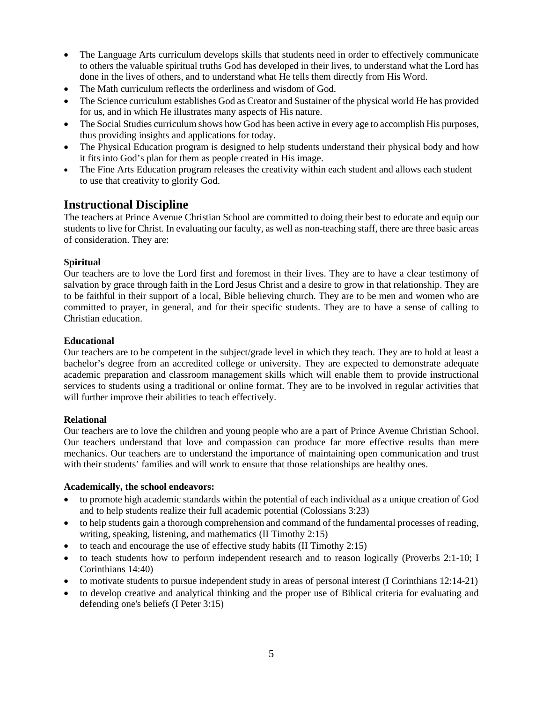- The Language Arts curriculum develops skills that students need in order to effectively communicate to others the valuable spiritual truths God has developed in their lives, to understand what the Lord has done in the lives of others, and to understand what He tells them directly from His Word.
- The Math curriculum reflects the orderliness and wisdom of God.
- The Science curriculum establishes God as Creator and Sustainer of the physical world He has provided for us, and in which He illustrates many aspects of His nature.
- The Social Studies curriculum shows how God has been active in every age to accomplish His purposes, thus providing insights and applications for today.
- The Physical Education program is designed to help students understand their physical body and how it fits into God's plan for them as people created in His image.
- The Fine Arts Education program releases the creativity within each student and allows each student to use that creativity to glorify God.

### <span id="page-7-0"></span>**Instructional Discipline**

The teachers at Prince Avenue Christian School are committed to doing their best to educate and equip our students to live for Christ. In evaluating our faculty, as well as non-teaching staff, there are three basic areas of consideration. They are:

#### **Spiritual**

Our teachers are to love the Lord first and foremost in their lives. They are to have a clear testimony of salvation by grace through faith in the Lord Jesus Christ and a desire to grow in that relationship. They are to be faithful in their support of a local, Bible believing church. They are to be men and women who are committed to prayer, in general, and for their specific students. They are to have a sense of calling to Christian education.

#### **Educational**

Our teachers are to be competent in the subject/grade level in which they teach. They are to hold at least a bachelor's degree from an accredited college or university. They are expected to demonstrate adequate academic preparation and classroom management skills which will enable them to provide instructional services to students using a traditional or online format. They are to be involved in regular activities that will further improve their abilities to teach effectively.

#### **Relational**

Our teachers are to love the children and young people who are a part of Prince Avenue Christian School. Our teachers understand that love and compassion can produce far more effective results than mere mechanics. Our teachers are to understand the importance of maintaining open communication and trust with their students' families and will work to ensure that those relationships are healthy ones.

#### **Academically, the school endeavors:**

- to promote high academic standards within the potential of each individual as a unique creation of God and to help students realize their full academic potential (Colossians 3:23)
- to help students gain a thorough comprehension and command of the fundamental processes of reading, writing, speaking, listening, and mathematics (II Timothy 2:15)
- to teach and encourage the use of effective study habits (II Timothy 2:15)
- to teach students how to perform independent research and to reason logically (Proverbs 2:1-10; I Corinthians 14:40)
- to motivate students to pursue independent study in areas of personal interest (I Corinthians 12:14-21)
- to develop creative and analytical thinking and the proper use of Biblical criteria for evaluating and defending one's beliefs (I Peter 3:15)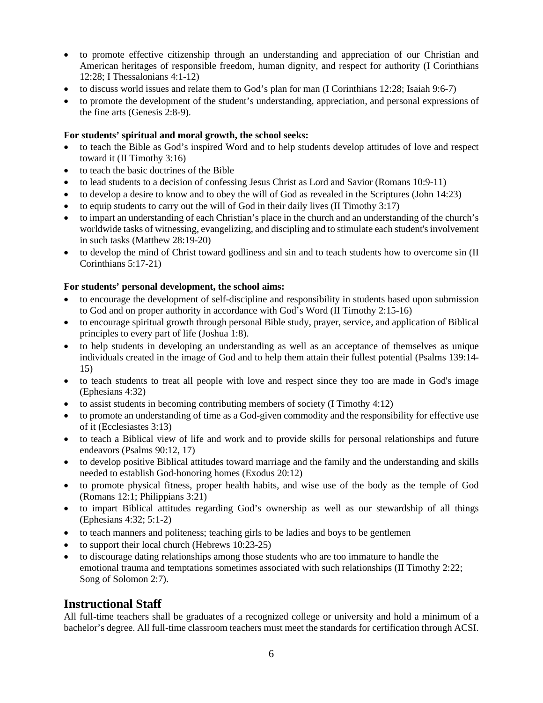- to promote effective citizenship through an understanding and appreciation of our Christian and American heritages of responsible freedom, human dignity, and respect for authority (I Corinthians 12:28; I Thessalonians 4:1-12)
- to discuss world issues and relate them to God's plan for man (I Corinthians 12:28; Isaiah 9:6-7)
- to promote the development of the student's understanding, appreciation, and personal expressions of the fine arts (Genesis 2:8-9).

#### **For students' spiritual and moral growth, the school seeks:**

- to teach the Bible as God's inspired Word and to help students develop attitudes of love and respect toward it (II Timothy 3:16)
- to teach the basic doctrines of the Bible
- to lead students to a decision of confessing Jesus Christ as Lord and Savior (Romans 10:9-11)
- to develop a desire to know and to obey the will of God as revealed in the Scriptures (John 14:23)
- to equip students to carry out the will of God in their daily lives (II Timothy 3:17)
- to impart an understanding of each Christian's place in the church and an understanding of the church's worldwide tasks of witnessing, evangelizing, and discipling and to stimulate each student's involvement in such tasks (Matthew 28:19-20)
- to develop the mind of Christ toward godliness and sin and to teach students how to overcome sin (II Corinthians 5:17-21)

#### **For students' personal development, the school aims:**

- to encourage the development of self-discipline and responsibility in students based upon submission to God and on proper authority in accordance with God's Word (II Timothy 2:15-16)
- to encourage spiritual growth through personal Bible study, prayer, service, and application of Biblical principles to every part of life (Joshua 1:8).
- to help students in developing an understanding as well as an acceptance of themselves as unique individuals created in the image of God and to help them attain their fullest potential (Psalms 139:14- 15)
- to teach students to treat all people with love and respect since they too are made in God's image (Ephesians 4:32)
- to assist students in becoming contributing members of society (I Timothy 4:12)
- to promote an understanding of time as a God-given commodity and the responsibility for effective use of it (Ecclesiastes 3:13)
- to teach a Biblical view of life and work and to provide skills for personal relationships and future endeavors (Psalms 90:12, 17)
- to develop positive Biblical attitudes toward marriage and the family and the understanding and skills needed to establish God-honoring homes (Exodus 20:12)
- to promote physical fitness, proper health habits, and wise use of the body as the temple of God (Romans 12:1; Philippians 3:21)
- to impart Biblical attitudes regarding God's ownership as well as our stewardship of all things (Ephesians 4:32; 5:1-2)
- to teach manners and politeness; teaching girls to be ladies and boys to be gentlemen
- to support their local church (Hebrews 10:23-25)
- to discourage dating relationships among those students who are too immature to handle the emotional trauma and temptations sometimes associated with such relationships (II Timothy 2:22; Song of Solomon 2:7).

### <span id="page-8-0"></span>**Instructional Staff**

All full-time teachers shall be graduates of a recognized college or university and hold a minimum of a bachelor's degree. All full-time classroom teachers must meet the standards for certification through ACSI.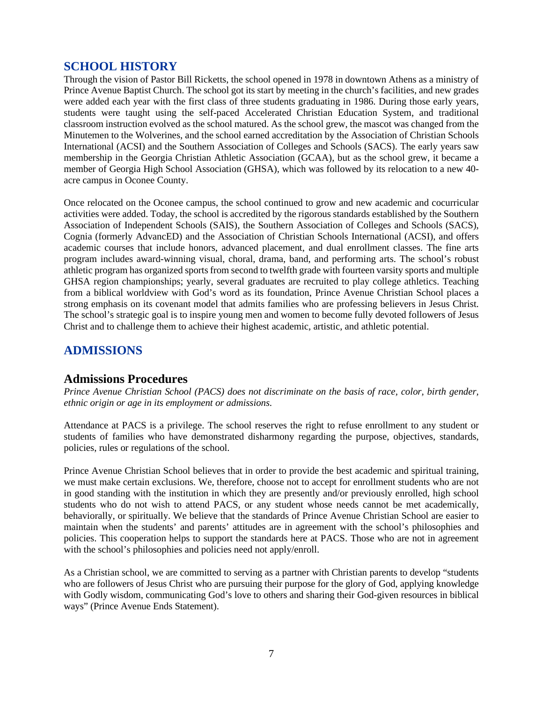### <span id="page-9-0"></span>**SCHOOL HISTORY**

Through the vision of Pastor Bill Ricketts, the school opened in 1978 in downtown Athens as a ministry of Prince Avenue Baptist Church. The school got its start by meeting in the church's facilities, and new grades were added each year with the first class of three students graduating in 1986. During those early years, students were taught using the self-paced Accelerated Christian Education System, and traditional classroom instruction evolved as the school matured. As the school grew, the mascot was changed from the Minutemen to the Wolverines, and the school earned accreditation by the Association of Christian Schools International (ACSI) and the Southern Association of Colleges and Schools (SACS). The early years saw membership in the Georgia Christian Athletic Association (GCAA), but as the school grew, it became a member of Georgia High School Association (GHSA), which was followed by its relocation to a new 40 acre campus in Oconee County.

Once relocated on the Oconee campus, the school continued to grow and new academic and cocurricular activities were added. Today, the school is accredited by the rigorous standards established by the Southern Association of Independent Schools (SAIS), the Southern Association of Colleges and Schools (SACS), Cognia (formerly AdvancED) and the Association of Christian Schools International (ACSI), and offers academic courses that include honors, advanced placement, and dual enrollment classes. The fine arts program includes award-winning visual, choral, drama, band, and performing arts. The school's robust athletic program has organized sports from second to twelfth grade with fourteen varsity sports and multiple GHSA region championships; yearly, several graduates are recruited to play college athletics. Teaching from a biblical worldview with God's word as its foundation, Prince Avenue Christian School places a strong emphasis on its covenant model that admits families who are professing believers in Jesus Christ. The school's strategic goal is to inspire young men and women to become fully devoted followers of Jesus Christ and to challenge them to achieve their highest academic, artistic, and athletic potential.

### <span id="page-9-1"></span>**ADMISSIONS**

### <span id="page-9-2"></span>**Admissions Procedures**

*Prince Avenue Christian School (PACS) does not discriminate on the basis of race, color, birth gender, ethnic origin or age in its employment or admissions.*

Attendance at PACS is a privilege. The school reserves the right to refuse enrollment to any student or students of families who have demonstrated disharmony regarding the purpose, objectives, standards, policies, rules or regulations of the school.

Prince Avenue Christian School believes that in order to provide the best academic and spiritual training, we must make certain exclusions. We, therefore, choose not to accept for enrollment students who are not in good standing with the institution in which they are presently and/or previously enrolled, high school students who do not wish to attend PACS, or any student whose needs cannot be met academically, behaviorally, or spiritually. We believe that the standards of Prince Avenue Christian School are easier to maintain when the students' and parents' attitudes are in agreement with the school's philosophies and policies. This cooperation helps to support the standards here at PACS. Those who are not in agreement with the school's philosophies and policies need not apply/enroll.

As a Christian school, we are committed to serving as a partner with Christian parents to develop "students who are followers of Jesus Christ who are pursuing their purpose for the glory of God, applying knowledge with Godly wisdom, communicating God's love to others and sharing their God-given resources in biblical ways" (Prince Avenue Ends Statement).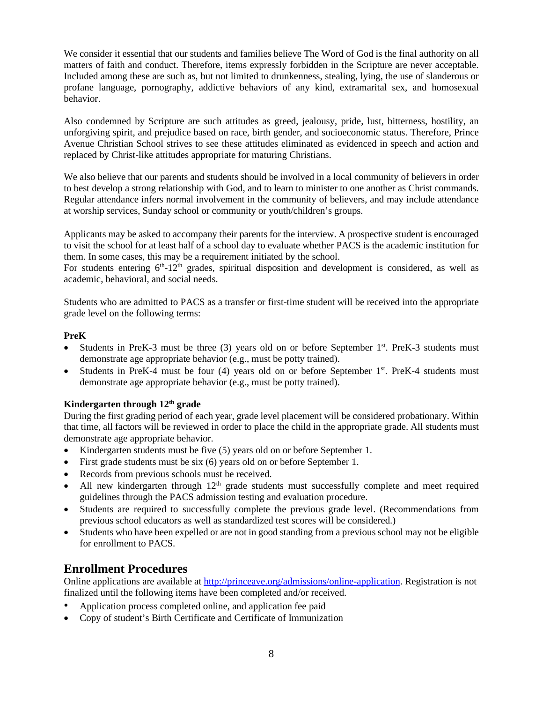We consider it essential that our students and families believe The Word of God is the final authority on all matters of faith and conduct. Therefore, items expressly forbidden in the Scripture are never acceptable. Included among these are such as, but not limited to drunkenness, stealing, lying, the use of slanderous or profane language, pornography, addictive behaviors of any kind, extramarital sex, and homosexual behavior.

Also condemned by Scripture are such attitudes as greed, jealousy, pride, lust, bitterness, hostility, an unforgiving spirit, and prejudice based on race, birth gender, and socioeconomic status. Therefore, Prince Avenue Christian School strives to see these attitudes eliminated as evidenced in speech and action and replaced by Christ-like attitudes appropriate for maturing Christians.

We also believe that our parents and students should be involved in a local community of believers in order to best develop a strong relationship with God, and to learn to minister to one another as Christ commands. Regular attendance infers normal involvement in the community of believers, and may include attendance at worship services, Sunday school or community or youth/children's groups.

Applicants may be asked to accompany their parents for the interview. A prospective student is encouraged to visit the school for at least half of a school day to evaluate whether PACS is the academic institution for them. In some cases, this may be a requirement initiated by the school.

For students entering  $6<sup>th</sup> - 12<sup>th</sup>$  grades, spiritual disposition and development is considered, as well as academic, behavioral, and social needs.

Students who are admitted to PACS as a transfer or first-time student will be received into the appropriate grade level on the following terms:

#### **PreK**

- Students in PreK-3 must be three (3) years old on or before September  $1<sup>st</sup>$ . PreK-3 students must demonstrate age appropriate behavior (e.g., must be potty trained).
- Students in PreK-4 must be four (4) years old on or before September  $1<sup>st</sup>$ . PreK-4 students must demonstrate age appropriate behavior (e.g., must be potty trained).

### **Kindergarten through 12th grade**

During the first grading period of each year, grade level placement will be considered probationary. Within that time, all factors will be reviewed in order to place the child in the appropriate grade. All students must demonstrate age appropriate behavior.

- Kindergarten students must be five (5) years old on or before September 1.
- First grade students must be six (6) years old on or before September 1.
- Records from previous schools must be received.
- All new kindergarten through 12<sup>th</sup> grade students must successfully complete and meet required guidelines through the PACS admission testing and evaluation procedure.
- Students are required to successfully complete the previous grade level. (Recommendations from previous school educators as well as standardized test scores will be considered.)
- Students who have been expelled or are not in good standing from a previous school may not be eligible for enrollment to PACS.

### <span id="page-10-0"></span>**Enrollment Procedures**

Online applications are available at [http://princeave.org/admissions/online-application.](http://princeave.org/admissions/online-application) Registration is not finalized until the following items have been completed and/or received.

- Application process completed online, and application fee paid
- Copy of student's Birth Certificate and Certificate of Immunization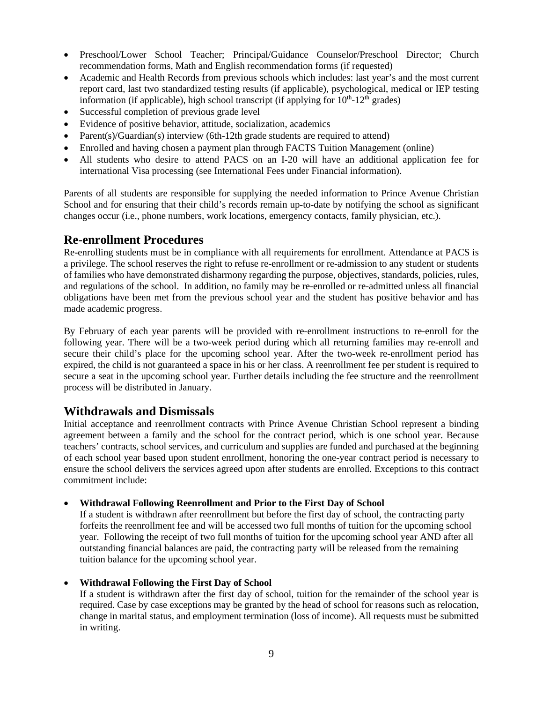- Preschool/Lower School Teacher; Principal/Guidance Counselor/Preschool Director; Church recommendation forms, Math and English recommendation forms (if requested)
- Academic and Health Records from previous schools which includes: last year's and the most current report card, last two standardized testing results (if applicable), psychological, medical or IEP testing information (if applicable), high school transcript (if applying for  $10<sup>th</sup>$ -12<sup>th</sup> grades)
- Successful completion of previous grade level
- Evidence of positive behavior, attitude, socialization, academics
- Parent(s)/Guardian(s) interview (6th-12th grade students are required to attend)
- Enrolled and having chosen a payment plan through FACTS Tuition Management (online)
- All students who desire to attend PACS on an I-20 will have an additional application fee for international Visa processing (see International Fees under Financial information).

Parents of all students are responsible for supplying the needed information to Prince Avenue Christian School and for ensuring that their child's records remain up-to-date by notifying the school as significant changes occur (i.e., phone numbers, work locations, emergency contacts, family physician, etc.).

### <span id="page-11-0"></span>**Re-enrollment Procedures**

Re-enrolling students must be in compliance with all requirements for enrollment. Attendance at PACS is a privilege. The school reserves the right to refuse re-enrollment or re-admission to any student or students of families who have demonstrated disharmony regarding the purpose, objectives, standards, policies, rules, and regulations of the school. In addition, no family may be re-enrolled or re-admitted unless all financial obligations have been met from the previous school year and the student has positive behavior and has made academic progress.

By February of each year parents will be provided with re-enrollment instructions to re-enroll for the following year. There will be a two-week period during which all returning families may re-enroll and secure their child's place for the upcoming school year. After the two-week re-enrollment period has expired, the child is not guaranteed a space in his or her class. A reenrollment fee per student is required to secure a seat in the upcoming school year. Further details including the fee structure and the reenrollment process will be distributed in January.

### <span id="page-11-1"></span>**Withdrawals and Dismissals**

Initial acceptance and reenrollment contracts with Prince Avenue Christian School represent a binding agreement between a family and the school for the contract period, which is one school year. Because teachers' contracts, school services, and curriculum and supplies are funded and purchased at the beginning of each school year based upon student enrollment, honoring the one-year contract period is necessary to ensure the school delivers the services agreed upon after students are enrolled. Exceptions to this contract commitment include:

#### • **Withdrawal Following Reenrollment and Prior to the First Day of School**

If a student is withdrawn after reenrollment but before the first day of school, the contracting party forfeits the reenrollment fee and will be accessed two full months of tuition for the upcoming school year. Following the receipt of two full months of tuition for the upcoming school year AND after all outstanding financial balances are paid, the contracting party will be released from the remaining tuition balance for the upcoming school year.

### • **Withdrawal Following the First Day of School**

If a student is withdrawn after the first day of school, tuition for the remainder of the school year is required. Case by case exceptions may be granted by the head of school for reasons such as relocation, change in marital status, and employment termination (loss of income). All requests must be submitted in writing.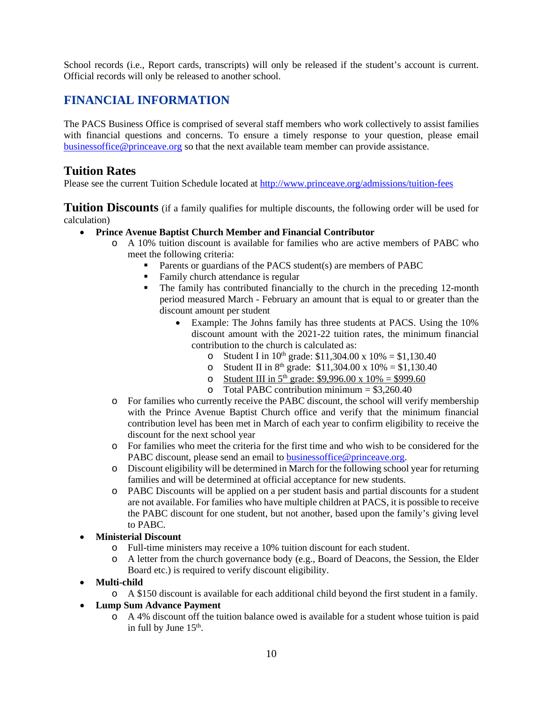School records (i.e., Report cards, transcripts) will only be released if the student's account is current. Official records will only be released to another school.

## <span id="page-12-0"></span>**FINANCIAL INFORMATION**

The PACS Business Office is comprised of several staff members who work collectively to assist families with financial questions and concerns. To ensure a timely response to your question, please email [businessoffice@princeave.org](mailto:businessoffice@princeave.org) so that the next available team member can provide assistance.

### <span id="page-12-1"></span>**Tuition Rates**

Please see the current Tuition Schedule located at<http://www.princeave.org/admissions/tuition-fees>

<span id="page-12-2"></span>**Tuition Discounts** (if a family qualifies for multiple discounts, the following order will be used for calculation)

### • **Prince Avenue Baptist Church Member and Financial Contributor**

- o A 10% tuition discount is available for families who are active members of PABC who meet the following criteria:
	- **Parents or guardians of the PACS student(s) are members of PABC**
	- Family church attendance is regular<br>• The family has contributed financial
	- The family has contributed financially to the church in the preceding 12-month period measured March - February an amount that is equal to or greater than the discount amount per student
		- Example: The Johns family has three students at PACS. Using the 10% discount amount with the 2021-22 tuition rates, the minimum financial contribution to the church is calculated as:
			- o Student I in  $10^{th}$  grade: \$11,304.00 x  $10\% = $1,130.40$
			- o Student II in  $8^{th}$  grade: \$11,304.00 x 10% = \$1,130.40
			- o Student III in  $5^{th}$  grade: \$9,996.00 x 10% = \$999.60
			- o Total PABC contribution minimum =  $$3,260.40$
- o For families who currently receive the PABC discount, the school will verify membership with the Prince Avenue Baptist Church office and verify that the minimum financial contribution level has been met in March of each year to confirm eligibility to receive the discount for the next school year
- o For families who meet the criteria for the first time and who wish to be considered for the PABC discount, please send an email to [businessoffice@princeave.org.](mailto:businessoffice@princeave.org)
- o Discount eligibility will be determined in March for the following school year for returning families and will be determined at official acceptance for new students.
- o PABC Discounts will be applied on a per student basis and partial discounts for a student are not available. For families who have multiple children at PACS, it is possible to receive the PABC discount for one student, but not another, based upon the family's giving level to PABC.

### • **Ministerial Discount**

- o Full-time ministers may receive a 10% tuition discount for each student.
- o A letter from the church governance body (e.g., Board of Deacons, the Session, the Elder Board etc.) is required to verify discount eligibility.
- **Multi-child**
	- o A \$150 discount is available for each additional child beyond the first student in a family.

### • **Lump Sum Advance Payment**

o A 4% discount off the tuition balance owed is available for a student whose tuition is paid in full by June  $15<sup>th</sup>$ .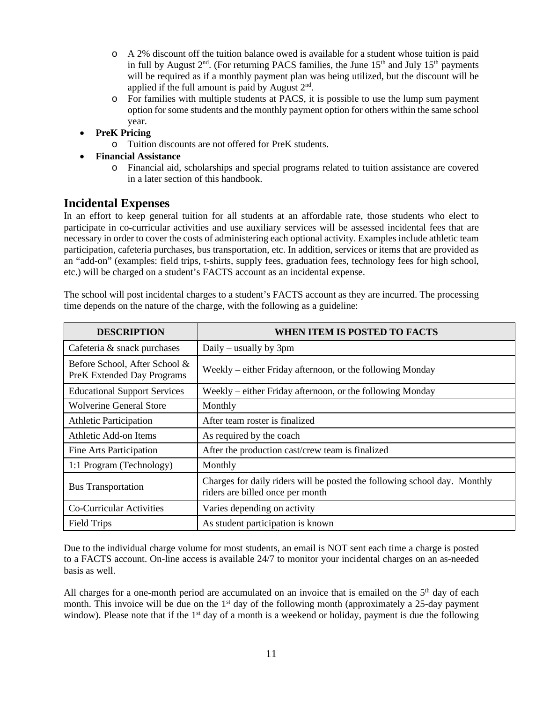- o A 2% discount off the tuition balance owed is available for a student whose tuition is paid in full by August  $2<sup>nd</sup>$ . (For returning PACS families, the June 15<sup>th</sup> and July 15<sup>th</sup> payments will be required as if a monthly payment plan was being utilized, but the discount will be applied if the full amount is paid by August  $2<sup>nd</sup>$ .
- o For families with multiple students at PACS, it is possible to use the lump sum payment option for some students and the monthly payment option for others within the same school year.
- **PreK Pricing**
	- o Tuition discounts are not offered for PreK students.
- **Financial Assistance**
	- o Financial aid, scholarships and special programs related to tuition assistance are covered in a later section of this handbook.

### <span id="page-13-0"></span>**Incidental Expenses**

In an effort to keep general tuition for all students at an affordable rate, those students who elect to participate in co-curricular activities and use auxiliary services will be assessed incidental fees that are necessary in order to cover the costs of administering each optional activity. Examples include athletic team participation, cafeteria purchases, bus transportation, etc. In addition, services or items that are provided as an "add-on" (examples: field trips, t-shirts, supply fees, graduation fees, technology fees for high school, etc.) will be charged on a student's FACTS account as an incidental expense.

| <b>DESCRIPTION</b>                                                 | WHEN ITEM IS POSTED TO FACTS                                                                                  |
|--------------------------------------------------------------------|---------------------------------------------------------------------------------------------------------------|
| Cafeteria & snack purchases                                        | Daily – usually by $3pm$                                                                                      |
| Before School, After School &<br><b>PreK Extended Day Programs</b> | Weekly – either Friday afternoon, or the following Monday                                                     |
| <b>Educational Support Services</b>                                | Weekly – either Friday afternoon, or the following Monday                                                     |
| <b>Wolverine General Store</b>                                     | Monthly                                                                                                       |
| <b>Athletic Participation</b>                                      | After team roster is finalized                                                                                |
| Athletic Add-on Items                                              | As required by the coach                                                                                      |
| Fine Arts Participation                                            | After the production cast/crew team is finalized                                                              |
| 1:1 Program (Technology)                                           | Monthly                                                                                                       |
| <b>Bus Transportation</b>                                          | Charges for daily riders will be posted the following school day. Monthly<br>riders are billed once per month |
| Co-Curricular Activities                                           | Varies depending on activity                                                                                  |
| <b>Field Trips</b>                                                 | As student participation is known                                                                             |

The school will post incidental charges to a student's FACTS account as they are incurred. The processing time depends on the nature of the charge, with the following as a guideline:

Due to the individual charge volume for most students, an email is NOT sent each time a charge is posted to a FACTS account. On-line access is available 24/7 to monitor your incidental charges on an as-needed basis as well.

All charges for a one-month period are accumulated on an invoice that is emailed on the  $5<sup>th</sup>$  day of each month. This invoice will be due on the  $1<sup>st</sup>$  day of the following month (approximately a 25-day payment window). Please note that if the  $1<sup>st</sup>$  day of a month is a weekend or holiday, payment is due the following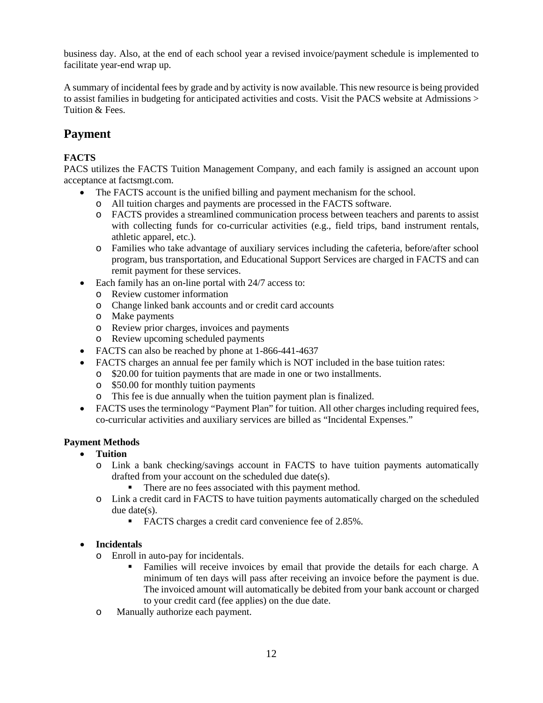business day. Also, at the end of each school year a revised invoice/payment schedule is implemented to facilitate year-end wrap up.

A summary of incidental fees by grade and by activity is now available. This new resource is being provided to assist families in budgeting for anticipated activities and costs. Visit the PACS website at Admissions > Tuition & Fees.

## <span id="page-14-0"></span>**Payment**

### **FACTS**

PACS utilizes the FACTS Tuition Management Company, and each family is assigned an account upon acceptance at factsmgt.com.

- The FACTS account is the unified billing and payment mechanism for the school.
	- o All tuition charges and payments are processed in the FACTS software.
	- o FACTS provides a streamlined communication process between teachers and parents to assist with collecting funds for co-curricular activities (e.g., field trips, band instrument rentals, athletic apparel, etc.).
	- o Families who take advantage of auxiliary services including the cafeteria, before/after school program, bus transportation, and Educational Support Services are charged in FACTS and can remit payment for these services.
- Each family has an on-line portal with 24/7 access to:
	- o Review customer information
	- o Change linked bank accounts and or credit card accounts
	- o Make payments
	- o Review prior charges, invoices and payments
	- o Review upcoming scheduled payments
- FACTS can also be reached by phone at 1-866-441-4637
	- FACTS charges an annual fee per family which is NOT included in the base tuition rates:
	- o \$20.00 for tuition payments that are made in one or two installments.
	- o \$50.00 for monthly tuition payments
	- o This fee is due annually when the tuition payment plan is finalized.
- FACTS uses the terminology "Payment Plan" for tuition. All other charges including required fees, co-curricular activities and auxiliary services are billed as "Incidental Expenses."

### **Payment Methods**

- **Tuition**
	- o Link a bank checking/savings account in FACTS to have tuition payments automatically drafted from your account on the scheduled due date(s).
		- There are no fees associated with this payment method.
	- o Link a credit card in FACTS to have tuition payments automatically charged on the scheduled due date(s).
		- FACTS charges a credit card convenience fee of 2.85%.

#### • **Incidentals**

- o Enroll in auto-pay for incidentals.
	- Families will receive invoices by email that provide the details for each charge. A minimum of ten days will pass after receiving an invoice before the payment is due. The invoiced amount will automatically be debited from your bank account or charged to your credit card (fee applies) on the due date.
- o Manually authorize each payment.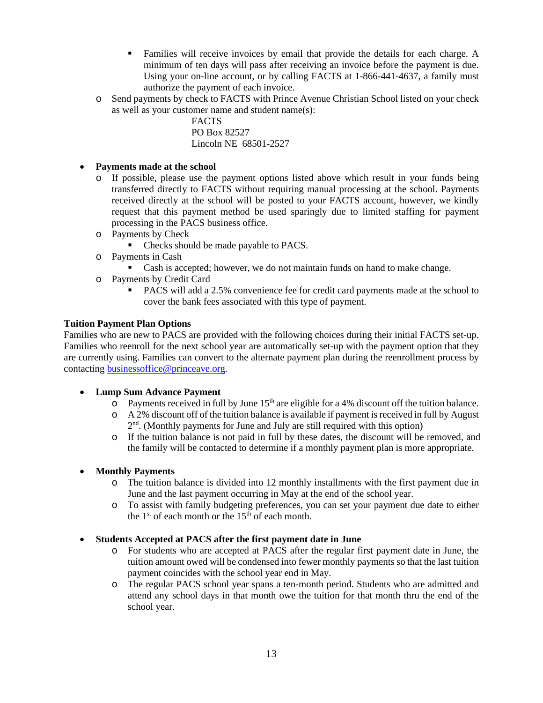- Families will receive invoices by email that provide the details for each charge. A minimum of ten days will pass after receiving an invoice before the payment is due. Using your on-line account, or by calling FACTS at 1-866-441-4637, a family must authorize the payment of each invoice.
- o Send payments by check to FACTS with Prince Avenue Christian School listed on your check as well as your customer name and student name(s):

FACTS PO Box 82527 Lincoln NE 68501-2527

- **Payments made at the school**
	- o If possible, please use the payment options listed above which result in your funds being transferred directly to FACTS without requiring manual processing at the school. Payments received directly at the school will be posted to your FACTS account, however, we kindly request that this payment method be used sparingly due to limited staffing for payment processing in the PACS business office.
	- o Payments by Check
		- Checks should be made payable to PACS.
	- o Payments in Cash
		- Cash is accepted; however, we do not maintain funds on hand to make change.
	- o Payments by Credit Card
		- PACS will add a 2.5% convenience fee for credit card payments made at the school to cover the bank fees associated with this type of payment.

#### **Tuition Payment Plan Options**

Families who are new to PACS are provided with the following choices during their initial FACTS set-up. Families who reenroll for the next school year are automatically set-up with the payment option that they are currently using. Families can convert to the alternate payment plan during the reenrollment process by contactin[g businessoffice@princeave.org.](mailto:businessoffice@princeave.org)

#### • **Lump Sum Advance Payment**

- $\overline{Q}$  Payments received in full by June 15<sup>th</sup> are eligible for a 4% discount off the tuition balance.
- $\circ$  A 2% discount off of the tuition balance is available if payment is received in full by August  $2<sup>nd</sup>$ . (Monthly payments for June and July are still required with this option)
- o If the tuition balance is not paid in full by these dates, the discount will be removed, and the family will be contacted to determine if a monthly payment plan is more appropriate.

#### • **Monthly Payments**

- o The tuition balance is divided into 12 monthly installments with the first payment due in June and the last payment occurring in May at the end of the school year.
- o To assist with family budgeting preferences, you can set your payment due date to either the  $1<sup>st</sup>$  of each month or the  $15<sup>th</sup>$  of each month.

#### • **Students Accepted at PACS after the first payment date in June**

- o For students who are accepted at PACS after the regular first payment date in June, the tuition amount owed will be condensed into fewer monthly payments so that the last tuition payment coincides with the school year end in May.
- o The regular PACS school year spans a ten-month period. Students who are admitted and attend any school days in that month owe the tuition for that month thru the end of the school year.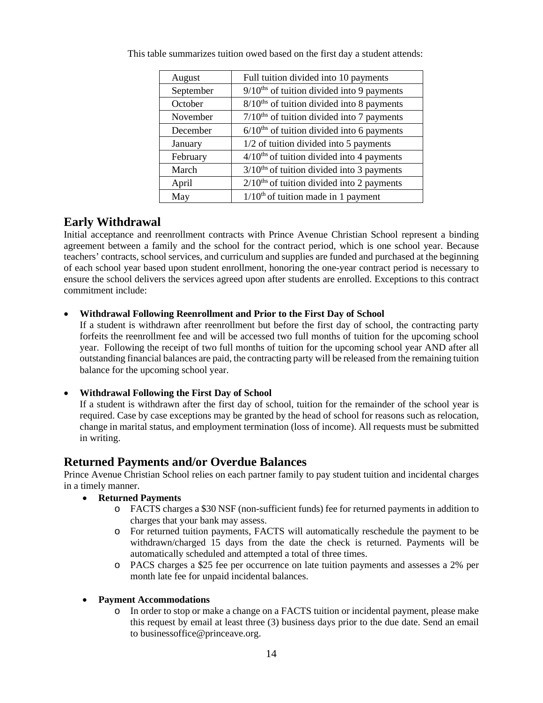| August    | Full tuition divided into 10 payments                    |
|-----------|----------------------------------------------------------|
| September | $9/10$ <sup>ths</sup> of tuition divided into 9 payments |
| October   | $8/10$ <sup>ths</sup> of tuition divided into 8 payments |
| November  | $7/10$ <sup>ths</sup> of tuition divided into 7 payments |
| December  | $6/10$ <sup>ths</sup> of tuition divided into 6 payments |
| January   | 1/2 of tuition divided into 5 payments                   |
| February  | $4/10$ <sup>ths</sup> of tuition divided into 4 payments |
| March     | $3/10$ <sup>ths</sup> of tuition divided into 3 payments |
| April     | $2/10$ <sup>ths</sup> of tuition divided into 2 payments |
| May       | $1/10th$ of tuition made in 1 payment                    |

This table summarizes tuition owed based on the first day a student attends:

### <span id="page-16-0"></span>**Early Withdrawal**

Initial acceptance and reenrollment contracts with Prince Avenue Christian School represent a binding agreement between a family and the school for the contract period, which is one school year. Because teachers' contracts, school services, and curriculum and supplies are funded and purchased at the beginning of each school year based upon student enrollment, honoring the one-year contract period is necessary to ensure the school delivers the services agreed upon after students are enrolled. Exceptions to this contract commitment include:

### • **Withdrawal Following Reenrollment and Prior to the First Day of School**

If a student is withdrawn after reenrollment but before the first day of school, the contracting party forfeits the reenrollment fee and will be accessed two full months of tuition for the upcoming school year. Following the receipt of two full months of tuition for the upcoming school year AND after all outstanding financial balances are paid, the contracting party will be released from the remaining tuition balance for the upcoming school year.

### • **Withdrawal Following the First Day of School**

If a student is withdrawn after the first day of school, tuition for the remainder of the school year is required. Case by case exceptions may be granted by the head of school for reasons such as relocation, change in marital status, and employment termination (loss of income). All requests must be submitted in writing.

### <span id="page-16-1"></span>**Returned Payments and/or Overdue Balances**

Prince Avenue Christian School relies on each partner family to pay student tuition and incidental charges in a timely manner.

- **Returned Payments**
	- o FACTS charges a \$30 NSF (non-sufficient funds) fee for returned payments in addition to charges that your bank may assess.
	- o For returned tuition payments, FACTS will automatically reschedule the payment to be withdrawn/charged 15 days from the date the check is returned. Payments will be automatically scheduled and attempted a total of three times.
	- o PACS charges a \$25 fee per occurrence on late tuition payments and assesses a 2% per month late fee for unpaid incidental balances.

### • **Payment Accommodations**

o In order to stop or make a change on a FACTS tuition or incidental payment, please make this request by email at least three (3) business days prior to the due date. Send an email to [businessoffice@princeave.org.](mailto:businessoffice@princeave.org)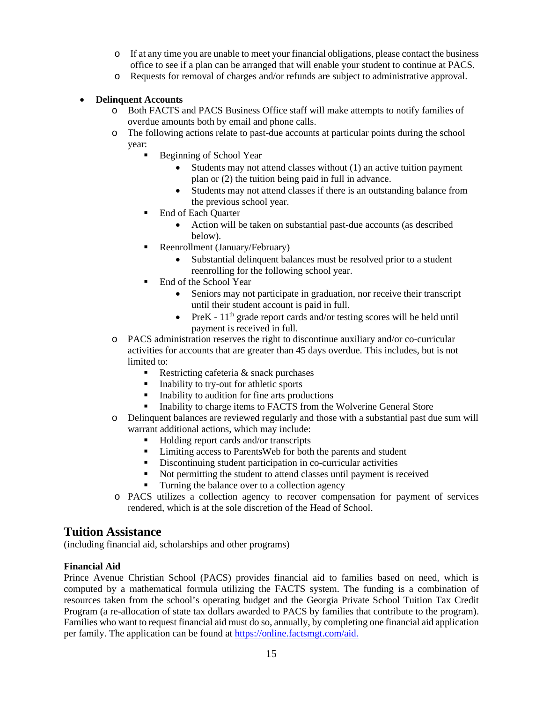- o If at any time you are unable to meet your financial obligations, please contact the business office to see if a plan can be arranged that will enable your student to continue at PACS.
- o Requests for removal of charges and/or refunds are subject to administrative approval.

#### • **Delinquent Accounts**

- o Both FACTS and PACS Business Office staff will make attempts to notify families of overdue amounts both by email and phone calls.
- o The following actions relate to past-due accounts at particular points during the school year:
	- Beginning of School Year
		- Students may not attend classes without (1) an active tuition payment plan or (2) the tuition being paid in full in advance.
		- Students may not attend classes if there is an outstanding balance from the previous school year.
	- End of Each Quarter
		- Action will be taken on substantial past-due accounts (as described below).
	- Reenrollment (January/February)
		- Substantial delinquent balances must be resolved prior to a student reenrolling for the following school year.
	- End of the School Year
		- Seniors may not participate in graduation, nor receive their transcript until their student account is paid in full.
		- PreK  $11<sup>th</sup>$  grade report cards and/or testing scores will be held until payment is received in full.
- o PACS administration reserves the right to discontinue auxiliary and/or co-curricular activities for accounts that are greater than 45 days overdue. This includes, but is not limited to:
	- Restricting cafeteria & snack purchases
	- Inability to try-out for athletic sports
	- Inability to audition for fine arts productions
	- Inability to charge items to FACTS from the Wolverine General Store
- o Delinquent balances are reviewed regularly and those with a substantial past due sum will warrant additional actions, which may include:
	- Holding report cards and/or transcripts
	- Limiting access to ParentsWeb for both the parents and student
	- Discontinuing student participation in co-curricular activities
	- Not permitting the student to attend classes until payment is received
	- Turning the balance over to a collection agency
- o PACS utilizes a collection agency to recover compensation for payment of services rendered, which is at the sole discretion of the Head of School.

### <span id="page-17-0"></span>**Tuition Assistance**

(including financial aid, scholarships and other programs)

#### <span id="page-17-1"></span>**Financial Aid**

Prince Avenue Christian School (PACS) provides financial aid to families based on need, which is computed by a mathematical formula utilizing the FACTS system. The funding is a combination of resources taken from the school's operating budget and the Georgia Private School Tuition Tax Credit Program (a re-allocation of state tax dollars awarded to PACS by families that contribute to the program). Families who want to request financial aid must do so, annually, by completing one financial aid application per family. The application can be found a[t https://online.factsmgt.com/aid.](https://online.factsmgt.com/aid)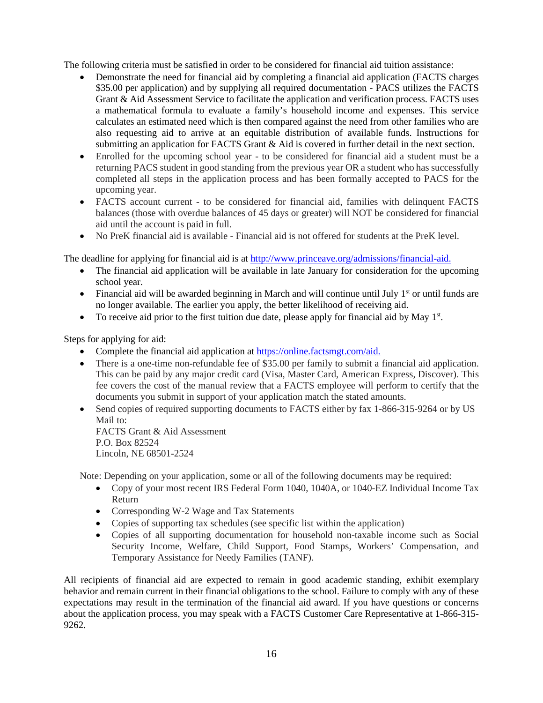The following criteria must be satisfied in order to be considered for financial aid tuition assistance:

- Demonstrate the need for financial aid by completing a financial aid application (FACTS charges \$35.00 per application) and by supplying all required documentation - PACS utilizes the FACTS Grant & Aid Assessment Service to facilitate the application and verification process. FACTS uses a mathematical formula to evaluate a family's household income and expenses. This service calculates an estimated need which is then compared against the need from other families who are also requesting aid to arrive at an equitable distribution of available funds. Instructions for submitting an application for FACTS Grant & Aid is covered in further detail in the next section.
- Enrolled for the upcoming school year to be considered for financial aid a student must be a returning PACS student in good standing from the previous year OR a student who has successfully completed all steps in the application process and has been formally accepted to PACS for the upcoming year.
- FACTS account current to be considered for financial aid, families with delinquent FACTS balances (those with overdue balances of 45 days or greater) will NOT be considered for financial aid until the account is paid in full.
- No PreK financial aid is available Financial aid is not offered for students at the PreK level.

The deadline for applying for financial aid is at [http://www.princeave.org/admissions/financial-aid.](http://www.princeave.org/admissions/financial-aid)

- The financial aid application will be available in late January for consideration for the upcoming school year.
- Financial aid will be awarded beginning in March and will continue until July  $1<sup>st</sup>$  or until funds are no longer available. The earlier you apply, the better likelihood of receiving aid.
- To receive aid prior to the first tuition due date, please apply for financial aid by May  $1<sup>st</sup>$ .

Steps for applying for aid:

- Complete the financial aid application at [https://online.factsmgt.com/aid.](https://online.factsmgt.com/aid)
- There is a one-time non-refundable fee of \$35.00 per family to submit a financial aid application. This can be paid by any major credit card (Visa, Master Card, American Express, Discover). This fee covers the cost of the manual review that a FACTS employee will perform to certify that the documents you submit in support of your application match the stated amounts.
- Send copies of required supporting documents to FACTS either by fax 1-866-315-9264 or by US Mail to:

FACTS Grant & Aid Assessment P.O. Box 82524 Lincoln, NE 68501-2524

Note: Depending on your application, some or all of the following documents may be required:

- Copy of your most recent IRS Federal Form 1040, 1040A, or 1040-EZ Individual Income Tax Return
- Corresponding W-2 Wage and Tax Statements
- Copies of supporting tax schedules (see specific list within the application)
- Copies of all supporting documentation for household non-taxable income such as Social Security Income, Welfare, Child Support, Food Stamps, Workers' Compensation, and Temporary Assistance for Needy Families (TANF).

All recipients of financial aid are expected to remain in good academic standing, exhibit exemplary behavior and remain current in their financial obligations to the school. Failure to comply with any of these expectations may result in the termination of the financial aid award. If you have questions or concerns about the application process, you may speak with a FACTS Customer Care Representative at 1-866-315- 9262.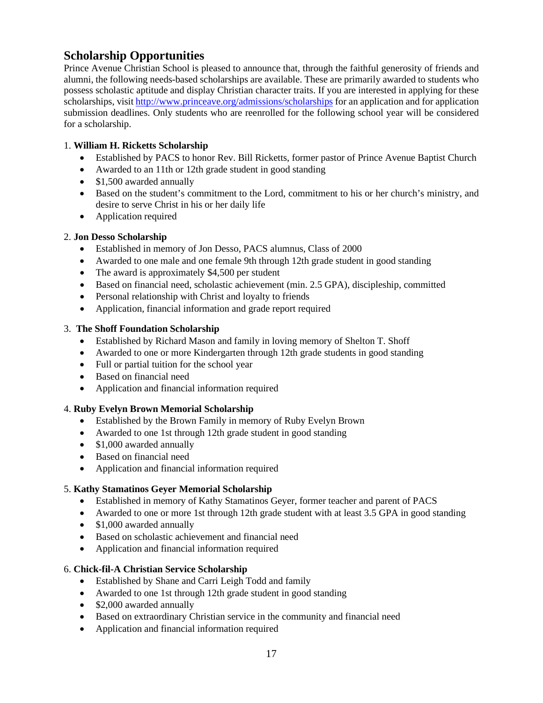## <span id="page-19-0"></span>**Scholarship Opportunities**

Prince Avenue Christian School is pleased to announce that, through the faithful generosity of friends and alumni, the following needs-based scholarships are available. These are primarily awarded to students who possess scholastic aptitude and display Christian character traits. If you are interested in applying for these scholarships, visit<http://www.princeave.org/admissions/scholarships> for an application and for application submission deadlines. Only students who are reenrolled for the following school year will be considered for a scholarship.

### 1. **William H. Ricketts Scholarship**

- Established by PACS to honor Rev. Bill Ricketts, former pastor of Prince Avenue Baptist Church
- Awarded to an 11th or 12th grade student in good standing
- \$1,500 awarded annually
- Based on the student's commitment to the Lord, commitment to his or her church's ministry, and desire to serve Christ in his or her daily life
- Application required

#### 2. **Jon Desso Scholarship**

- Established in memory of Jon Desso, PACS alumnus, Class of 2000
- Awarded to one male and one female 9th through 12th grade student in good standing
- The award is approximately \$4,500 per student
- Based on financial need, scholastic achievement (min. 2.5 GPA), discipleship, committed
- Personal relationship with Christ and loyalty to friends
- Application, financial information and grade report required

#### 3. **The Shoff Foundation Scholarship**

- Established by Richard Mason and family in loving memory of Shelton T. Shoff
- Awarded to one or more Kindergarten through 12th grade students in good standing
- Full or partial tuition for the school year
- Based on financial need
- Application and financial information required

#### 4. **Ruby Evelyn Brown Memorial Scholarship**

- Established by the Brown Family in memory of Ruby Evelyn Brown
- Awarded to one 1st through 12th grade student in good standing
- \$1,000 awarded annually
- Based on financial need
- Application and financial information required

### 5. **Kathy Stamatinos Geyer Memorial Scholarship**

- Established in memory of Kathy Stamatinos Geyer, former teacher and parent of PACS
- Awarded to one or more 1st through 12th grade student with at least 3.5 GPA in good standing
- \$1,000 awarded annually
- Based on scholastic achievement and financial need
- Application and financial information required

#### 6. **Chick-fil-A Christian Service Scholarship**

- Established by Shane and Carri Leigh Todd and family
- Awarded to one 1st through 12th grade student in good standing
- \$2,000 awarded annually
- Based on extraordinary Christian service in the community and financial need
- Application and financial information required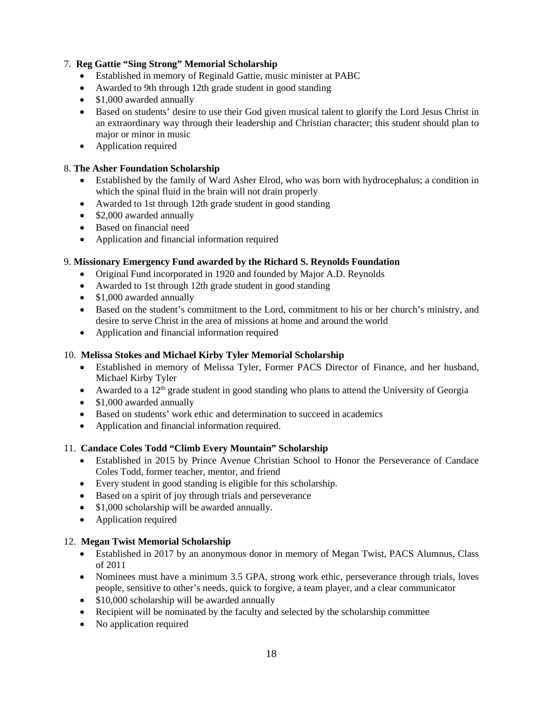### 7. **Reg Gattie "Sing Strong" Memorial Scholarship**

- Established in memory of Reginald Gattie, music minister at PABC
- Awarded to 9th through 12th grade student in good standing
- \$1,000 awarded annually
- Based on students' desire to use their God given musical talent to glorify the Lord Jesus Christ in an extraordinary way through their leadership and Christian character; this student should plan to major or minor in music
- Application required

### 8. **The Asher Foundation Scholarship**

- Established by the family of Ward Asher Elrod, who was born with hydrocephalus; a condition in which the spinal fluid in the brain will not drain properly
- Awarded to 1st through 12th grade student in good standing
- \$2,000 awarded annually
- Based on financial need
- Application and financial information required

### 9. **Missionary Emergency Fund awarded by the Richard S. Reynolds Foundation**

- Original Fund incorporated in 1920 and founded by Major A.D. Reynolds
- Awarded to 1st through 12th grade student in good standing
- \$1,000 awarded annually
- Based on the student's commitment to the Lord, commitment to his or her church's ministry, and desire to serve Christ in the area of missions at home and around the world
- Application and financial information required

### 10. **Melissa Stokes and Michael Kirby Tyler Memorial Scholarship**

- Established in memory of Melissa Tyler, Former PACS Director of Finance, and her husband, Michael Kirby Tyler
- Awarded to a 12<sup>th</sup> grade student in good standing who plans to attend the University of Georgia
- \$1,000 awarded annually
- Based on students' work ethic and determination to succeed in academics
- Application and financial information required.

### 11. **Candace Coles Todd "Climb Every Mountain" Scholarship**

- Established in 2015 by Prince Avenue Christian School to Honor the Perseverance of Candace Coles Todd, former teacher, mentor, and friend
- Every student in good standing is eligible for this scholarship.
- Based on a spirit of joy through trials and perseverance
- \$1,000 scholarship will be awarded annually.
- Application required

### 12. **Megan Twist Memorial Scholarship**

- Established in 2017 by an anonymous donor in memory of Megan Twist, PACS Alumnus, Class of 2011
- Nominees must have a minimum 3.5 GPA, strong work ethic, perseverance through trials, loves people, sensitive to other's needs, quick to forgive, a team player, and a clear communicator
- \$10,000 scholarship will be awarded annually
- Recipient will be nominated by the faculty and selected by the scholarship committee
- No application required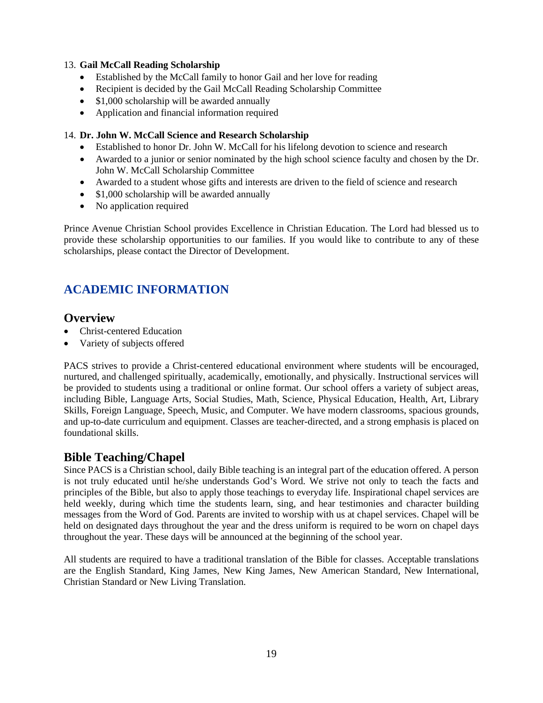#### 13. **Gail McCall Reading Scholarship**

- Established by the McCall family to honor Gail and her love for reading
- Recipient is decided by the Gail McCall Reading Scholarship Committee
- \$1,000 scholarship will be awarded annually
- Application and financial information required

#### 14. **Dr. John W. McCall Science and Research Scholarship**

- Established to honor Dr. John W. McCall for his lifelong devotion to science and research
- Awarded to a junior or senior nominated by the high school science faculty and chosen by the Dr. John W. McCall Scholarship Committee
- Awarded to a student whose gifts and interests are driven to the field of science and research
- \$1,000 scholarship will be awarded annually
- No application required

Prince Avenue Christian School provides Excellence in Christian Education. The Lord had blessed us to provide these scholarship opportunities to our families. If you would like to contribute to any of these scholarships, please contact the Director of Development.

## <span id="page-21-0"></span>**ACADEMIC INFORMATION**

### <span id="page-21-1"></span>**Overview**

- Christ-centered Education
- Variety of subjects offered

PACS strives to provide a Christ-centered educational environment where students will be encouraged, nurtured, and challenged spiritually, academically, emotionally, and physically. Instructional services will be provided to students using a traditional or online format. Our school offers a variety of subject areas, including Bible, Language Arts, Social Studies, Math, Science, Physical Education, Health, Art, Library Skills, Foreign Language, Speech, Music, and Computer. We have modern classrooms, spacious grounds, and up-to-date curriculum and equipment. Classes are teacher-directed, and a strong emphasis is placed on foundational skills.

### <span id="page-21-2"></span>**Bible Teaching/Chapel**

Since PACS is a Christian school, daily Bible teaching is an integral part of the education offered. A person is not truly educated until he/she understands God's Word. We strive not only to teach the facts and principles of the Bible, but also to apply those teachings to everyday life. Inspirational chapel services are held weekly, during which time the students learn, sing, and hear testimonies and character building messages from the Word of God. Parents are invited to worship with us at chapel services. Chapel will be held on designated days throughout the year and the dress uniform is required to be worn on chapel days throughout the year. These days will be announced at the beginning of the school year.

All students are required to have a traditional translation of the Bible for classes. Acceptable translations are the English Standard, King James, New King James, New American Standard, New International, Christian Standard or New Living Translation.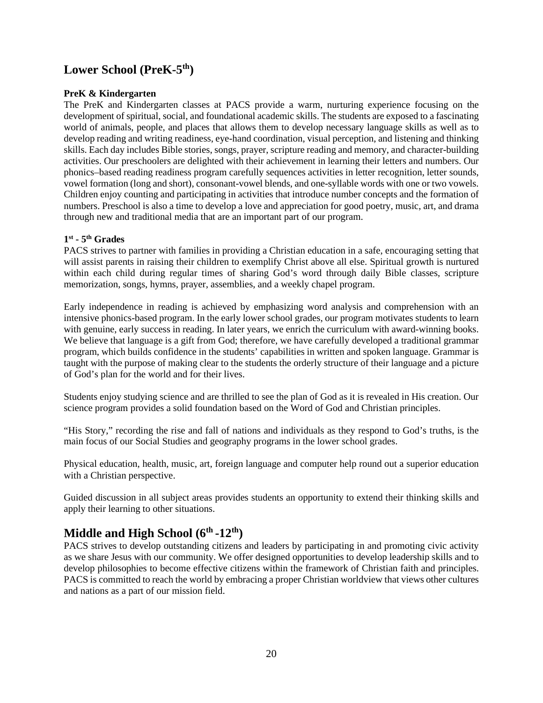## <span id="page-22-0"></span>**Lower School (PreK-5th)**

#### **PreK & Kindergarten**

The PreK and Kindergarten classes at PACS provide a warm, nurturing experience focusing on the development of spiritual, social, and foundational academic skills. The students are exposed to a fascinating world of animals, people, and places that allows them to develop necessary language skills as well as to develop reading and writing readiness, eye-hand coordination, visual perception, and listening and thinking skills. Each day includes Bible stories, songs, prayer, scripture reading and memory, and character-building activities. Our preschoolers are delighted with their achievement in learning their letters and numbers. Our phonics–based reading readiness program carefully sequences activities in letter recognition, letter sounds, vowel formation (long and short), consonant-vowel blends, and one-syllable words with one or two vowels. Children enjoy counting and participating in activities that introduce number concepts and the formation of numbers. Preschool is also a time to develop a love and appreciation for good poetry, music, art, and drama through new and traditional media that are an important part of our program.

#### **1st - 5th Grades**

PACS strives to partner with families in providing a Christian education in a safe, encouraging setting that will assist parents in raising their children to exemplify Christ above all else. Spiritual growth is nurtured within each child during regular times of sharing God's word through daily Bible classes, scripture memorization, songs, hymns, prayer, assemblies, and a weekly chapel program.

Early independence in reading is achieved by emphasizing word analysis and comprehension with an intensive phonics-based program. In the early lower school grades, our program motivates students to learn with genuine, early success in reading. In later years, we enrich the curriculum with award-winning books. We believe that language is a gift from God; therefore, we have carefully developed a traditional grammar program, which builds confidence in the students' capabilities in written and spoken language. Grammar is taught with the purpose of making clear to the students the orderly structure of their language and a picture of God's plan for the world and for their lives.

Students enjoy studying science and are thrilled to see the plan of God as it is revealed in His creation. Our science program provides a solid foundation based on the Word of God and Christian principles.

"His Story," recording the rise and fall of nations and individuals as they respond to God's truths, is the main focus of our Social Studies and geography programs in the lower school grades.

Physical education, health, music, art, foreign language and computer help round out a superior education with a Christian perspective.

Guided discussion in all subject areas provides students an opportunity to extend their thinking skills and apply their learning to other situations.

# <span id="page-22-1"></span>**Middle and High School (6th -12th)**

PACS strives to develop outstanding citizens and leaders by participating in and promoting civic activity as we share Jesus with our community. We offer designed opportunities to develop leadership skills and to develop philosophies to become effective citizens within the framework of Christian faith and principles. PACS is committed to reach the world by embracing a proper Christian worldview that views other cultures and nations as a part of our mission field.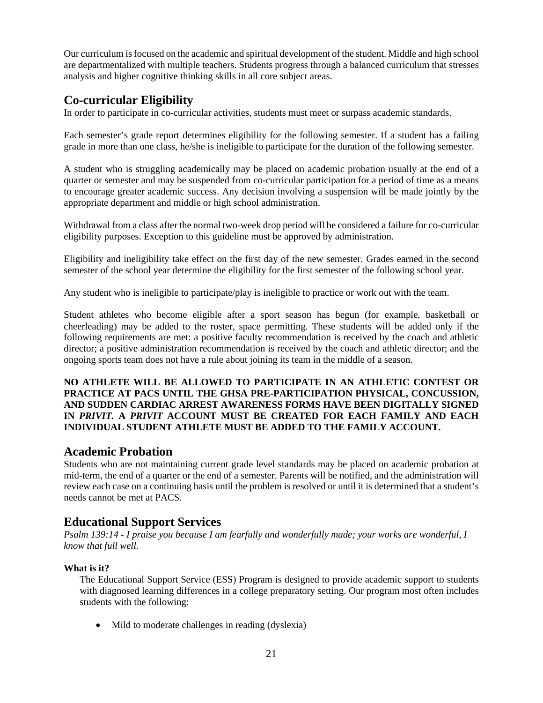Our curriculum is focused on the academic and spiritual development of the student. Middle and high school are departmentalized with multiple teachers. Students progress through a balanced curriculum that stresses analysis and higher cognitive thinking skills in all core subject areas.

## <span id="page-23-0"></span>**Co-curricular Eligibility**

In order to participate in co-curricular activities, students must meet or surpass academic standards.

Each semester's grade report determines eligibility for the following semester. If a student has a failing grade in more than one class, he/she is ineligible to participate for the duration of the following semester.

A student who is struggling academically may be placed on academic probation usually at the end of a quarter or semester and may be suspended from co-curricular participation for a period of time as a means to encourage greater academic success. Any decision involving a suspension will be made jointly by the appropriate department and middle or high school administration.

Withdrawal from a class after the normal two-week drop period will be considered a failure for co-curricular eligibility purposes. Exception to this guideline must be approved by administration.

Eligibility and ineligibility take effect on the first day of the new semester. Grades earned in the second semester of the school year determine the eligibility for the first semester of the following school year.

Any student who is ineligible to participate/play is ineligible to practice or work out with the team.

Student athletes who become eligible after a sport season has begun (for example, basketball or cheerleading) may be added to the roster, space permitting. These students will be added only if the following requirements are met: a positive faculty recommendation is received by the coach and athletic director; a positive administration recommendation is received by the coach and athletic director; and the ongoing sports team does not have a rule about joining its team in the middle of a season.

**NO ATHLETE WILL BE ALLOWED TO PARTICIPATE IN AN ATHLETIC CONTEST OR PRACTICE AT PACS UNTIL THE GHSA PRE-PARTICIPATION PHYSICAL, CONCUSSION, AND SUDDEN CARDIAC ARREST AWARENESS FORMS HAVE BEEN DIGITALLY SIGNED IN** *PRIVIT.* **A** *PRIVIT* **ACCOUNT MUST BE CREATED FOR EACH FAMILY AND EACH INDIVIDUAL STUDENT ATHLETE MUST BE ADDED TO THE FAMILY ACCOUNT.**

### <span id="page-23-1"></span>**Academic Probation**

Students who are not maintaining current grade level standards may be placed on academic probation at mid-term, the end of a quarter or the end of a semester. Parents will be notified, and the administration will review each case on a continuing basis until the problem is resolved or until it is determined that a student's needs cannot be met at PACS.

## <span id="page-23-2"></span>**Educational Support Services**

*Psalm 139:14 - I praise you because I am fearfully and wonderfully made; your works are wonderful, I know that full well.*

### **What is it?**

The Educational Support Service (ESS) Program is designed to provide academic support to students with diagnosed learning differences in a college preparatory setting. Our program most often includes students with the following:

• Mild to moderate challenges in reading (dyslexia)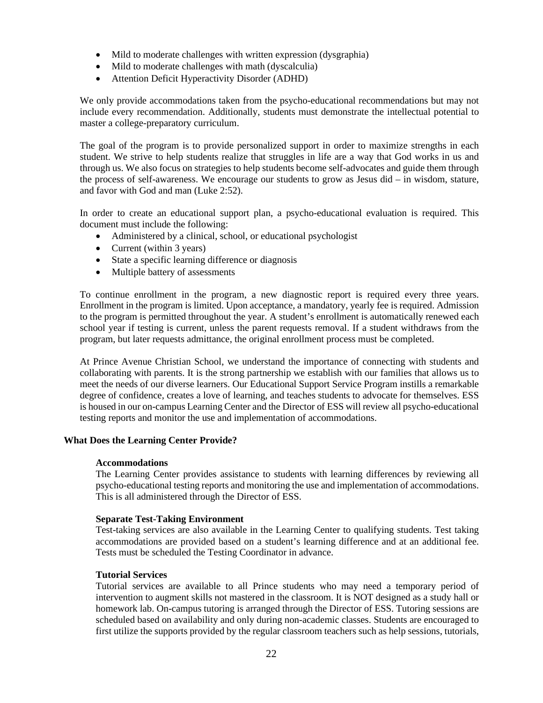- Mild to moderate challenges with written expression (dysgraphia)
- Mild to moderate challenges with math (dyscalculia)
- Attention Deficit Hyperactivity Disorder (ADHD)

We only provide accommodations taken from the psycho-educational recommendations but may not include every recommendation. Additionally, students must demonstrate the intellectual potential to master a college-preparatory curriculum.

The goal of the program is to provide personalized support in order to maximize strengths in each student. We strive to help students realize that struggles in life are a way that God works in us and through us. We also focus on strategies to help students become self-advocates and guide them through the process of self-awareness. We encourage our students to grow as Jesus did – in wisdom, stature, and favor with God and man (Luke 2:52).

In order to create an educational support plan, a psycho-educational evaluation is required. This document must include the following:

- Administered by a clinical, school, or educational psychologist
- Current (within 3 years)
- State a specific learning difference or diagnosis
- Multiple battery of assessments

To continue enrollment in the program, a new diagnostic report is required every three years. Enrollment in the program is limited. Upon acceptance, a mandatory, yearly fee is required. Admission to the program is permitted throughout the year. A student's enrollment is automatically renewed each school year if testing is current, unless the parent requests removal. If a student withdraws from the program, but later requests admittance, the original enrollment process must be completed.

At Prince Avenue Christian School, we understand the importance of connecting with students and collaborating with parents. It is the strong partnership we establish with our families that allows us to meet the needs of our diverse learners. Our Educational Support Service Program instills a remarkable degree of confidence, creates a love of learning, and teaches students to advocate for themselves. ESS is housed in our on-campus Learning Center and the Director of ESS will review all psycho-educational testing reports and monitor the use and implementation of accommodations.

#### **What Does the Learning Center Provide?**

#### **Accommodations**

The Learning Center provides assistance to students with learning differences by reviewing all psycho-educational testing reports and monitoring the use and implementation of accommodations. This is all administered through the Director of ESS.

#### **Separate Test-Taking Environment**

Test-taking services are also available in the Learning Center to qualifying students. Test taking accommodations are provided based on a student's learning difference and at an additional fee. Tests must be scheduled the Testing Coordinator in advance.

#### **Tutorial Services**

Tutorial services are available to all Prince students who may need a temporary period of intervention to augment skills not mastered in the classroom. It is NOT designed as a study hall or homework lab. On-campus tutoring is arranged through the Director of ESS. Tutoring sessions are scheduled based on availability and only during non-academic classes. Students are encouraged to first utilize the supports provided by the regular classroom teachers such as help sessions, tutorials,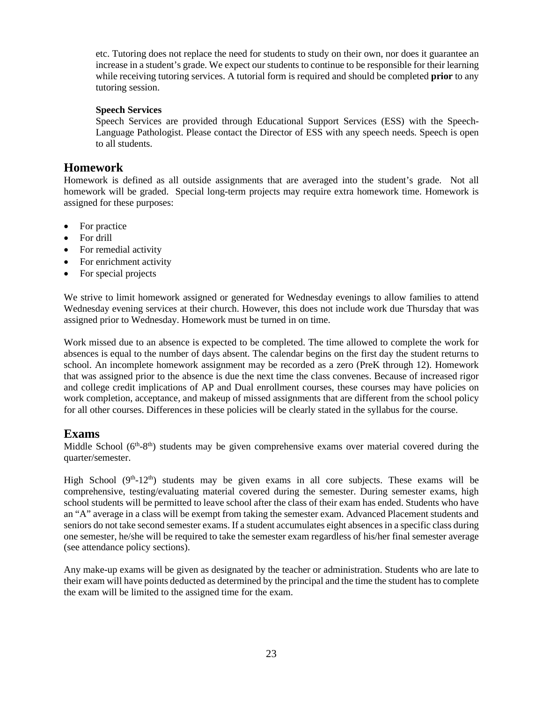etc. Tutoring does not replace the need for students to study on their own, nor does it guarantee an increase in a student's grade. We expect our students to continue to be responsible for their learning while receiving tutoring services. A tutorial form is required and should be completed **prior** to any tutoring session.

#### **Speech Services**

Speech Services are provided through Educational Support Services (ESS) with the Speech-Language Pathologist. Please contact the Director of ESS with any speech needs. Speech is open to all students.

### <span id="page-25-0"></span>**Homework**

Homework is defined as all outside assignments that are averaged into the student's grade. Not all homework will be graded. Special long-term projects may require extra homework time. Homework is assigned for these purposes:

- For practice
- For drill
- For remedial activity
- For enrichment activity
- For special projects

We strive to limit homework assigned or generated for Wednesday evenings to allow families to attend Wednesday evening services at their church. However, this does not include work due Thursday that was assigned prior to Wednesday. Homework must be turned in on time.

Work missed due to an absence is expected to be completed. The time allowed to complete the work for absences is equal to the number of days absent. The calendar begins on the first day the student returns to school. An incomplete homework assignment may be recorded as a zero (PreK through 12). Homework that was assigned prior to the absence is due the next time the class convenes. Because of increased rigor and college credit implications of AP and Dual enrollment courses, these courses may have policies on work completion, acceptance, and makeup of missed assignments that are different from the school policy for all other courses. Differences in these policies will be clearly stated in the syllabus for the course.

### <span id="page-25-1"></span>**Exams**

Middle School  $(6<sup>th</sup>-8<sup>th</sup>)$  students may be given comprehensive exams over material covered during the quarter/semester.

High School  $(9<sup>th</sup>-12<sup>th</sup>)$  students may be given exams in all core subjects. These exams will be comprehensive, testing/evaluating material covered during the semester. During semester exams, high school students will be permitted to leave school after the class of their exam has ended. Students who have an "A" average in a class will be exempt from taking the semester exam. Advanced Placement students and seniors do not take second semester exams. If a student accumulates eight absences in a specific class during one semester, he/she will be required to take the semester exam regardless of his/her final semester average (see attendance policy sections).

Any make-up exams will be given as designated by the teacher or administration. Students who are late to their exam will have points deducted as determined by the principal and the time the student has to complete the exam will be limited to the assigned time for the exam.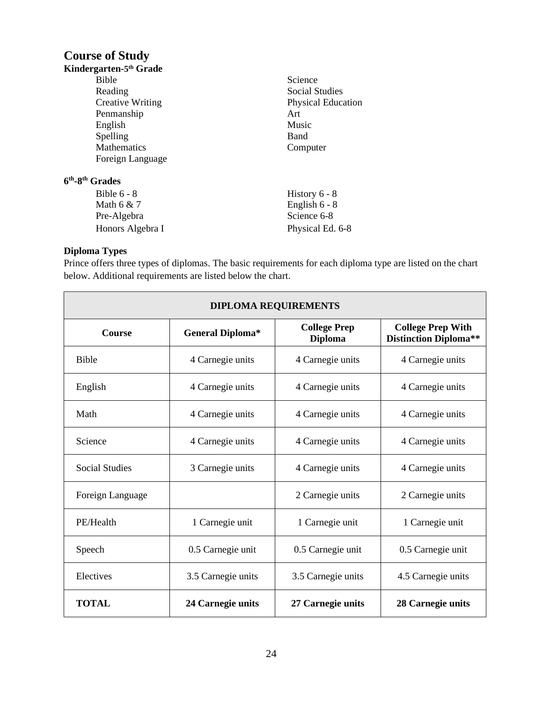## <span id="page-26-0"></span>**Course of Study**

| Kindergarten-5 <sup>th</sup> Grade      |                           |
|-----------------------------------------|---------------------------|
| Bible                                   | Science                   |
| Reading                                 | Social Studies            |
| <b>Creative Writing</b>                 | <b>Physical Education</b> |
| Penmanship                              | Art                       |
| English                                 | Music                     |
| Spelling                                | Band                      |
| Mathematics<br>Computer                 |                           |
| Foreign Language                        |                           |
| 6 <sup>th</sup> -8 <sup>th</sup> Grades |                           |
| Bible $6 - 8$                           | History $6 - 8$           |
| Math $6 & 7$                            | English $6 - 8$           |
| Pre-Algebra                             | Science 6-8               |
| Honors Algebra I                        | Physical Ed. 6-8          |

### **Diploma Types**

Prince offers three types of diplomas. The basic requirements for each diploma type are listed on the chart below. Additional requirements are listed below the chart.

| <b>DIPLOMA REQUIREMENTS</b> |                         |                                       |                                                          |
|-----------------------------|-------------------------|---------------------------------------|----------------------------------------------------------|
| <b>Course</b>               | <b>General Diploma*</b> | <b>College Prep</b><br><b>Diploma</b> | <b>College Prep With</b><br><b>Distinction Diploma**</b> |
| <b>Bible</b>                | 4 Carnegie units        | 4 Carnegie units                      | 4 Carnegie units                                         |
| English                     | 4 Carnegie units        | 4 Carnegie units                      | 4 Carnegie units                                         |
| Math                        | 4 Carnegie units        | 4 Carnegie units                      | 4 Carnegie units                                         |
| Science                     | 4 Carnegie units        | 4 Carnegie units                      | 4 Carnegie units                                         |
| <b>Social Studies</b>       | 3 Carnegie units        | 4 Carnegie units                      | 4 Carnegie units                                         |
| Foreign Language            |                         | 2 Carnegie units                      | 2 Carnegie units                                         |
| PE/Health                   | 1 Carnegie unit         | 1 Carnegie unit                       | 1 Carnegie unit                                          |
| Speech                      | 0.5 Carnegie unit       | 0.5 Carnegie unit                     | 0.5 Carnegie unit                                        |
| Electives                   | 3.5 Carnegie units      | 3.5 Carnegie units                    | 4.5 Carnegie units                                       |
| <b>TOTAL</b>                | 24 Carnegie units       | 27 Carnegie units                     | 28 Carnegie units                                        |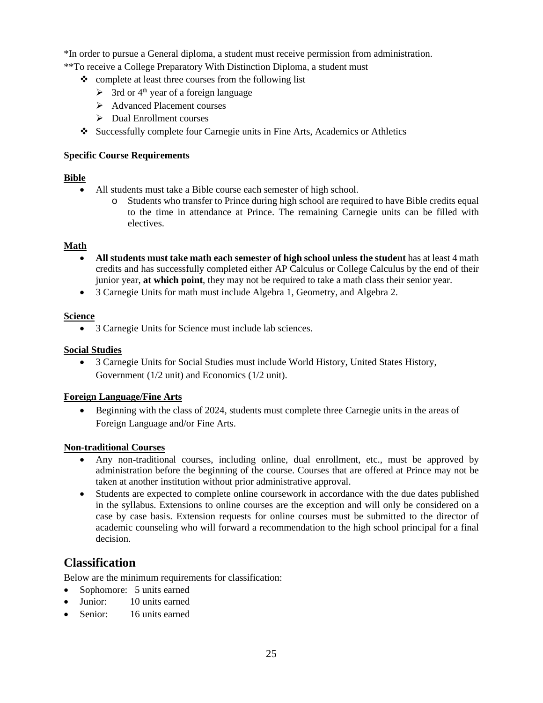\*In order to pursue a General diploma, a student must receive permission from administration.

\*\*To receive a College Preparatory With Distinction Diploma, a student must

- $\triangle$  complete at least three courses from the following list
	- $\geq$  3rd or 4<sup>th</sup> year of a foreign language
	- Advanced Placement courses
	- Dual Enrollment courses
- Successfully complete four Carnegie units in Fine Arts, Academics or Athletics

#### **Specific Course Requirements**

#### **Bible**

- All students must take a Bible course each semester of high school.
	- o Students who transfer to Prince during high school are required to have Bible credits equal to the time in attendance at Prince. The remaining Carnegie units can be filled with electives.

#### **Math**

- **All students must take math each semester of high school unless the student** has at least 4 math credits and has successfully completed either AP Calculus or College Calculus by the end of their junior year, **at which point**, they may not be required to take a math class their senior year.
- 3 Carnegie Units for math must include Algebra 1, Geometry, and Algebra 2.

#### **Science**

• 3 Carnegie Units for Science must include lab sciences.

#### **Social Studies**

• 3 Carnegie Units for Social Studies must include World History, United States History, Government (1/2 unit) and Economics (1/2 unit).

### **Foreign Language/Fine Arts**

• Beginning with the class of 2024, students must complete three Carnegie units in the areas of Foreign Language and/or Fine Arts.

#### **Non-traditional Courses**

- Any non-traditional courses, including online, dual enrollment, etc., must be approved by administration before the beginning of the course. Courses that are offered at Prince may not be taken at another institution without prior administrative approval.
- Students are expected to complete online coursework in accordance with the due dates published in the syllabus. Extensions to online courses are the exception and will only be considered on a case by case basis. Extension requests for online courses must be submitted to the director of academic counseling who will forward a recommendation to the high school principal for a final decision.

## <span id="page-27-0"></span>**Classification**

Below are the minimum requirements for classification:

- Sophomore: 5 units earned
- Junior: 10 units earned
- Senior: 16 units earned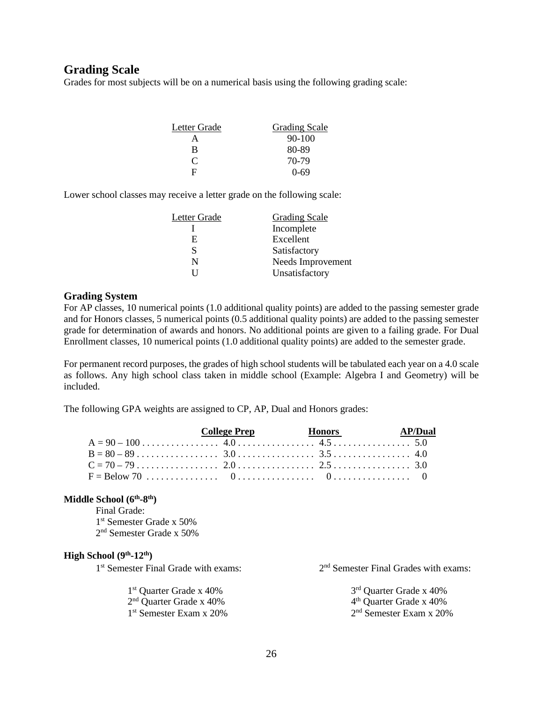### <span id="page-28-0"></span>**Grading Scale**

Grades for most subjects will be on a numerical basis using the following grading scale:

| Letter Grade | <b>Grading Scale</b> |
|--------------|----------------------|
|              | $90 - 100$           |
| R            | 80-89                |
| C            | 70-79                |
| E            | $0 - 69$             |

Lower school classes may receive a letter grade on the following scale:

| Letter Grade | <b>Grading Scale</b> |
|--------------|----------------------|
|              | Incomplete           |
| E.           | Excellent            |
| S            | Satisfactory         |
| N            | Needs Improvement    |
|              | Unsatisfactory       |

#### **Grading System**

For AP classes, 10 numerical points (1.0 additional quality points) are added to the passing semester grade and for Honors classes, 5 numerical points (0.5 additional quality points) are added to the passing semester grade for determination of awards and honors. No additional points are given to a failing grade. For Dual Enrollment classes, 10 numerical points (1.0 additional quality points) are added to the semester grade.

For permanent record purposes, the grades of high school students will be tabulated each year on a 4.0 scale as follows. Any high school class taken in middle school (Example: Algebra I and Geometry) will be included.

The following GPA weights are assigned to CP, AP, Dual and Honors grades:

|                | College Prep Frequency Honors AP/Dual |  |
|----------------|---------------------------------------|--|
|                |                                       |  |
| $B = 80 - 89$  |                                       |  |
| $C = 70 - 79$  |                                       |  |
| $F = Below 70$ |                                       |  |

#### **Middle School (6th-8th)**

Final Grade: 1<sup>st</sup> Semester Grade x 50% 2nd Semester Grade x 50%

#### **High School (9th-12th)**

 $1<sup>st</sup>$  Quarter Grade x 40% 3<sup>rd</sup> Quarter Grade x 40% 3<sup>rd</sup> Quarter Grade x 40% 4<sup>th</sup> Ouarter Grade x 40%  $2<sup>nd</sup>$  Quarter Grade x 40%<br> $1<sup>st</sup>$  Semester Exam x 20%

 $1<sup>st</sup>$  Semester Final Grade with exams:  $2<sup>nd</sup>$  Semester Final Grades with exams:

 $2<sup>nd</sup>$  Semester Exam x 20%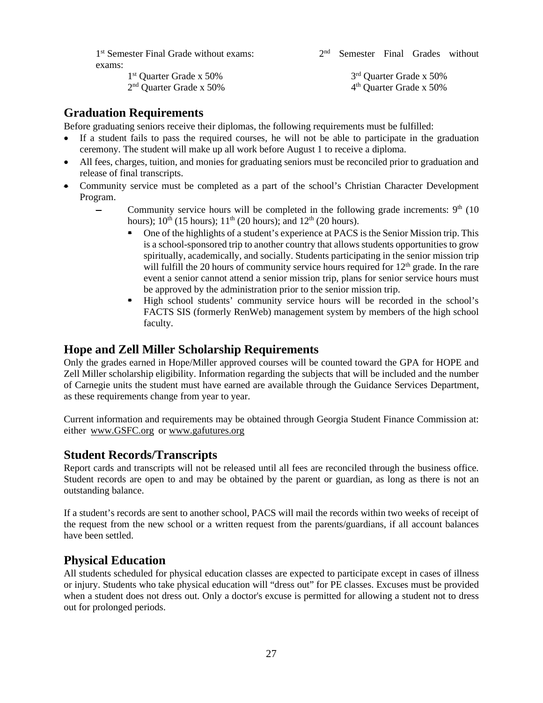1<sup>st</sup> Semester Final Grade without exams: 2<sup>nd</sup> Semester Final Grades without exams:

1<sup>st</sup> Quarter Grade x 50% 3<sup>rd</sup> Quarter Grade x 50% 2<sup>nd</sup> Quarter Grade x 50% 4<sup>th</sup> Quarter Grade x 50%

## <span id="page-29-0"></span>**Graduation Requirements**

Before graduating seniors receive their diplomas, the following requirements must be fulfilled:

- If a student fails to pass the required courses, he will not be able to participate in the graduation ceremony. The student will make up all work before August 1 to receive a diploma.
- All fees, charges, tuition, and monies for graduating seniors must be reconciled prior to graduation and release of final transcripts.
- Community service must be completed as a part of the school's Christian Character Development Program.
	- Community service hours will be completed in the following grade increments:  $9<sup>th</sup>$  (10) hours);  $10^{th}$  (15 hours);  $11^{th}$  (20 hours); and  $12^{th}$  (20 hours).
		- One of the highlights of a student's experience at PACS is the Senior Mission trip. This is a school-sponsored trip to another country that allows students opportunities to grow spiritually, academically, and socially. Students participating in the senior mission trip will fulfill the 20 hours of community service hours required for  $12<sup>th</sup>$  grade. In the rare event a senior cannot attend a senior mission trip, plans for senior service hours must be approved by the administration prior to the senior mission trip.
		- High school students' community service hours will be recorded in the school's FACTS SIS (formerly RenWeb) management system by members of the high school faculty.

### <span id="page-29-1"></span>**Hope and Zell Miller Scholarship Requirements**

Only the grades earned in Hope/Miller approved courses will be counted toward the GPA for HOPE and Zell Miller scholarship eligibility. Information regarding the subjects that will be included and the number of Carnegie units the student must have earned are available through the Guidance Services Department, as these requirements change from year to year.

Current information and requirements may be obtained through Georgia Student Finance Commission at: either www.GSFC.org or www.gafutures.org

### <span id="page-29-2"></span>**Student Records/Transcripts**

Report cards and transcripts will not be released until all fees are reconciled through the business office. Student records are open to and may be obtained by the parent or guardian, as long as there is not an outstanding balance.

If a student's records are sent to another school, PACS will mail the records within two weeks of receipt of the request from the new school or a written request from the parents/guardians, if all account balances have been settled.

### <span id="page-29-3"></span>**Physical Education**

All students scheduled for physical education classes are expected to participate except in cases of illness or injury. Students who take physical education will "dress out" for PE classes. Excuses must be provided when a student does not dress out. Only a doctor's excuse is permitted for allowing a student not to dress out for prolonged periods.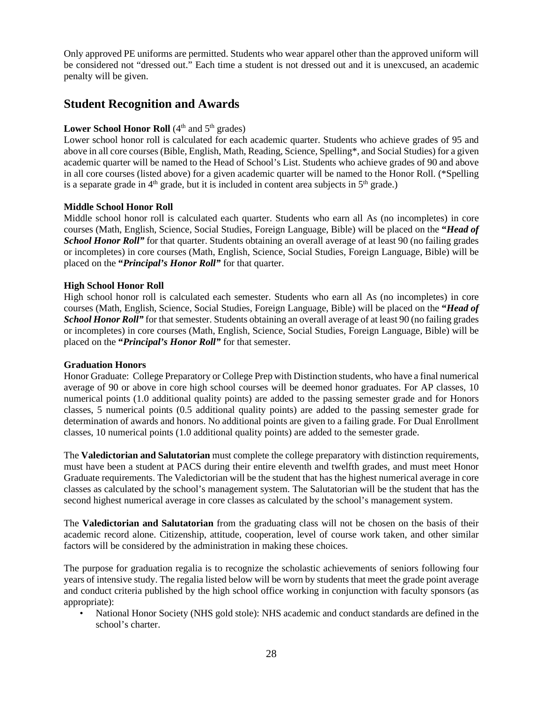Only approved PE uniforms are permitted. Students who wear apparel other than the approved uniform will be considered not "dressed out." Each time a student is not dressed out and it is unexcused, an academic penalty will be given.

## <span id="page-30-0"></span>**Student Recognition and Awards**

#### **Lower School Honor Roll**  $(4<sup>th</sup>$  and  $5<sup>th</sup>$  grades)

Lower school honor roll is calculated for each academic quarter. Students who achieve grades of 95 and above in all core courses (Bible, English, Math, Reading, Science, Spelling\*, and Social Studies) for a given academic quarter will be named to the Head of School's List. Students who achieve grades of 90 and above in all core courses (listed above) for a given academic quarter will be named to the Honor Roll. (\*Spelling is a separate grade in  $4<sup>th</sup>$  grade, but it is included in content area subjects in  $5<sup>th</sup>$  grade.)

#### **Middle School Honor Roll**

Middle school honor roll is calculated each quarter. Students who earn all As (no incompletes) in core courses (Math, English, Science, Social Studies, Foreign Language, Bible) will be placed on the **"***Head of School Honor Roll*" for that quarter. Students obtaining an overall average of at least 90 (no failing grades or incompletes) in core courses (Math, English, Science, Social Studies, Foreign Language, Bible) will be placed on the **"***Principal's Honor Roll"* for that quarter.

#### **High School Honor Roll**

High school honor roll is calculated each semester. Students who earn all As (no incompletes) in core courses (Math, English, Science, Social Studies, Foreign Language, Bible) will be placed on the **"***Head of School Honor Roll*" for that semester. Students obtaining an overall average of at least 90 (no failing grades or incompletes) in core courses (Math, English, Science, Social Studies, Foreign Language, Bible) will be placed on the **"***Principal's Honor Roll"* for that semester.

#### **Graduation Honors**

Honor Graduate: College Preparatory or College Prep with Distinction students, who have a final numerical average of 90 or above in core high school courses will be deemed honor graduates. For AP classes, 10 numerical points (1.0 additional quality points) are added to the passing semester grade and for Honors classes, 5 numerical points (0.5 additional quality points) are added to the passing semester grade for determination of awards and honors. No additional points are given to a failing grade. For Dual Enrollment classes, 10 numerical points (1.0 additional quality points) are added to the semester grade.

The **Valedictorian and Salutatorian** must complete the college preparatory with distinction requirements, must have been a student at PACS during their entire eleventh and twelfth grades, and must meet Honor Graduate requirements. The Valedictorian will be the student that has the highest numerical average in core classes as calculated by the school's management system. The Salutatorian will be the student that has the second highest numerical average in core classes as calculated by the school's management system.

The **Valedictorian and Salutatorian** from the graduating class will not be chosen on the basis of their academic record alone. Citizenship, attitude, cooperation, level of course work taken, and other similar factors will be considered by the administration in making these choices.

The purpose for graduation regalia is to recognize the scholastic achievements of seniors following four years of intensive study. The regalia listed below will be worn by students that meet the grade point average and conduct criteria published by the high school office working in conjunction with faculty sponsors (as appropriate):

• National Honor Society (NHS gold stole): NHS academic and conduct standards are defined in the school's charter.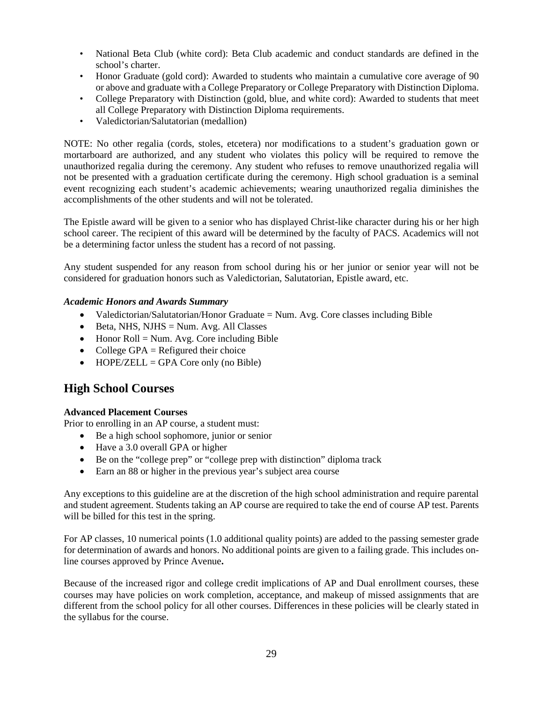- National Beta Club (white cord): Beta Club academic and conduct standards are defined in the school's charter.
- Honor Graduate (gold cord): Awarded to students who maintain a cumulative core average of 90 or above and graduate with a College Preparatory or College Preparatory with Distinction Diploma.
- College Preparatory with Distinction (gold, blue, and white cord): Awarded to students that meet all College Preparatory with Distinction Diploma requirements.
- Valedictorian/Salutatorian (medallion)

NOTE: No other regalia (cords, stoles, etcetera) nor modifications to a student's graduation gown or mortarboard are authorized, and any student who violates this policy will be required to remove the unauthorized regalia during the ceremony. Any student who refuses to remove unauthorized regalia will not be presented with a graduation certificate during the ceremony. High school graduation is a seminal event recognizing each student's academic achievements; wearing unauthorized regalia diminishes the accomplishments of the other students and will not be tolerated.

The Epistle award will be given to a senior who has displayed Christ-like character during his or her high school career. The recipient of this award will be determined by the faculty of PACS. Academics will not be a determining factor unless the student has a record of not passing.

Any student suspended for any reason from school during his or her junior or senior year will not be considered for graduation honors such as Valedictorian, Salutatorian, Epistle award, etc.

#### *Academic Honors and Awards Summary*

- Valedictorian/Salutatorian/Honor Graduate = Num. Avg. Core classes including Bible
- Beta, NHS, NJHS = Num. Avg. All Classes
- Honor Roll = Num. Avg. Core including Bible
- College GPA  $=$  Refigured their choice
- HOPE/ZELL = GPA Core only (no Bible)

### <span id="page-31-0"></span>**High School Courses**

#### **Advanced Placement Courses**

Prior to enrolling in an AP course, a student must:

- Be a high school sophomore, junior or senior
- Have a 3.0 overall GPA or higher
- Be on the "college prep" or "college prep with distinction" diploma track
- Earn an 88 or higher in the previous year's subject area course

Any exceptions to this guideline are at the discretion of the high school administration and require parental and student agreement. Students taking an AP course are required to take the end of course AP test. Parents will be billed for this test in the spring.

For AP classes, 10 numerical points (1.0 additional quality points) are added to the passing semester grade for determination of awards and honors. No additional points are given to a failing grade. This includes online courses approved by Prince Avenue**.** 

Because of the increased rigor and college credit implications of AP and Dual enrollment courses, these courses may have policies on work completion, acceptance, and makeup of missed assignments that are different from the school policy for all other courses. Differences in these policies will be clearly stated in the syllabus for the course.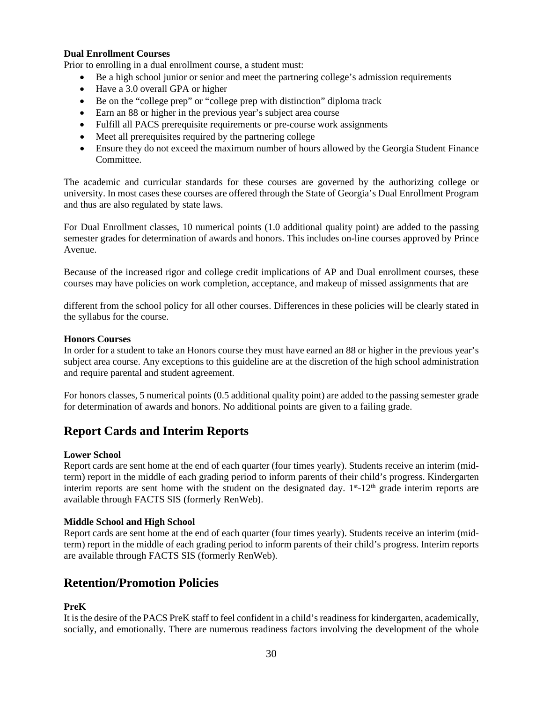#### **Dual Enrollment Courses**

Prior to enrolling in a dual enrollment course, a student must:

- Be a high school junior or senior and meet the partnering college's admission requirements
- Have a 3.0 overall GPA or higher
- Be on the "college prep" or "college prep with distinction" diploma track
- Earn an 88 or higher in the previous year's subject area course
- Fulfill all PACS prerequisite requirements or pre-course work assignments
- Meet all prerequisites required by the partnering college
- Ensure they do not exceed the maximum number of hours allowed by the Georgia Student Finance Committee.

The academic and curricular standards for these courses are governed by the authorizing college or university. In most cases these courses are offered through the State of Georgia's Dual Enrollment Program and thus are also regulated by state laws.

For Dual Enrollment classes, 10 numerical points (1.0 additional quality point) are added to the passing semester grades for determination of awards and honors. This includes on-line courses approved by Prince Avenue.

Because of the increased rigor and college credit implications of AP and Dual enrollment courses, these courses may have policies on work completion, acceptance, and makeup of missed assignments that are

different from the school policy for all other courses. Differences in these policies will be clearly stated in the syllabus for the course.

#### **Honors Courses**

In order for a student to take an Honors course they must have earned an 88 or higher in the previous year's subject area course. Any exceptions to this guideline are at the discretion of the high school administration and require parental and student agreement.

For honors classes, 5 numerical points (0.5 additional quality point) are added to the passing semester grade for determination of awards and honors. No additional points are given to a failing grade.

### <span id="page-32-0"></span>**Report Cards and Interim Reports**

#### **Lower School**

Report cards are sent home at the end of each quarter (four times yearly). Students receive an interim (midterm) report in the middle of each grading period to inform parents of their child's progress. Kindergarten interim reports are sent home with the student on the designated day.  $1<sup>st</sup>$ -12<sup>th</sup> grade interim reports are available through FACTS SIS (formerly RenWeb).

#### **Middle School and High School**

Report cards are sent home at the end of each quarter (four times yearly). Students receive an interim (midterm) report in the middle of each grading period to inform parents of their child's progress. Interim reports are available through FACTS SIS (formerly RenWeb).

### <span id="page-32-1"></span>**Retention/Promotion Policies**

#### **PreK**

It is the desire of the PACS PreK staff to feel confident in a child's readiness for kindergarten, academically, socially, and emotionally. There are numerous readiness factors involving the development of the whole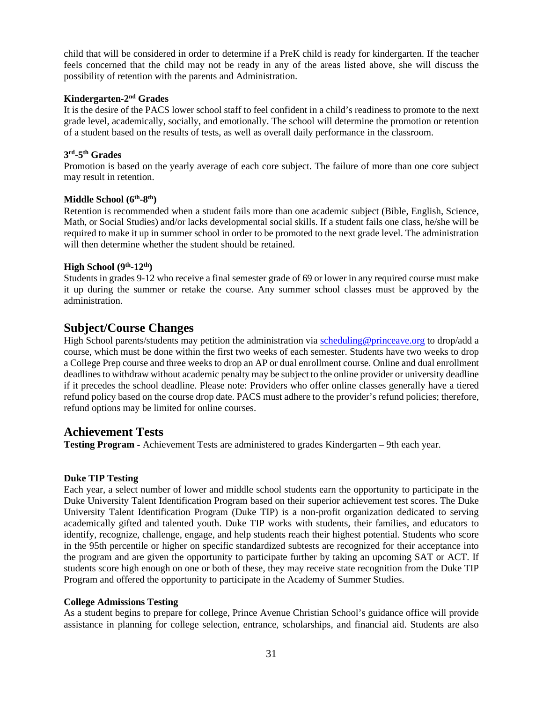child that will be considered in order to determine if a PreK child is ready for kindergarten. If the teacher feels concerned that the child may not be ready in any of the areas listed above, she will discuss the possibility of retention with the parents and Administration.

#### **Kindergarten-2nd Grades**

It is the desire of the PACS lower school staff to feel confident in a child's readiness to promote to the next grade level, academically, socially, and emotionally. The school will determine the promotion or retention of a student based on the results of tests, as well as overall daily performance in the classroom.

#### **3rd-5th Grades**

Promotion is based on the yearly average of each core subject. The failure of more than one core subject may result in retention.

#### **Middle School (6th-8th)**

Retention is recommended when a student fails more than one academic subject (Bible, English, Science, Math, or Social Studies) and/or lacks developmental social skills. If a student fails one class, he/she will be required to make it up in summer school in order to be promoted to the next grade level. The administration will then determine whether the student should be retained.

#### **High School (9th-12th)**

Students in grades 9-12 who receive a final semester grade of 69 or lower in any required course must make it up during the summer or retake the course. Any summer school classes must be approved by the administration.

### <span id="page-33-0"></span>**Subject/Course Changes**

High School parents/students may petition the administration via [scheduling@princeave.org](mailto:scheduling@princeave.org) to drop/add a course, which must be done within the first two weeks of each semester. Students have two weeks to drop a College Prep course and three weeks to drop an AP or dual enrollment course. Online and dual enrollment deadlines to withdraw without academic penalty may be subject to the online provider or university deadline if it precedes the school deadline. Please note: Providers who offer online classes generally have a tiered refund policy based on the course drop date. PACS must adhere to the provider's refund policies; therefore, refund options may be limited for online courses.

### <span id="page-33-1"></span>**Achievement Tests**

**Testing Program -** Achievement Tests are administered to grades Kindergarten – 9th each year.

#### **Duke TIP Testing**

Each year, a select number of lower and middle school students earn the opportunity to participate in the Duke University Talent Identification Program based on their superior achievement test scores. The Duke University Talent Identification Program (Duke TIP) is a non-profit organization dedicated to serving academically gifted and talented youth. Duke TIP works with students, their families, and educators to identify, recognize, challenge, engage, and help students reach their highest potential. Students who score in the 95th percentile or higher on specific standardized subtests are recognized for their acceptance into the program and are given the opportunity to participate further by taking an upcoming SAT or ACT. If students score high enough on one or both of these, they may receive state recognition from the Duke TIP Program and offered the opportunity to participate in the Academy of Summer Studies.

#### **College Admissions Testing**

As a student begins to prepare for college, Prince Avenue Christian School's guidance office will provide assistance in planning for college selection, entrance, scholarships, and financial aid. Students are also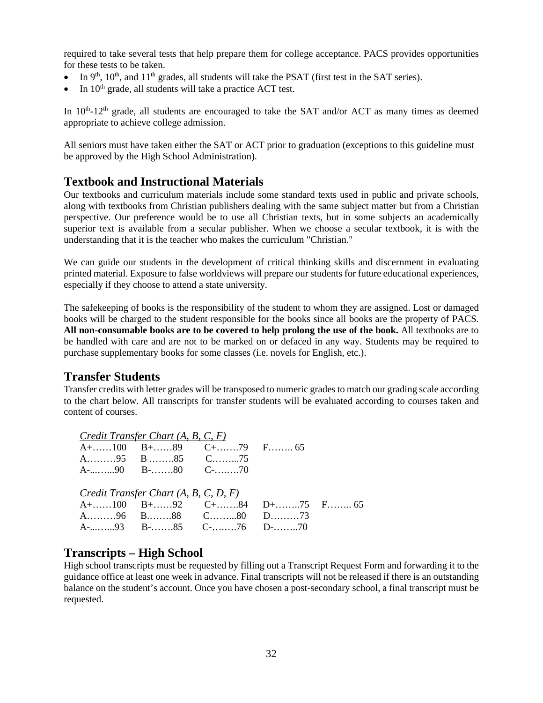required to take several tests that help prepare them for college acceptance. PACS provides opportunities for these tests to be taken.

- In  $9<sup>th</sup>$ ,  $10<sup>th</sup>$ , and  $11<sup>th</sup>$  grades, all students will take the PSAT (first test in the SAT series).
- In  $10^{th}$  grade, all students will take a practice ACT test.

In  $10<sup>th</sup>$ -12<sup>th</sup> grade, all students are encouraged to take the SAT and/or ACT as many times as deemed appropriate to achieve college admission.

All seniors must have taken either the SAT or ACT prior to graduation (exceptions to this guideline must be approved by the High School Administration).

### <span id="page-34-0"></span>**Textbook and Instructional Materials**

Our textbooks and curriculum materials include some standard texts used in public and private schools, along with textbooks from Christian publishers dealing with the same subject matter but from a Christian perspective. Our preference would be to use all Christian texts, but in some subjects an academically superior text is available from a secular publisher. When we choose a secular textbook, it is with the understanding that it is the teacher who makes the curriculum "Christian."

We can guide our students in the development of critical thinking skills and discernment in evaluating printed material. Exposure to false worldviews will prepare our students for future educational experiences, especially if they choose to attend a state university.

The safekeeping of books is the responsibility of the student to whom they are assigned. Lost or damaged books will be charged to the student responsible for the books since all books are the property of PACS. **All non-consumable books are to be covered to help prolong the use of the book.** All textbooks are to be handled with care and are not to be marked on or defaced in any way. Students may be required to purchase supplementary books for some classes (i.e. novels for English, etc.).

### <span id="page-34-1"></span>**Transfer Students**

Transfer credits with letter grades will be transposed to numeric grades to match our grading scale according to the chart below. All transcripts for transfer students will be evaluated according to courses taken and content of courses.

| Credit Transfer Chart $(A, B, C, F)$    |                                                                                           |  |
|-----------------------------------------|-------------------------------------------------------------------------------------------|--|
|                                         | $A + \dots 100 \quad B + \dots 89 \quad C + \dots 79 \quad F \dots 65$                    |  |
| A95 B85 C75                             |                                                                                           |  |
|                                         |                                                                                           |  |
|                                         |                                                                                           |  |
| Credit Transfer Chart $(A, B, C, D, F)$ |                                                                                           |  |
|                                         | $A + \dots 100 \quad B + \dots 92 \quad C + \dots 84 \quad D + \dots 75 \quad F \dots 65$ |  |
|                                         | A96 B88 C80 D73                                                                           |  |
|                                         | A-93 B-85 C-76 D-70                                                                       |  |

### <span id="page-34-2"></span>**Transcripts – High School**

High school transcripts must be requested by filling out a Transcript Request Form and forwarding it to the guidance office at least one week in advance. Final transcripts will not be released if there is an outstanding balance on the student's account. Once you have chosen a post-secondary school, a final transcript must be requested.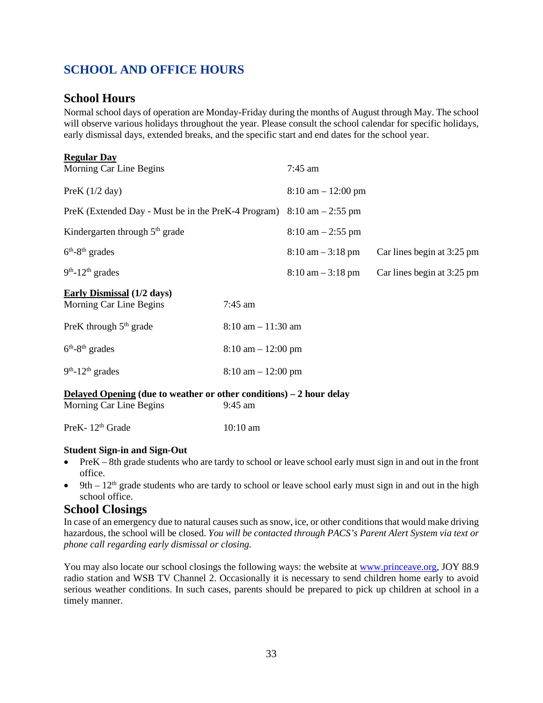## <span id="page-35-0"></span>**SCHOOL AND OFFICE HOURS**

### <span id="page-35-1"></span>**School Hours**

 Normal school days of operation are Monday-Friday during the months of August through May. The school will observe various holidays throughout the year. Please consult the school calendar for specific holidays, early dismissal days, extended breaks, and the specific start and end dates for the school year.

| <b>Regular Day</b>                                                                      |                                      |                                      |                            |
|-----------------------------------------------------------------------------------------|--------------------------------------|--------------------------------------|----------------------------|
| Morning Car Line Begins                                                                 |                                      | $7:45$ am                            |                            |
| PreK $(1/2$ day)                                                                        |                                      | $8:10 \text{ am} - 12:00 \text{ pm}$ |                            |
| PreK (Extended Day - Must be in the PreK-4 Program) $8:10 \text{ am} - 2:55 \text{ pm}$ |                                      |                                      |                            |
| Kindergarten through $5th$ grade                                                        |                                      | $8:10$ am $-2:55$ pm                 |                            |
| $6th - 8th$ grades                                                                      |                                      | $8:10 \text{ am} - 3:18 \text{ pm}$  | Car lines begin at 3:25 pm |
| $9th - 12th$ grades                                                                     |                                      | $8:10 \text{ am} - 3:18 \text{ pm}$  | Car lines begin at 3:25 pm |
| <b>Early Dismissal</b> (1/2 days)                                                       |                                      |                                      |                            |
| Morning Car Line Begins                                                                 | $7:45$ am                            |                                      |                            |
| PreK through $5th$ grade                                                                | $8:10$ am $-11:30$ am                |                                      |                            |
| $6th-8th$ grades                                                                        | $8:10 \text{ am} - 12:00 \text{ pm}$ |                                      |                            |
| $9th$ -12 <sup>th</sup> grades                                                          | $8:10 \text{ am} - 12:00 \text{ pm}$ |                                      |                            |
| Delayed Opening (due to weather or other conditions) – 2 hour delay                     |                                      |                                      |                            |
| Morning Car Line Begins                                                                 | 9:45 am                              |                                      |                            |
| PreK-12 <sup>th</sup> Grade                                                             | $10:10$ am                           |                                      |                            |

#### **Student Sign-in and Sign-Out**

- PreK 8th grade students who are tardy to school or leave school early must sign in and out in the front office.
- 9th  $12<sup>th</sup>$  grade students who are tardy to school or leave school early must sign in and out in the high school office.

### <span id="page-35-2"></span>**School Closings**

In case of an emergency due to natural causes such as snow, ice, or other conditions that would make driving hazardous, the school will be closed. *You will be contacted through PACS's Parent Alert System via text or phone call regarding early dismissal or closing.*

You may also locate our school closings the following ways: the website a[t www.princeave.org,](http://www.princeave.org/) JOY 88.9 radio station and WSB TV Channel 2. Occasionally it is necessary to send children home early to avoid serious weather conditions. In such cases, parents should be prepared to pick up children at school in a timely manner.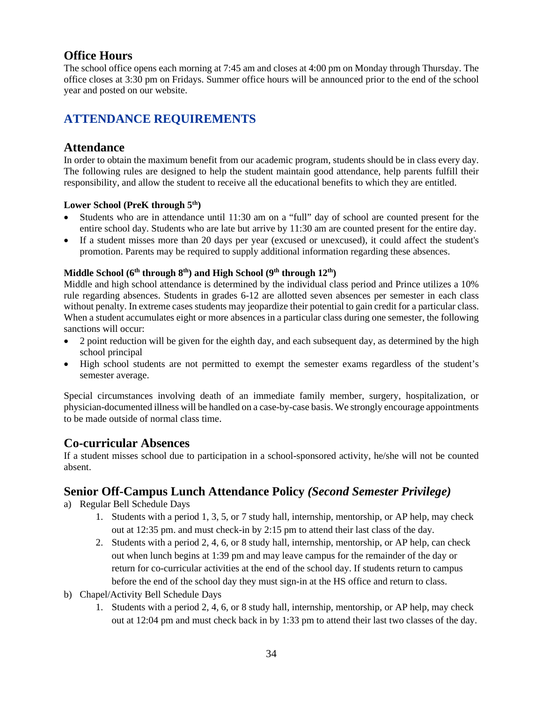## <span id="page-36-0"></span>**Office Hours**

The school office opens each morning at 7:45 am and closes at 4:00 pm on Monday through Thursday. The office closes at 3:30 pm on Fridays. Summer office hours will be announced prior to the end of the school year and posted on our website.

## <span id="page-36-1"></span>**ATTENDANCE REQUIREMENTS**

### <span id="page-36-2"></span>**Attendance**

In order to obtain the maximum benefit from our academic program, students should be in class every day. The following rules are designed to help the student maintain good attendance, help parents fulfill their responsibility, and allow the student to receive all the educational benefits to which they are entitled.

### Lower School (PreK through 5<sup>th</sup>)

- Students who are in attendance until 11:30 am on a "full" day of school are counted present for the entire school day. Students who are late but arrive by 11:30 am are counted present for the entire day.
- If a student misses more than 20 days per year (excused or unexcused), it could affect the student's promotion. Parents may be required to supply additional information regarding these absences.

## **Middle School (6th through 8th) and High School (9th through 12th)**

Middle and high school attendance is determined by the individual class period and Prince utilizes a 10% rule regarding absences. Students in grades 6-12 are allotted seven absences per semester in each class without penalty. In extreme cases students may jeopardize their potential to gain credit for a particular class. When a student accumulates eight or more absences in a particular class during one semester, the following sanctions will occur:

- 2 point reduction will be given for the eighth day, and each subsequent day, as determined by the high school principal
- High school students are not permitted to exempt the semester exams regardless of the student's semester average.

Special circumstances involving death of an immediate family member, surgery, hospitalization, or physician-documented illness will be handled on a case-by-case basis. We strongly encourage appointments to be made outside of normal class time.

### <span id="page-36-3"></span>**Co-curricular Absences**

If a student misses school due to participation in a school-sponsored activity, he/she will not be counted absent.

### <span id="page-36-4"></span>**Senior Off-Campus Lunch Attendance Policy** *(Second Semester Privilege)*

- a) Regular Bell Schedule Days
	- 1. Students with a period 1, 3, 5, or 7 study hall, internship, mentorship, or AP help, may check out at 12:35 pm. and must check-in by 2:15 pm to attend their last class of the day.
	- 2. Students with a period 2, 4, 6, or 8 study hall, internship, mentorship, or AP help, can check out when lunch begins at 1:39 pm and may leave campus for the remainder of the day or return for co-curricular activities at the end of the school day. If students return to campus before the end of the school day they must sign-in at the HS office and return to class.
- b) Chapel/Activity Bell Schedule Days
	- 1. Students with a period 2, 4, 6, or 8 study hall, internship, mentorship, or AP help, may check out at 12:04 pm and must check back in by 1:33 pm to attend their last two classes of the day.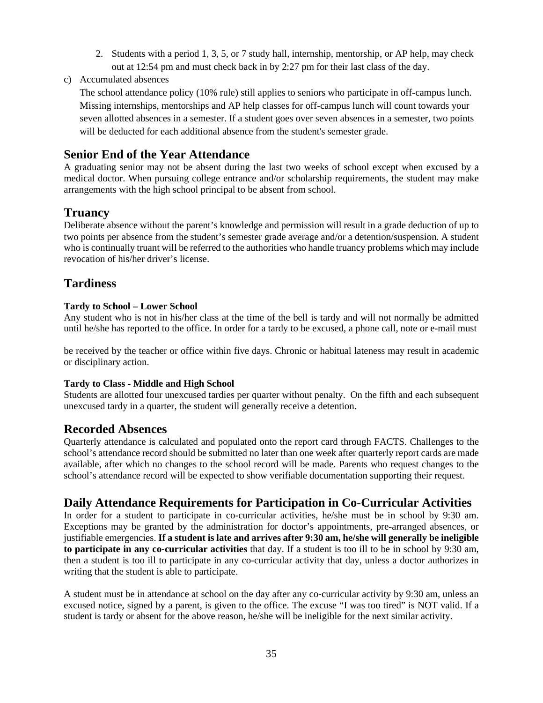- 2. Students with a period 1, 3, 5, or 7 study hall, internship, mentorship, or AP help, may check out at 12:54 pm and must check back in by 2:27 pm for their last class of the day.
- c) Accumulated absences

The school attendance policy (10% rule) still applies to seniors who participate in off-campus lunch. Missing internships, mentorships and AP help classes for off-campus lunch will count towards your seven allotted absences in a semester. If a student goes over seven absences in a semester, two points will be deducted for each additional absence from the student's semester grade.

## <span id="page-37-0"></span>**Senior End of the Year Attendance**

A graduating senior may not be absent during the last two weeks of school except when excused by a medical doctor. When pursuing college entrance and/or scholarship requirements, the student may make arrangements with the high school principal to be absent from school.

### <span id="page-37-1"></span>**Truancy**

Deliberate absence without the parent's knowledge and permission will result in a grade deduction of up to two points per absence from the student's semester grade average and/or a detention/suspension. A student who is continually truant will be referred to the authorities who handle truancy problems which may include revocation of his/her driver's license.

## <span id="page-37-2"></span>**Tardiness**

#### **Tardy to School – Lower School**

Any student who is not in his/her class at the time of the bell is tardy and will not normally be admitted until he/she has reported to the office. In order for a tardy to be excused, a phone call, note or e-mail must

be received by the teacher or office within five days. Chronic or habitual lateness may result in academic or disciplinary action.

### **Tardy to Class - Middle and High School**

Students are allotted four unexcused tardies per quarter without penalty. On the fifth and each subsequent unexcused tardy in a quarter, the student will generally receive a detention.

### <span id="page-37-3"></span>**Recorded Absences**

Quarterly attendance is calculated and populated onto the report card through FACTS. Challenges to the school's attendance record should be submitted no later than one week after quarterly report cards are made available, after which no changes to the school record will be made. Parents who request changes to the school's attendance record will be expected to show verifiable documentation supporting their request.

### <span id="page-37-4"></span>**Daily Attendance Requirements for Participation in Co-Curricular Activities**

In order for a student to participate in co-curricular activities, he/she must be in school by 9:30 am. Exceptions may be granted by the administration for doctor's appointments, pre-arranged absences, or justifiable emergencies. **If a student is late and arrives after 9:30 am, he/she will generally be ineligible to participate in any co-curricular activities** that day. If a student is too ill to be in school by 9:30 am, then a student is too ill to participate in any co-curricular activity that day, unless a doctor authorizes in writing that the student is able to participate.

A student must be in attendance at school on the day after any co-curricular activity by 9:30 am, unless an excused notice, signed by a parent, is given to the office. The excuse "I was too tired" is NOT valid. If a student is tardy or absent for the above reason, he/she will be ineligible for the next similar activity.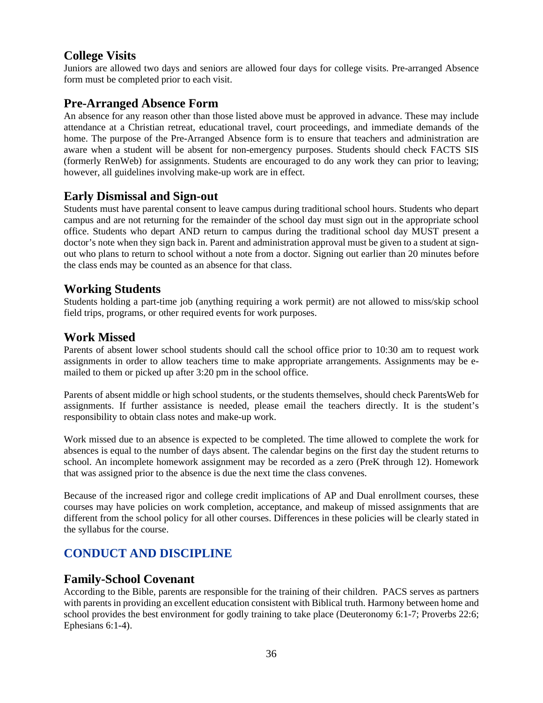## <span id="page-38-0"></span>**College Visits**

Juniors are allowed two days and seniors are allowed four days for college visits. Pre-arranged Absence form must be completed prior to each visit.

### <span id="page-38-1"></span>**Pre-Arranged Absence Form**

An absence for any reason other than those listed above must be approved in advance. These may include attendance at a Christian retreat, educational travel, court proceedings, and immediate demands of the home. The purpose of the Pre-Arranged Absence form is to ensure that teachers and administration are aware when a student will be absent for non-emergency purposes. Students should check FACTS SIS (formerly RenWeb) for assignments. Students are encouraged to do any work they can prior to leaving; however, all guidelines involving make-up work are in effect.

### <span id="page-38-2"></span>**Early Dismissal and Sign-out**

Students must have parental consent to leave campus during traditional school hours. Students who depart campus and are not returning for the remainder of the school day must sign out in the appropriate school office. Students who depart AND return to campus during the traditional school day MUST present a doctor's note when they sign back in. Parent and administration approval must be given to a student at signout who plans to return to school without a note from a doctor. Signing out earlier than 20 minutes before the class ends may be counted as an absence for that class.

### <span id="page-38-3"></span>**Working Students**

Students holding a part-time job (anything requiring a work permit) are not allowed to miss/skip school field trips, programs, or other required events for work purposes.

### <span id="page-38-4"></span>**Work Missed**

Parents of absent lower school students should call the school office prior to 10:30 am to request work assignments in order to allow teachers time to make appropriate arrangements. Assignments may be emailed to them or picked up after 3:20 pm in the school office.

Parents of absent middle or high school students, or the students themselves, should check ParentsWeb for assignments. If further assistance is needed, please email the teachers directly. It is the student's responsibility to obtain class notes and make-up work.

Work missed due to an absence is expected to be completed. The time allowed to complete the work for absences is equal to the number of days absent. The calendar begins on the first day the student returns to school. An incomplete homework assignment may be recorded as a zero (PreK through 12). Homework that was assigned prior to the absence is due the next time the class convenes.

Because of the increased rigor and college credit implications of AP and Dual enrollment courses, these courses may have policies on work completion, acceptance, and makeup of missed assignments that are different from the school policy for all other courses. Differences in these policies will be clearly stated in the syllabus for the course.

## <span id="page-38-5"></span>**CONDUCT AND DISCIPLINE**

### <span id="page-38-6"></span>**Family-School Covenant**

According to the Bible, parents are responsible for the training of their children. PACS serves as partners with parents in providing an excellent education consistent with Biblical truth. Harmony between home and school provides the best environment for godly training to take place (Deuteronomy 6:1-7; Proverbs 22:6; Ephesians 6:1-4).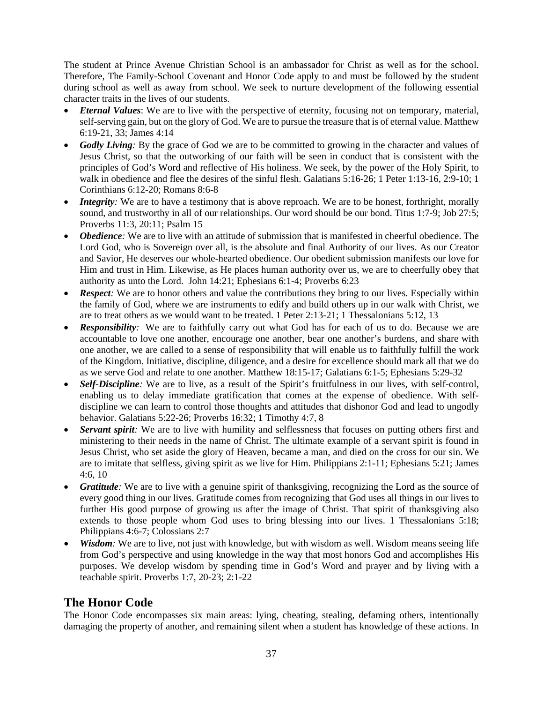The student at Prince Avenue Christian School is an ambassador for Christ as well as for the school. Therefore, The Family-School Covenant and Honor Code apply to and must be followed by the student during school as well as away from school. We seek to nurture development of the following essential character traits in the lives of our students.

- *Eternal Values*: We are to live with the perspective of eternity, focusing not on temporary, material, self-serving gain, but on the glory of God. We are to pursue the treasure that is of eternal value. Matthew 6:19-21, 33; James 4:14
- Godly Living: By the grace of God we are to be committed to growing in the character and values of Jesus Christ, so that the outworking of our faith will be seen in conduct that is consistent with the principles of God's Word and reflective of His holiness. We seek, by the power of the Holy Spirit, to walk in obedience and flee the desires of the sinful flesh. Galatians 5:16-26; 1 Peter 1:13-16, 2:9-10; 1 Corinthians 6:12-20; Romans 8:6-8
- *Integrity*: We are to have a testimony that is above reproach. We are to be honest, forthright, morally sound, and trustworthy in all of our relationships. Our word should be our bond. Titus 1:7-9; Job 27:5; Proverbs 11:3, 20:11; Psalm 15
- *Obedience*: We are to live with an attitude of submission that is manifested in cheerful obedience. The Lord God, who is Sovereign over all, is the absolute and final Authority of our lives. As our Creator and Savior, He deserves our whole-hearted obedience. Our obedient submission manifests our love for Him and trust in Him. Likewise, as He places human authority over us, we are to cheerfully obey that authority as unto the Lord. John 14:21; Ephesians 6:1-4; Proverbs 6:23
- *Respect*: We are to honor others and value the contributions they bring to our lives. Especially within the family of God, where we are instruments to edify and build others up in our walk with Christ, we are to treat others as we would want to be treated. 1 Peter 2:13-21; 1 Thessalonians 5:12, 13
- *Responsibility:* We are to faithfully carry out what God has for each of us to do. Because we are accountable to love one another, encourage one another, bear one another's burdens, and share with one another, we are called to a sense of responsibility that will enable us to faithfully fulfill the work of the Kingdom. Initiative, discipline, diligence, and a desire for excellence should mark all that we do as we serve God and relate to one another. Matthew 18:15-17; Galatians 6:1-5; Ephesians 5:29-32
- *Self-Discipline:* We are to live, as a result of the Spirit's fruitfulness in our lives, with self-control, enabling us to delay immediate gratification that comes at the expense of obedience. With selfdiscipline we can learn to control those thoughts and attitudes that dishonor God and lead to ungodly behavior. Galatians 5:22-26; Proverbs 16:32; 1 Timothy 4:7, 8
- **Servant spirit:** We are to live with humility and selflessness that focuses on putting others first and ministering to their needs in the name of Christ. The ultimate example of a servant spirit is found in Jesus Christ, who set aside the glory of Heaven, became a man, and died on the cross for our sin. We are to imitate that selfless, giving spirit as we live for Him. Philippians 2:1-11; Ephesians 5:21; James 4:6, 10
- *Gratitude:* We are to live with a genuine spirit of thanksgiving, recognizing the Lord as the source of every good thing in our lives. Gratitude comes from recognizing that God uses all things in our lives to further His good purpose of growing us after the image of Christ. That spirit of thanksgiving also extends to those people whom God uses to bring blessing into our lives. 1 Thessalonians 5:18; Philippians 4:6-7; Colossians 2:7
- *Wisdom*: We are to live, not just with knowledge, but with wisdom as well. Wisdom means seeing life from God's perspective and using knowledge in the way that most honors God and accomplishes His purposes. We develop wisdom by spending time in God's Word and prayer and by living with a teachable spirit. Proverbs 1:7, 20-23; 2:1-22

## <span id="page-39-0"></span>**The Honor Code**

The Honor Code encompasses six main areas: lying, cheating, stealing, defaming others, intentionally damaging the property of another, and remaining silent when a student has knowledge of these actions. In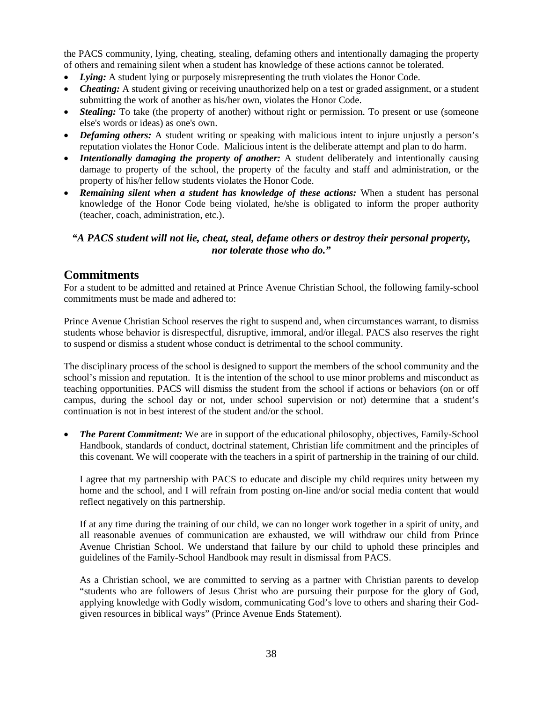the PACS community, lying, cheating, stealing, defaming others and intentionally damaging the property of others and remaining silent when a student has knowledge of these actions cannot be tolerated.

- *Lying:* A student lying or purposely misrepresenting the truth violates the Honor Code.
- *Cheating:* A student giving or receiving unauthorized help on a test or graded assignment, or a student submitting the work of another as his/her own, violates the Honor Code.
- **Stealing:** To take (the property of another) without right or permission. To present or use (someone else's words or ideas) as one's own.
- *Defaming others:* A student writing or speaking with malicious intent to injure unjustly a person's reputation violates the Honor Code. Malicious intent is the deliberate attempt and plan to do harm.
- *Intentionally damaging the property of another:* A student deliberately and intentionally causing damage to property of the school, the property of the faculty and staff and administration, or the property of his/her fellow students violates the Honor Code.
- *Remaining silent when a student has knowledge of these actions:* When a student has personal knowledge of the Honor Code being violated, he/she is obligated to inform the proper authority (teacher, coach, administration, etc.).

### *"A PACS student will not lie, cheat, steal, defame others or destroy their personal property, nor tolerate those who do."*

### <span id="page-40-0"></span>**Commitments**

For a student to be admitted and retained at Prince Avenue Christian School, the following family-school commitments must be made and adhered to:

Prince Avenue Christian School reserves the right to suspend and, when circumstances warrant, to dismiss students whose behavior is disrespectful, disruptive, immoral, and/or illegal. PACS also reserves the right to suspend or dismiss a student whose conduct is detrimental to the school community.

The disciplinary process of the school is designed to support the members of the school community and the school's mission and reputation. It is the intention of the school to use minor problems and misconduct as teaching opportunities. PACS will dismiss the student from the school if actions or behaviors (on or off campus, during the school day or not, under school supervision or not) determine that a student's continuation is not in best interest of the student and/or the school.

• *The Parent Commitment:* We are in support of the educational philosophy, objectives, Family-School Handbook, standards of conduct, doctrinal statement, Christian life commitment and the principles of this covenant. We will cooperate with the teachers in a spirit of partnership in the training of our child.

I agree that my partnership with PACS to educate and disciple my child requires unity between my home and the school, and I will refrain from posting on-line and/or social media content that would reflect negatively on this partnership.

If at any time during the training of our child, we can no longer work together in a spirit of unity, and all reasonable avenues of communication are exhausted, we will withdraw our child from Prince Avenue Christian School. We understand that failure by our child to uphold these principles and guidelines of the Family-School Handbook may result in dismissal from PACS.

As a Christian school, we are committed to serving as a partner with Christian parents to develop "students who are followers of Jesus Christ who are pursuing their purpose for the glory of God, applying knowledge with Godly wisdom, communicating God's love to others and sharing their Godgiven resources in biblical ways" (Prince Avenue Ends Statement).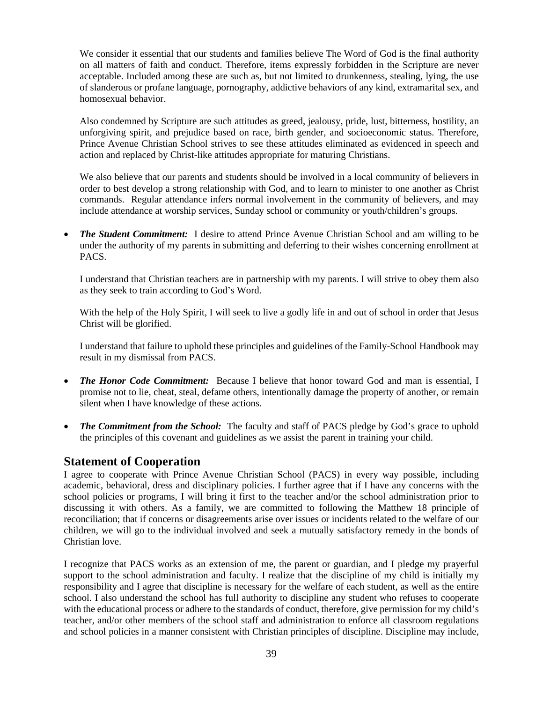We consider it essential that our students and families believe The Word of God is the final authority on all matters of faith and conduct. Therefore, items expressly forbidden in the Scripture are never acceptable. Included among these are such as, but not limited to drunkenness, stealing, lying, the use of slanderous or profane language, pornography, addictive behaviors of any kind, extramarital sex, and homosexual behavior.

Also condemned by Scripture are such attitudes as greed, jealousy, pride, lust, bitterness, hostility, an unforgiving spirit, and prejudice based on race, birth gender, and socioeconomic status. Therefore, Prince Avenue Christian School strives to see these attitudes eliminated as evidenced in speech and action and replaced by Christ-like attitudes appropriate for maturing Christians.

We also believe that our parents and students should be involved in a local community of believers in order to best develop a strong relationship with God, and to learn to minister to one another as Christ commands. Regular attendance infers normal involvement in the community of believers, and may include attendance at worship services, Sunday school or community or youth/children's groups.

• *The Student Commitment:*I desire to attend Prince Avenue Christian School and am willing to be under the authority of my parents in submitting and deferring to their wishes concerning enrollment at PACS.

I understand that Christian teachers are in partnership with my parents. I will strive to obey them also as they seek to train according to God's Word.

With the help of the Holy Spirit, I will seek to live a godly life in and out of school in order that Jesus Christ will be glorified.

I understand that failure to uphold these principles and guidelines of the Family-School Handbook may result in my dismissal from PACS.

- **The Honor Code Commitment:** Because I believe that honor toward God and man is essential, I promise not to lie, cheat, steal, defame others, intentionally damage the property of another, or remain silent when I have knowledge of these actions.
- *The Commitment from the School:* The faculty and staff of PACS pledge by God's grace to uphold the principles of this covenant and guidelines as we assist the parent in training your child.

### <span id="page-41-0"></span>**Statement of Cooperation**

I agree to cooperate with Prince Avenue Christian School (PACS) in every way possible, including academic, behavioral, dress and disciplinary policies. I further agree that if I have any concerns with the school policies or programs, I will bring it first to the teacher and/or the school administration prior to discussing it with others. As a family, we are committed to following the Matthew 18 principle of reconciliation; that if concerns or disagreements arise over issues or incidents related to the welfare of our children, we will go to the individual involved and seek a mutually satisfactory remedy in the bonds of Christian love.

I recognize that PACS works as an extension of me, the parent or guardian, and I pledge my prayerful support to the school administration and faculty. I realize that the discipline of my child is initially my responsibility and I agree that discipline is necessary for the welfare of each student, as well as the entire school. I also understand the school has full authority to discipline any student who refuses to cooperate with the educational process or adhere to the standards of conduct, therefore, give permission for my child's teacher, and/or other members of the school staff and administration to enforce all classroom regulations and school policies in a manner consistent with Christian principles of discipline. Discipline may include,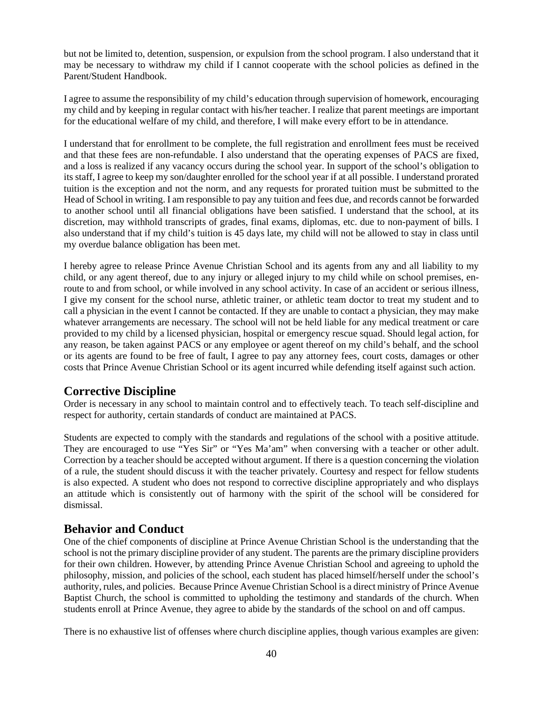but not be limited to, detention, suspension, or expulsion from the school program. I also understand that it may be necessary to withdraw my child if I cannot cooperate with the school policies as defined in the Parent/Student Handbook.

I agree to assume the responsibility of my child's education through supervision of homework, encouraging my child and by keeping in regular contact with his/her teacher. I realize that parent meetings are important for the educational welfare of my child, and therefore, I will make every effort to be in attendance.

I understand that for enrollment to be complete, the full registration and enrollment fees must be received and that these fees are non-refundable. I also understand that the operating expenses of PACS are fixed, and a loss is realized if any vacancy occurs during the school year. In support of the school's obligation to its staff, I agree to keep my son/daughter enrolled for the school year if at all possible. I understand prorated tuition is the exception and not the norm, and any requests for prorated tuition must be submitted to the Head of School in writing. I am responsible to pay any tuition and fees due, and records cannot be forwarded to another school until all financial obligations have been satisfied. I understand that the school, at its discretion, may withhold transcripts of grades, final exams, diplomas, etc. due to non-payment of bills. I also understand that if my child's tuition is 45 days late, my child will not be allowed to stay in class until my overdue balance obligation has been met.

I hereby agree to release Prince Avenue Christian School and its agents from any and all liability to my child, or any agent thereof, due to any injury or alleged injury to my child while on school premises, enroute to and from school, or while involved in any school activity. In case of an accident or serious illness, I give my consent for the school nurse, athletic trainer, or athletic team doctor to treat my student and to call a physician in the event I cannot be contacted. If they are unable to contact a physician, they may make whatever arrangements are necessary. The school will not be held liable for any medical treatment or care provided to my child by a licensed physician, hospital or emergency rescue squad. Should legal action, for any reason, be taken against PACS or any employee or agent thereof on my child's behalf, and the school or its agents are found to be free of fault, I agree to pay any attorney fees, court costs, damages or other costs that Prince Avenue Christian School or its agent incurred while defending itself against such action.

## <span id="page-42-0"></span>**Corrective Discipline**

Order is necessary in any school to maintain control and to effectively teach. To teach self-discipline and respect for authority, certain standards of conduct are maintained at PACS.

Students are expected to comply with the standards and regulations of the school with a positive attitude. They are encouraged to use "Yes Sir" or "Yes Ma'am" when conversing with a teacher or other adult. Correction by a teacher should be accepted without argument. If there is a question concerning the violation of a rule, the student should discuss it with the teacher privately. Courtesy and respect for fellow students is also expected. A student who does not respond to corrective discipline appropriately and who displays an attitude which is consistently out of harmony with the spirit of the school will be considered for dismissal.

### <span id="page-42-1"></span>**Behavior and Conduct**

One of the chief components of discipline at Prince Avenue Christian School is the understanding that the school is not the primary discipline provider of any student. The parents are the primary discipline providers for their own children. However, by attending Prince Avenue Christian School and agreeing to uphold the philosophy, mission, and policies of the school, each student has placed himself/herself under the school's authority, rules, and policies. Because Prince Avenue Christian School is a direct ministry of Prince Avenue Baptist Church, the school is committed to upholding the testimony and standards of the church. When students enroll at Prince Avenue, they agree to abide by the standards of the school on and off campus.

There is no exhaustive list of offenses where church discipline applies, though various examples are given: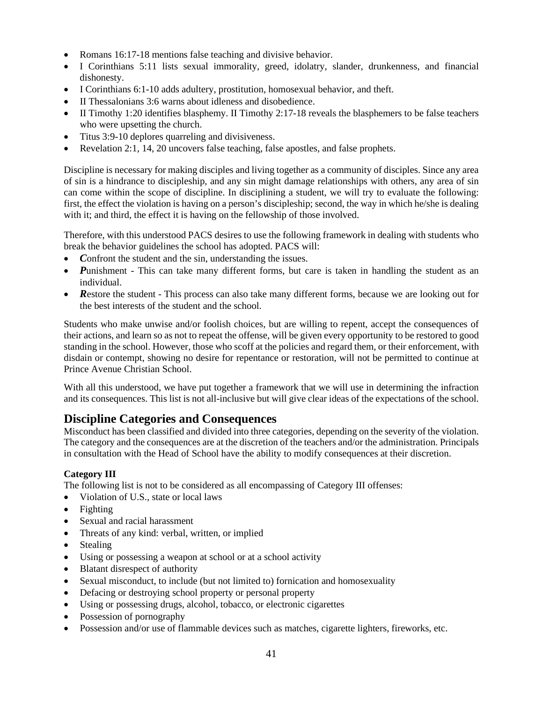- Romans 16:17-18 mentions false teaching and divisive behavior.
- I Corinthians 5:11 lists sexual immorality, greed, idolatry, slander, drunkenness, and financial dishonesty.
- I Corinthians 6:1-10 adds adultery, prostitution, homosexual behavior, and theft.
- II Thessalonians 3:6 warns about idleness and disobedience.
- II Timothy 1:20 identifies blasphemy. II Timothy 2:17-18 reveals the blasphemers to be false teachers who were upsetting the church.
- Titus 3:9-10 deplores quarreling and divisiveness.
- Revelation 2:1, 14, 20 uncovers false teaching, false apostles, and false prophets.

Discipline is necessary for making disciples and living together as a community of disciples. Since any area of sin is a hindrance to discipleship, and any sin might damage relationships with others, any area of sin can come within the scope of discipline. In disciplining a student, we will try to evaluate the following: first, the effect the violation is having on a person's discipleship; second, the way in which he/she is dealing with it; and third, the effect it is having on the fellowship of those involved.

Therefore, with this understood PACS desires to use the following framework in dealing with students who break the behavior guidelines the school has adopted. PACS will:

- Confront the student and the sin, understanding the issues.
- *Punishment* This can take many different forms, but care is taken in handling the student as an individual.
- **Restore the student This process can also take many different forms, because we are looking out for** the best interests of the student and the school.

Students who make unwise and/or foolish choices, but are willing to repent, accept the consequences of their actions, and learn so as not to repeat the offense, will be given every opportunity to be restored to good standing in the school. However, those who scoff at the policies and regard them, or their enforcement, with disdain or contempt, showing no desire for repentance or restoration, will not be permitted to continue at Prince Avenue Christian School.

With all this understood, we have put together a framework that we will use in determining the infraction and its consequences. This list is not all-inclusive but will give clear ideas of the expectations of the school.

## <span id="page-43-0"></span>**Discipline Categories and Consequences**

Misconduct has been classified and divided into three categories, depending on the severity of the violation. The category and the consequences are at the discretion of the teachers and/or the administration. Principals in consultation with the Head of School have the ability to modify consequences at their discretion.

### **Category III**

The following list is not to be considered as all encompassing of Category III offenses:

- Violation of U.S., state or local laws
- Fighting
- Sexual and racial harassment
- Threats of any kind: verbal, written, or implied
- Stealing
- Using or possessing a weapon at school or at a school activity
- Blatant disrespect of authority
- Sexual misconduct, to include (but not limited to) fornication and homosexuality
- Defacing or destroying school property or personal property
- Using or possessing drugs, alcohol, tobacco, or electronic cigarettes
- Possession of pornography
- Possession and/or use of flammable devices such as matches, cigarette lighters, fireworks, etc.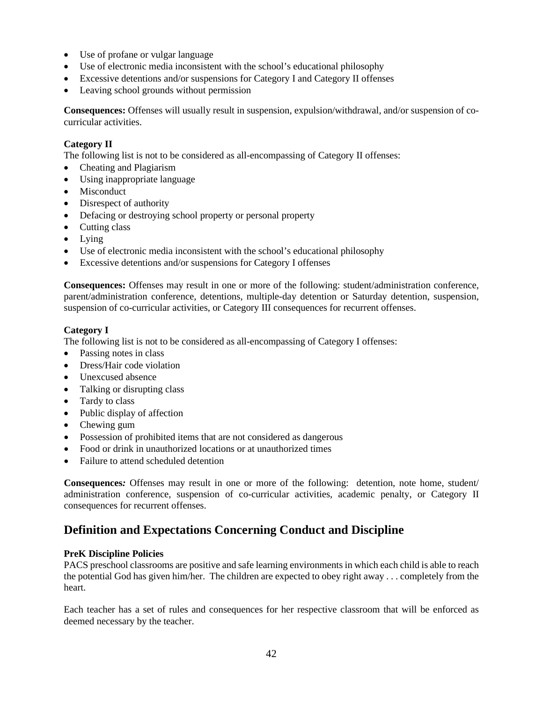- Use of profane or vulgar language
- Use of electronic media inconsistent with the school's educational philosophy
- Excessive detentions and/or suspensions for Category I and Category II offenses
- Leaving school grounds without permission

**Consequences:** Offenses will usually result in suspension, expulsion/withdrawal, and/or suspension of cocurricular activities.

#### **Category II**

The following list is not to be considered as all-encompassing of Category II offenses:

- Cheating and Plagiarism
- Using inappropriate language
- Misconduct
- Disrespect of authority
- Defacing or destroying school property or personal property
- Cutting class
- Lying
- Use of electronic media inconsistent with the school's educational philosophy
- Excessive detentions and/or suspensions for Category I offenses

**Consequences:** Offenses may result in one or more of the following: student/administration conference, parent/administration conference, detentions, multiple-day detention or Saturday detention, suspension, suspension of co-curricular activities, or Category III consequences for recurrent offenses.

#### **Category I**

The following list is not to be considered as all-encompassing of Category I offenses:

- Passing notes in class
- Dress/Hair code violation
- Unexcused absence
- Talking or disrupting class
- Tardy to class
- Public display of affection
- Chewing gum
- Possession of prohibited items that are not considered as dangerous
- Food or drink in unauthorized locations or at unauthorized times
- Failure to attend scheduled detention

**Consequences***:* Offenses may result in one or more of the following: detention, note home, student/ administration conference, suspension of co-curricular activities, academic penalty, or Category II consequences for recurrent offenses.

### <span id="page-44-0"></span>**Definition and Expectations Concerning Conduct and Discipline**

#### **PreK Discipline Policies**

PACS preschool classrooms are positive and safe learning environments in which each child is able to reach the potential God has given him/her. The children are expected to obey right away . . . completely from the heart.

Each teacher has a set of rules and consequences for her respective classroom that will be enforced as deemed necessary by the teacher.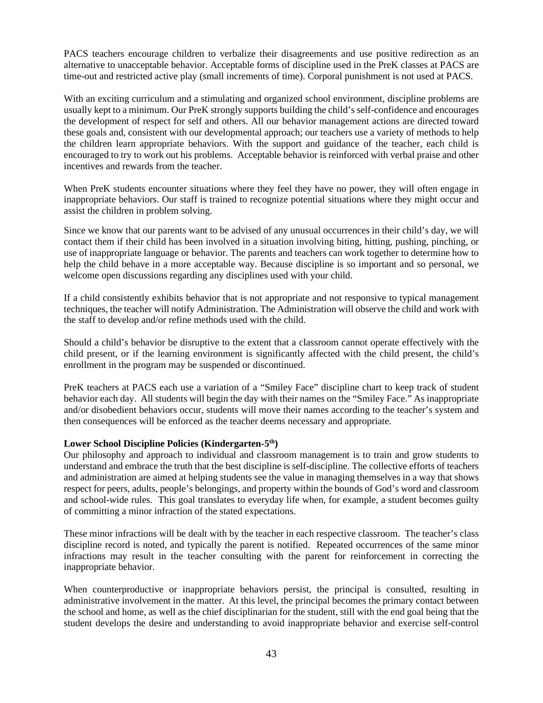PACS teachers encourage children to verbalize their disagreements and use positive redirection as an alternative to unacceptable behavior. Acceptable forms of discipline used in the PreK classes at PACS are time-out and restricted active play (small increments of time). Corporal punishment is not used at PACS.

With an exciting curriculum and a stimulating and organized school environment, discipline problems are usually kept to a minimum. Our PreK strongly supports building the child's self-confidence and encourages the development of respect for self and others. All our behavior management actions are directed toward these goals and, consistent with our developmental approach; our teachers use a variety of methods to help the children learn appropriate behaviors. With the support and guidance of the teacher, each child is encouraged to try to work out his problems. Acceptable behavior is reinforced with verbal praise and other incentives and rewards from the teacher.

When PreK students encounter situations where they feel they have no power, they will often engage in inappropriate behaviors. Our staff is trained to recognize potential situations where they might occur and assist the children in problem solving.

Since we know that our parents want to be advised of any unusual occurrences in their child's day, we will contact them if their child has been involved in a situation involving biting, hitting, pushing, pinching, or use of inappropriate language or behavior. The parents and teachers can work together to determine how to help the child behave in a more acceptable way. Because discipline is so important and so personal, we welcome open discussions regarding any disciplines used with your child.

If a child consistently exhibits behavior that is not appropriate and not responsive to typical management techniques, the teacher will notify Administration. The Administration will observe the child and work with the staff to develop and/or refine methods used with the child.

Should a child's behavior be disruptive to the extent that a classroom cannot operate effectively with the child present, or if the learning environment is significantly affected with the child present, the child's enrollment in the program may be suspended or discontinued.

PreK teachers at PACS each use a variation of a "Smiley Face" discipline chart to keep track of student behavior each day. All students will begin the day with their names on the "Smiley Face." As inappropriate and/or disobedient behaviors occur, students will move their names according to the teacher's system and then consequences will be enforced as the teacher deems necessary and appropriate.

#### **Lower School Discipline Policies (Kindergarten-5th)**

Our philosophy and approach to individual and classroom management is to train and grow students to understand and embrace the truth that the best discipline is self-discipline. The collective efforts of teachers and administration are aimed at helping students see the value in managing themselves in a way that shows respect for peers, adults, people's belongings, and property within the bounds of God's word and classroom and school-wide rules. This goal translates to everyday life when, for example, a student becomes guilty of committing a minor infraction of the stated expectations.

These minor infractions will be dealt with by the teacher in each respective classroom. The teacher's class discipline record is noted, and typically the parent is notified. Repeated occurrences of the same minor infractions may result in the teacher consulting with the parent for reinforcement in correcting the inappropriate behavior.

When counterproductive or inappropriate behaviors persist, the principal is consulted, resulting in administrative involvement in the matter. At this level, the principal becomes the primary contact between the school and home, as well as the chief disciplinarian for the student, still with the end goal being that the student develops the desire and understanding to avoid inappropriate behavior and exercise self-control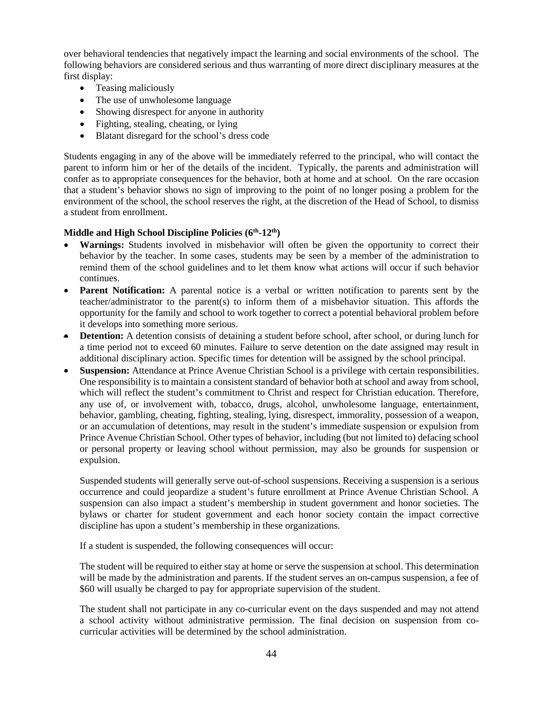over behavioral tendencies that negatively impact the learning and social environments of the school. The following behaviors are considered serious and thus warranting of more direct disciplinary measures at the first display:

- Teasing maliciously
- The use of unwholesome language
- Showing disrespect for anyone in authority
- Fighting, stealing, cheating, or lying
- Blatant disregard for the school's dress code

Students engaging in any of the above will be immediately referred to the principal, who will contact the parent to inform him or her of the details of the incident. Typically, the parents and administration will confer as to appropriate consequences for the behavior, both at home and at school. On the rare occasion that a student's behavior shows no sign of improving to the point of no longer posing a problem for the environment of the school, the school reserves the right, at the discretion of the Head of School, to dismiss a student from enrollment.

#### **Middle and High School Discipline Policies (6th-12th)**

- **Warnings:** Students involved in misbehavior will often be given the opportunity to correct their behavior by the teacher. In some cases, students may be seen by a member of the administration to remind them of the school guidelines and to let them know what actions will occur if such behavior continues.
- **Parent Notification:** A parental notice is a verbal or written notification to parents sent by the teacher/administrator to the parent(s) to inform them of a misbehavior situation. This affords the opportunity for the family and school to work together to correct a potential behavioral problem before it develops into something more serious.
- **Detention:** A detention consists of detaining a student before school, after school, or during lunch for a time period not to exceed 60 minutes. Failure to serve detention on the date assigned may result in additional disciplinary action. Specific times for detention will be assigned by the school principal.
- **Suspension:** Attendance at Prince Avenue Christian School is a privilege with certain responsibilities. One responsibility is to maintain a consistent standard of behavior both at school and away from school, which will reflect the student's commitment to Christ and respect for Christian education. Therefore, any use of, or involvement with, tobacco, drugs, alcohol, unwholesome language, entertainment, behavior, gambling, cheating, fighting, stealing, lying, disrespect, immorality, possession of a weapon, or an accumulation of detentions, may result in the student's immediate suspension or expulsion from Prince Avenue Christian School. Other types of behavior, including (but not limited to) defacing school or personal property or leaving school without permission, may also be grounds for suspension or expulsion.

Suspended students will generally serve out-of-school suspensions. Receiving a suspension is a serious occurrence and could jeopardize a student's future enrollment at Prince Avenue Christian School. A suspension can also impact a student's membership in student government and honor societies. The bylaws or charter for student government and each honor society contain the impact corrective discipline has upon a student's membership in these organizations.

If a student is suspended, the following consequences will occur:

The student will be required to either stay at home or serve the suspension at school. This determination will be made by the administration and parents. If the student serves an on-campus suspension, a fee of \$60 will usually be charged to pay for appropriate supervision of the student.

The student shall not participate in any co-curricular event on the days suspended and may not attend a school activity without administrative permission. The final decision on suspension from cocurricular activities will be determined by the school administration.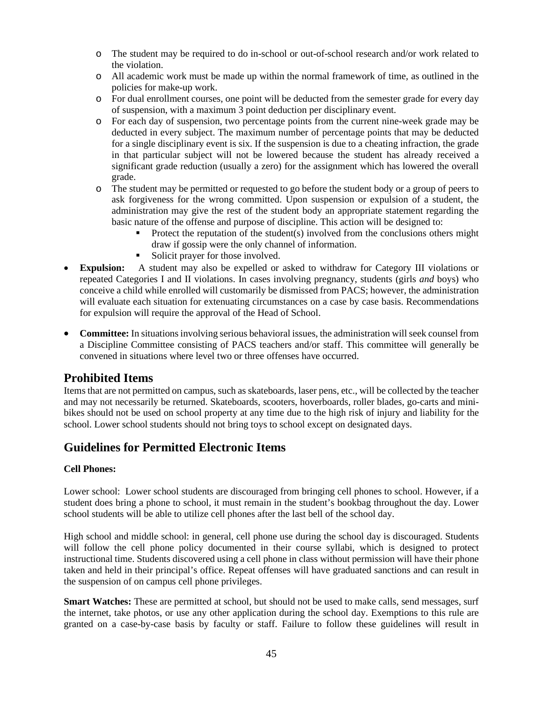- o The student may be required to do in-school or out-of-school research and/or work related to the violation.
- o All academic work must be made up within the normal framework of time, as outlined in the policies for make-up work.
- o For dual enrollment courses, one point will be deducted from the semester grade for every day of suspension, with a maximum 3 point deduction per disciplinary event.
- o For each day of suspension, two percentage points from the current nine-week grade may be deducted in every subject. The maximum number of percentage points that may be deducted for a single disciplinary event is six. If the suspension is due to a cheating infraction, the grade in that particular subject will not be lowered because the student has already received a significant grade reduction (usually a zero) for the assignment which has lowered the overall grade.
- o The student may be permitted or requested to go before the student body or a group of peers to ask forgiveness for the wrong committed. Upon suspension or expulsion of a student, the administration may give the rest of the student body an appropriate statement regarding the basic nature of the offense and purpose of discipline. This action will be designed to:
	- Protect the reputation of the student(s) involved from the conclusions others might draw if gossip were the only channel of information.
	- Solicit prayer for those involved.
- **Expulsion:** A student may also be expelled or asked to withdraw for Category III violations or repeated Categories I and II violations. In cases involving pregnancy, students (girls *and* boys) who conceive a child while enrolled will customarily be dismissed from PACS; however, the administration will evaluate each situation for extenuating circumstances on a case by case basis. Recommendations for expulsion will require the approval of the Head of School.
- **Committee:** In situations involving serious behavioral issues, the administration will seek counsel from a Discipline Committee consisting of PACS teachers and/or staff. This committee will generally be convened in situations where level two or three offenses have occurred.

### <span id="page-47-0"></span>**Prohibited Items**

Items that are not permitted on campus, such as skateboards, laser pens, etc., will be collected by the teacher and may not necessarily be returned. Skateboards, scooters, hoverboards, roller blades, go-carts and minibikes should not be used on school property at any time due to the high risk of injury and liability for the school. Lower school students should not bring toys to school except on designated days.

### <span id="page-47-1"></span>**Guidelines for Permitted Electronic Items**

### **Cell Phones:**

Lower school: Lower school students are discouraged from bringing cell phones to school. However, if a student does bring a phone to school, it must remain in the student's bookbag throughout the day. Lower school students will be able to utilize cell phones after the last bell of the school day.

High school and middle school: in general, cell phone use during the school day is discouraged. Students will follow the cell phone policy documented in their course syllabi, which is designed to protect instructional time. Students discovered using a cell phone in class without permission will have their phone taken and held in their principal's office. Repeat offenses will have graduated sanctions and can result in the suspension of on campus cell phone privileges.

**Smart Watches:** These are permitted at school, but should not be used to make calls, send messages, surf the internet, take photos, or use any other application during the school day. Exemptions to this rule are granted on a case-by-case basis by faculty or staff. Failure to follow these guidelines will result in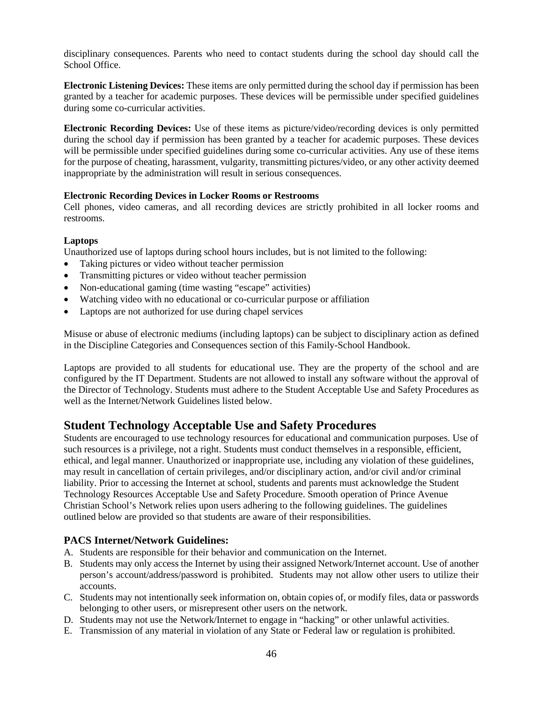disciplinary consequences. Parents who need to contact students during the school day should call the School Office.

**Electronic Listening Devices:** These items are only permitted during the school day if permission has been granted by a teacher for academic purposes. These devices will be permissible under specified guidelines during some co-curricular activities.

**Electronic Recording Devices:** Use of these items as picture/video/recording devices is only permitted during the school day if permission has been granted by a teacher for academic purposes. These devices will be permissible under specified guidelines during some co-curricular activities. Any use of these items for the purpose of cheating, harassment, vulgarity, transmitting pictures/video, or any other activity deemed inappropriate by the administration will result in serious consequences.

#### **Electronic Recording Devices in Locker Rooms or Restrooms**

Cell phones, video cameras, and all recording devices are strictly prohibited in all locker rooms and restrooms.

#### **Laptops**

Unauthorized use of laptops during school hours includes, but is not limited to the following:

- Taking pictures or video without teacher permission
- Transmitting pictures or video without teacher permission
- Non-educational gaming (time wasting "escape" activities)
- Watching video with no educational or co-curricular purpose or affiliation
- Laptops are not authorized for use during chapel services

Misuse or abuse of electronic mediums (including laptops) can be subject to disciplinary action as defined in the Discipline Categories and Consequences section of this Family-School Handbook.

Laptops are provided to all students for educational use. They are the property of the school and are configured by the IT Department. Students are not allowed to install any software without the approval of the Director of Technology. Students must adhere to the Student Acceptable Use and Safety Procedures as well as the Internet/Network Guidelines listed below.

### <span id="page-48-0"></span>**Student Technology Acceptable Use and Safety Procedures**

Students are encouraged to use technology resources for educational and communication purposes. Use of such resources is a privilege, not a right. Students must conduct themselves in a responsible, efficient, ethical, and legal manner. Unauthorized or inappropriate use, including any violation of these guidelines, may result in cancellation of certain privileges, and/or disciplinary action, and/or civil and/or criminal liability. Prior to accessing the Internet at school, students and parents must acknowledge the Student Technology Resources Acceptable Use and Safety Procedure. Smooth operation of Prince Avenue Christian School's Network relies upon users adhering to the following guidelines. The guidelines outlined below are provided so that students are aware of their responsibilities.

### **PACS Internet/Network Guidelines:**

- A. Students are responsible for their behavior and communication on the Internet.
- B. Students may only access the Internet by using their assigned Network/Internet account. Use of another person's account/address/password is prohibited. Students may not allow other users to utilize their accounts.
- C. Students may not intentionally seek information on, obtain copies of, or modify files, data or passwords belonging to other users, or misrepresent other users on the network.
- D. Students may not use the Network/Internet to engage in "hacking" or other unlawful activities.
- E. Transmission of any material in violation of any State or Federal law or regulation is prohibited.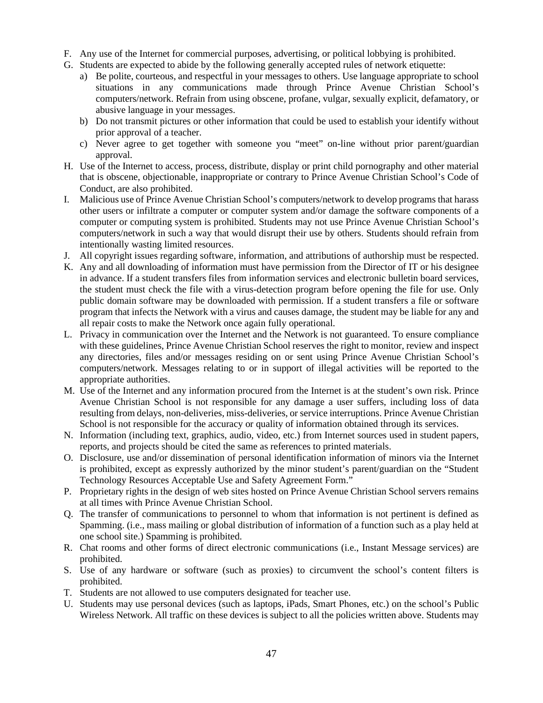- F. Any use of the Internet for commercial purposes, advertising, or political lobbying is prohibited.
- G. Students are expected to abide by the following generally accepted rules of network etiquette:
	- a) Be polite, courteous, and respectful in your messages to others. Use language appropriate to school situations in any communications made through Prince Avenue Christian School's computers/network. Refrain from using obscene, profane, vulgar, sexually explicit, defamatory, or abusive language in your messages.
	- b) Do not transmit pictures or other information that could be used to establish your identify without prior approval of a teacher.
	- c) Never agree to get together with someone you "meet" on-line without prior parent/guardian approval.
- H. Use of the Internet to access, process, distribute, display or print child pornography and other material that is obscene, objectionable, inappropriate or contrary to Prince Avenue Christian School's Code of Conduct, are also prohibited.
- I. Malicious use of Prince Avenue Christian School's computers/network to develop programs that harass other users or infiltrate a computer or computer system and/or damage the software components of a computer or computing system is prohibited. Students may not use Prince Avenue Christian School's computers/network in such a way that would disrupt their use by others. Students should refrain from intentionally wasting limited resources.
- J. All copyright issues regarding software, information, and attributions of authorship must be respected.
- K. Any and all downloading of information must have permission from the Director of IT or his designee in advance. If a student transfers files from information services and electronic bulletin board services, the student must check the file with a virus-detection program before opening the file for use. Only public domain software may be downloaded with permission. If a student transfers a file or software program that infects the Network with a virus and causes damage, the student may be liable for any and all repair costs to make the Network once again fully operational.
- L. Privacy in communication over the Internet and the Network is not guaranteed. To ensure compliance with these guidelines, Prince Avenue Christian School reserves the right to monitor, review and inspect any directories, files and/or messages residing on or sent using Prince Avenue Christian School's computers/network. Messages relating to or in support of illegal activities will be reported to the appropriate authorities.
- M. Use of the Internet and any information procured from the Internet is at the student's own risk. Prince Avenue Christian School is not responsible for any damage a user suffers, including loss of data resulting from delays, non-deliveries, miss-deliveries, or service interruptions. Prince Avenue Christian School is not responsible for the accuracy or quality of information obtained through its services.
- N. Information (including text, graphics, audio, video, etc.) from Internet sources used in student papers, reports, and projects should be cited the same as references to printed materials.
- O. Disclosure, use and/or dissemination of personal identification information of minors via the Internet is prohibited, except as expressly authorized by the minor student's parent/guardian on the "Student Technology Resources Acceptable Use and Safety Agreement Form."
- P. Proprietary rights in the design of web sites hosted on Prince Avenue Christian School servers remains at all times with Prince Avenue Christian School.
- Q. The transfer of communications to personnel to whom that information is not pertinent is defined as Spamming. (i.e., mass mailing or global distribution of information of a function such as a play held at one school site.) Spamming is prohibited.
- R. Chat rooms and other forms of direct electronic communications (i.e., Instant Message services) are prohibited.
- S. Use of any hardware or software (such as proxies) to circumvent the school's content filters is prohibited.
- T. Students are not allowed to use computers designated for teacher use.
- U. Students may use personal devices (such as laptops, iPads, Smart Phones, etc.) on the school's Public Wireless Network. All traffic on these devices is subject to all the policies written above. Students may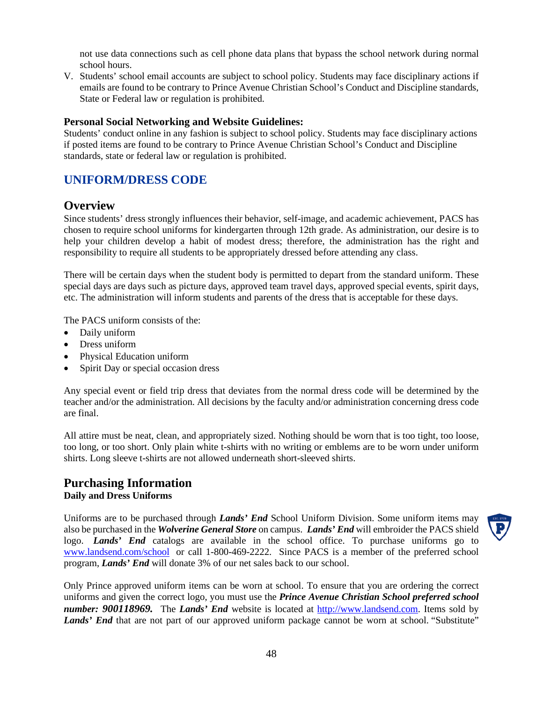not use data connections such as cell phone data plans that bypass the school network during normal school hours.

V. Students' school email accounts are subject to school policy. Students may face disciplinary actions if emails are found to be contrary to Prince Avenue Christian School's Conduct and Discipline standards, State or Federal law or regulation is prohibited.

#### **Personal Social Networking and Website Guidelines:**

Students' conduct online in any fashion is subject to school policy. Students may face disciplinary actions if posted items are found to be contrary to Prince Avenue Christian School's Conduct and Discipline standards, state or federal law or regulation is prohibited.

## <span id="page-50-0"></span>**UNIFORM/DRESS CODE**

### <span id="page-50-1"></span>**Overview**

Since students' dress strongly influences their behavior, self-image, and academic achievement, PACS has chosen to require school uniforms for kindergarten through 12th grade. As administration, our desire is to help your children develop a habit of modest dress; therefore, the administration has the right and responsibility to require all students to be appropriately dressed before attending any class.

There will be certain days when the student body is permitted to depart from the standard uniform. These special days are days such as picture days, approved team travel days, approved special events, spirit days, etc. The administration will inform students and parents of the dress that is acceptable for these days.

The PACS uniform consists of the:

- Daily uniform
- Dress uniform
- Physical Education uniform
- Spirit Day or special occasion dress

Any special event or field trip dress that deviates from the normal dress code will be determined by the teacher and/or the administration. All decisions by the faculty and/or administration concerning dress code are final.

All attire must be neat, clean, and appropriately sized. Nothing should be worn that is too tight, too loose, too long, or too short. Only plain white t-shirts with no writing or emblems are to be worn under uniform shirts. Long sleeve t-shirts are not allowed underneath short-sleeved shirts.

### <span id="page-50-2"></span>**Purchasing Information Daily and Dress Uniforms**

Uniforms are to be purchased through *Lands' End* School Uniform Division. Some uniform items may also be purchased in the *Wolverine General Store* on campus. *Lands' End* will embroider the PACS shield logo. *Lands' End* catalogs are available in the school office. To purchase uniforms go to [www.landsend.com/school](http://www.landsend.com/school) or call 1-800-469-2222. Since PACS is a member of the preferred school program, *Lands' End* will donate 3% of our net sales back to our school.

Only Prince approved uniform items can be worn at school. To ensure that you are ordering the correct uniforms and given the correct logo, you must use the *Prince Avenue Christian School preferred school number: 900118969.* The *Lands' End* website is located at [http://www.landsend.com.](http://www.landsend.com/) Items sold by *Lands' End* that are not part of our approved uniform package cannot be worn at school. "Substitute"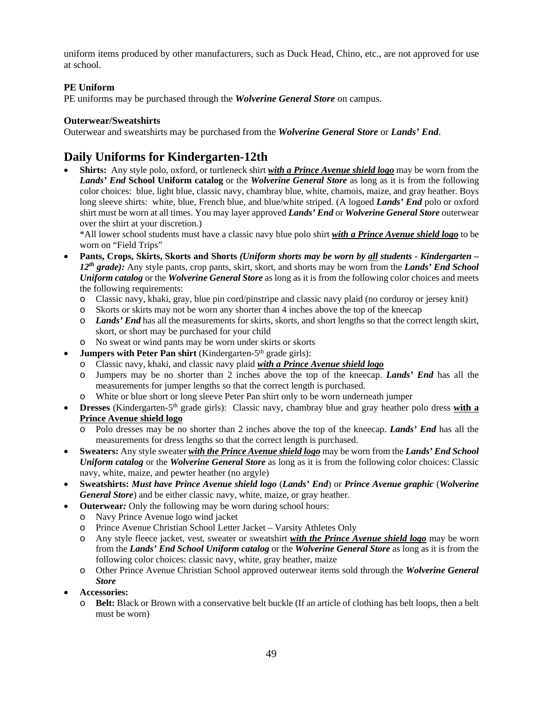uniform items produced by other manufacturers, such as Duck Head, Chino, etc., are not approved for use at school.

### **PE Uniform**

PE uniforms may be purchased through the *Wolverine General Store* on campus.

#### **Outerwear/Sweatshirts**

Outerwear and sweatshirts may be purchased from the *Wolverine General Store* or *Lands' End*.

## <span id="page-51-0"></span>**Daily Uniforms for Kindergarten-12th**

• **Shirts:** Any style polo, oxford, or turtleneck shirt *with a Prince Avenue shield logo* may be worn from the *Lands' End* **School Uniform catalog** or the *Wolverine General Store* as long as it is from the following color choices: blue, light blue, classic navy, chambray blue, white, chamois, maize, and gray heather. Boys long sleeve shirts: white, blue, French blue, and blue/white striped. (A logoed *Lands' End* polo or oxford shirt must be worn at all times. You may layer approved *Lands' End* or *Wolverine General Store* outerwear over the shirt at your discretion.)

\*All lower school students must have a classic navy blue polo shirt *with a Prince Avenue shield logo* to be worn on "Field Trips"

- **Pants, Crops, Skirts, Skorts and Shorts** *(Uniform shorts may be worn by all students - Kindergarten – 12th grade):* Any style pants, crop pants, skirt, skort, and shorts may be worn from the *Lands' End School Uniform catalog* or the *Wolverine General Store* as long as it is from the following color choices and meets the following requirements:
	- o Classic navy, khaki, gray, blue pin cord/pinstripe and classic navy plaid (no corduroy or jersey knit)
	- o Skorts or skirts may not be worn any shorter than 4 inches above the top of the kneecap
	- o *Lands' End* has all the measurements for skirts, skorts, and short lengths so that the correct length skirt, skort, or short may be purchased for your child
	- o No sweat or wind pants may be worn under skirts or skorts
- **Jumpers with Peter Pan shirt** (Kindergarten-5<sup>th</sup> grade girls):
	- o Classic navy, khaki, and classic navy plaid *with a Prince Avenue shield logo*
	- Jumpers may be no shorter than 2 inches above the top of the kneecap. *Lands' End* has all the measurements for jumper lengths so that the correct length is purchased.
	- o White or blue short or long sleeve Peter Pan shirt only to be worn underneath jumper
- **Dresses** (Kindergarten-5<sup>th</sup> grade girls): Classic navy, chambray blue and gray heather polo dress **with a Prince Avenue shield logo**
	- o Polo dresses may be no shorter than 2 inches above the top of the kneecap. *Lands' End* has all the measurements for dress lengths so that the correct length is purchased.
- **Sweaters:** Any style sweater *with the Prince Avenue shield logo* may be worn from the *Lands' End School Uniform catalog* or the *Wolverine General Store* as long as it is from the following color choices: Classic navy, white, maize, and pewter heather (no argyle)
- **Sweatshirts:** *Must have Prince Avenue shield logo* (*Lands' End*) or *Prince Avenue graphic* (*Wolverine General Store*) and be either classic navy, white, maize, or gray heather.
- **Outerwear:** Only the following may be worn during school hours:
	- o Navy Prince Avenue logo wind jacket
	- o Prince Avenue Christian School Letter Jacket Varsity Athletes Only
	- o Any style fleece jacket, vest, sweater or sweatshirt *with the Prince Avenue shield logo* may be worn from the *Lands' End School Uniform catalog* or the *Wolverine General Store* as long as it is from the following color choices: classic navy, white, gray heather, maize
	- o Other Prince Avenue Christian School approved outerwear items sold through the *Wolverine General Store*
- **Accessories:**
	- o **Belt:** Black or Brown with a conservative belt buckle (If an article of clothing has belt loops, then a belt must be worn)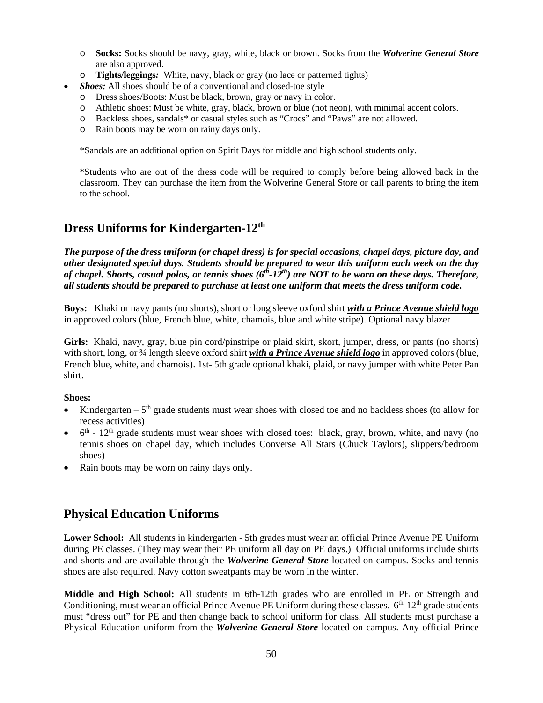- o **Socks:** Socks should be navy, gray, white, black or brown. Socks from the *Wolverine General Store* are also approved.
- o **Tights/leggings***:* White, navy, black or gray (no lace or patterned tights)
- *Shoes:* All shoes should be of a conventional and closed-toe style
	- o Dress shoes/Boots: Must be black, brown, gray or navy in color.
	- Athletic shoes: Must be white, gray, black, brown or blue (not neon), with minimal accent colors.
	- o Backless shoes, sandals\* or casual styles such as "Crocs" and "Paws" are not allowed.
	- o Rain boots may be worn on rainy days only.

\*Sandals are an additional option on Spirit Days for middle and high school students only.

\*Students who are out of the dress code will be required to comply before being allowed back in the classroom. They can purchase the item from the Wolverine General Store or call parents to bring the item to the school.

### <span id="page-52-0"></span>**Dress Uniforms for Kindergarten-12th**

*The purpose of the dress uniform (or chapel dress) is for special occasions, chapel days, picture day, and other designated special days. Students should be prepared to wear this uniform each week on the day of chapel. Shorts, casual polos, or tennis shoes (6th-12th) are NOT to be worn on these days. Therefore, all students should be prepared to purchase at least one uniform that meets the dress uniform code.* 

**Boys:** Khaki or navy pants (no shorts), short or long sleeve oxford shirt *with a Prince Avenue shield logo* in approved colors (blue, French blue, white, chamois, blue and white stripe). Optional navy blazer

**Girls:** Khaki, navy, gray, blue pin cord/pinstripe or plaid skirt, skort, jumper, dress, or pants (no shorts) with short, long, or <sup>3</sup>/4 length sleeve oxford shirt *with a Prince Avenue shield logo* in approved colors (blue, French blue, white, and chamois). 1st- 5th grade optional khaki, plaid, or navy jumper with white Peter Pan shirt.

#### **Shoes:**

- Kindergarten  $-5<sup>th</sup>$  grade students must wear shoes with closed toe and no backless shoes (to allow for recess activities)
- 6<sup>th</sup> 12<sup>th</sup> grade students must wear shoes with closed toes: black, gray, brown, white, and navy (no tennis shoes on chapel day, which includes Converse All Stars (Chuck Taylors), slippers/bedroom shoes)
- Rain boots may be worn on rainy days only.

## <span id="page-52-1"></span>**Physical Education Uniforms**

**Lower School:** All students in kindergarten - 5th grades must wear an official Prince Avenue PE Uniform during PE classes. (They may wear their PE uniform all day on PE days.) Official uniforms include shirts and shorts and are available through the *Wolverine General Store* located on campus. Socks and tennis shoes are also required. Navy cotton sweatpants may be worn in the winter.

**Middle and High School:** All students in 6th-12th grades who are enrolled in PE or Strength and Conditioning, must wear an official Prince Avenue PE Uniform during these classes.  $6<sup>th</sup>$ -12<sup>th</sup> grade students must "dress out" for PE and then change back to school uniform for class. All students must purchase a Physical Education uniform from the *Wolverine General Store* located on campus. Any official Prince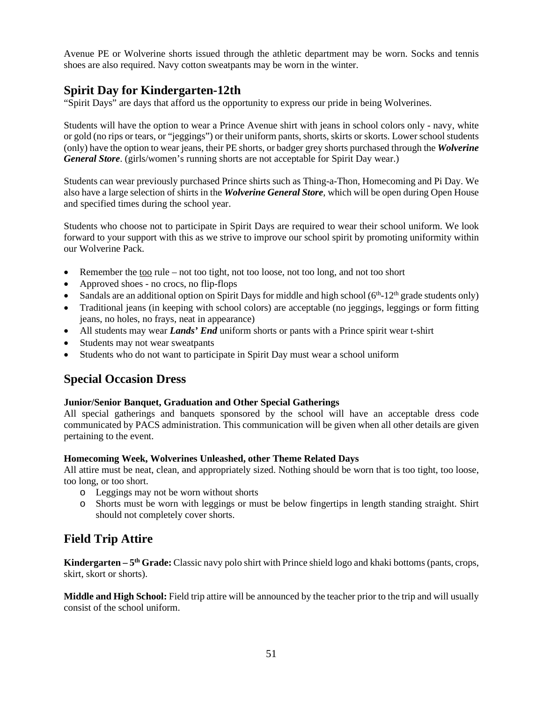Avenue PE or Wolverine shorts issued through the athletic department may be worn. Socks and tennis shoes are also required. Navy cotton sweatpants may be worn in the winter.

### <span id="page-53-0"></span>**Spirit Day for Kindergarten-12th**

"Spirit Days" are days that afford us the opportunity to express our pride in being Wolverines.

Students will have the option to wear a Prince Avenue shirt with jeans in school colors only - navy, white or gold (no rips or tears, or "jeggings") or their uniform pants, shorts, skirts or skorts. Lower school students (only) have the option to wear jeans, their PE shorts, or badger grey shorts purchased through the *Wolverine General Store*. (girls/women's running shorts are not acceptable for Spirit Day wear.)

Students can wear previously purchased Prince shirts such as Thing-a-Thon, Homecoming and Pi Day. We also have a large selection of shirts in the *Wolverine General Store*, which will be open during Open House and specified times during the school year.

Students who choose not to participate in Spirit Days are required to wear their school uniform. We look forward to your support with this as we strive to improve our school spirit by promoting uniformity within our Wolverine Pack.

- Remember the too rule not too tight, not too loose, not too long, and not too short
- Approved shoes no crocs, no flip-flops
- Sandals are an additional option on Spirit Days for middle and high school  $(6<sup>th</sup>-12<sup>th</sup>$  grade students only)
- Traditional jeans (in keeping with school colors) are acceptable (no jeggings, leggings or form fitting jeans, no holes, no frays, neat in appearance)
- All students may wear *Lands' End* uniform shorts or pants with a Prince spirit wear t-shirt
- Students may not wear sweatpants
- Students who do not want to participate in Spirit Day must wear a school uniform

### <span id="page-53-1"></span>**Special Occasion Dress**

#### **Junior/Senior Banquet, Graduation and Other Special Gatherings**

All special gatherings and banquets sponsored by the school will have an acceptable dress code communicated by PACS administration. This communication will be given when all other details are given pertaining to the event.

#### **Homecoming Week, Wolverines Unleashed, other Theme Related Days**

All attire must be neat, clean, and appropriately sized. Nothing should be worn that is too tight, too loose, too long, or too short.

- o Leggings may not be worn without shorts
- o Shorts must be worn with leggings or must be below fingertips in length standing straight. Shirt should not completely cover shorts.

## <span id="page-53-2"></span>**Field Trip Attire**

**Kindergarten – 5th Grade:** Classic navy polo shirt with Prince shield logo and khaki bottoms (pants, crops, skirt, skort or shorts).

**Middle and High School:** Field trip attire will be announced by the teacher prior to the trip and will usually consist of the school uniform.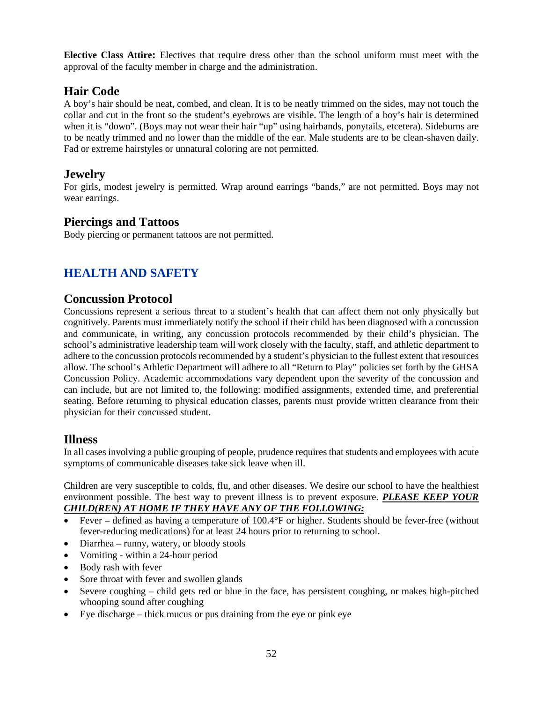**Elective Class Attire:** Electives that require dress other than the school uniform must meet with the approval of the faculty member in charge and the administration.

### <span id="page-54-0"></span>**Hair Code**

A boy's hair should be neat, combed, and clean. It is to be neatly trimmed on the sides, may not touch the collar and cut in the front so the student's eyebrows are visible. The length of a boy's hair is determined when it is "down". (Boys may not wear their hair "up" using hairbands, ponytails, etcetera). Sideburns are to be neatly trimmed and no lower than the middle of the ear. Male students are to be clean-shaven daily. Fad or extreme hairstyles or unnatural coloring are not permitted.

### <span id="page-54-1"></span>**Jewelry**

For girls, modest jewelry is permitted. Wrap around earrings "bands," are not permitted. Boys may not wear earrings.

### <span id="page-54-2"></span>**Piercings and Tattoos**

Body piercing or permanent tattoos are not permitted.

## <span id="page-54-3"></span>**HEALTH AND SAFETY**

### <span id="page-54-4"></span>**Concussion Protocol**

Concussions represent a serious threat to a student's health that can affect them not only physically but cognitively. Parents must immediately notify the school if their child has been diagnosed with a concussion and communicate, in writing, any concussion protocols recommended by their child's physician. The school's administrative leadership team will work closely with the faculty, staff, and athletic department to adhere to the concussion protocols recommended by a student's physician to the fullest extent that resources allow. The school's Athletic Department will adhere to all "Return to Play" policies set forth by the GHSA Concussion Policy. Academic accommodations vary dependent upon the severity of the concussion and can include, but are not limited to, the following: modified assignments, extended time, and preferential seating. Before returning to physical education classes, parents must provide written clearance from their physician for their concussed student.

### <span id="page-54-5"></span>**Illness**

In all cases involving a public grouping of people, prudence requires that students and employees with acute symptoms of communicable diseases take sick leave when ill.

Children are very susceptible to colds, flu, and other diseases. We desire our school to have the healthiest environment possible. The best way to prevent illness is to prevent exposure. *PLEASE KEEP YOUR CHILD(REN) AT HOME IF THEY HAVE ANY OF THE FOLLOWING:*

- Fever defined as having a temperature of 100.4°F or higher. Students should be fever-free (without fever-reducing medications) for at least 24 hours prior to returning to school.
- Diarrhea runny, watery, or bloody stools
- Vomiting within a 24-hour period
- Body rash with fever
- Sore throat with fever and swollen glands
- Severe coughing child gets red or blue in the face, has persistent coughing, or makes high-pitched whooping sound after coughing
- Eye discharge thick mucus or pus draining from the eye or pink eye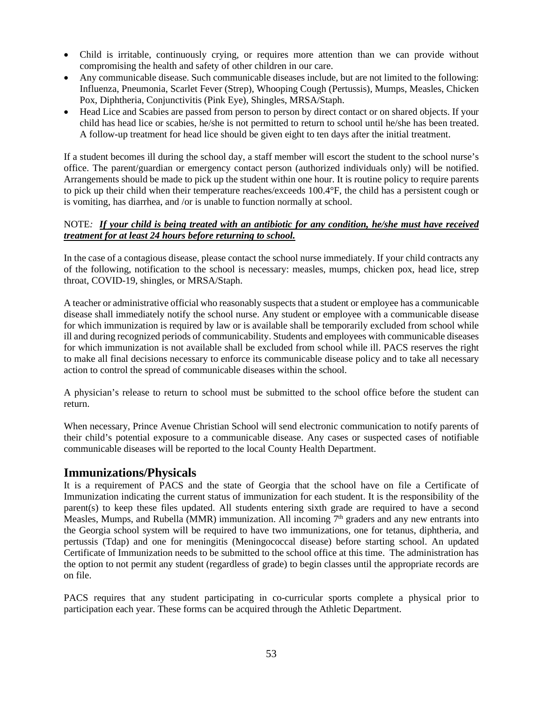- Child is irritable, continuously crying, or requires more attention than we can provide without compromising the health and safety of other children in our care.
- Any communicable disease. Such communicable diseases include, but are not limited to the following: Influenza, Pneumonia, Scarlet Fever (Strep), Whooping Cough (Pertussis), Mumps, Measles, Chicken Pox, Diphtheria, Conjunctivitis (Pink Eye), Shingles, MRSA/Staph.
- Head Lice and Scabies are passed from person to person by direct contact or on shared objects. If your child has head lice or scabies, he/she is not permitted to return to school until he/she has been treated. A follow-up treatment for head lice should be given eight to ten days after the initial treatment.

If a student becomes ill during the school day, a staff member will escort the student to the school nurse's office. The parent/guardian or emergency contact person (authorized individuals only) will be notified. Arrangements should be made to pick up the student within one hour. It is routine policy to require parents to pick up their child when their temperature reaches/exceeds 100.4°F, the child has a persistent cough or is vomiting, has diarrhea, and /or is unable to function normally at school.

#### NOTE*: If your child is being treated with an antibiotic for any condition, he/she must have received treatment for at least 24 hours before returning to school.*

In the case of a contagious disease, please contact the school nurse immediately. If your child contracts any of the following, notification to the school is necessary: measles, mumps, chicken pox, head lice, strep throat, COVID-19, shingles, or MRSA/Staph.

A teacher or administrative official who reasonably suspects that a student or employee has a communicable disease shall immediately notify the school nurse. Any student or employee with a communicable disease for which immunization is required by law or is available shall be temporarily excluded from school while ill and during recognized periods of communicability. Students and employees with communicable diseases for which immunization is not available shall be excluded from school while ill. PACS reserves the right to make all final decisions necessary to enforce its communicable disease policy and to take all necessary action to control the spread of communicable diseases within the school.

A physician's release to return to school must be submitted to the school office before the student can return.

When necessary, Prince Avenue Christian School will send electronic communication to notify parents of their child's potential exposure to a communicable disease. Any cases or suspected cases of notifiable communicable diseases will be reported to the local County Health Department.

### <span id="page-55-0"></span>**Immunizations/Physicals**

It is a requirement of PACS and the state of Georgia that the school have on file a Certificate of Immunization indicating the current status of immunization for each student. It is the responsibility of the parent(s) to keep these files updated. All students entering sixth grade are required to have a second Measles, Mumps, and Rubella (MMR) immunization. All incoming  $7<sup>th</sup>$  graders and any new entrants into the Georgia school system will be required to have two immunizations, one for tetanus, diphtheria, and pertussis (Tdap) and one for meningitis (Meningococcal disease) before starting school. An updated Certificate of Immunization needs to be submitted to the school office at this time. The administration has the option to not permit any student (regardless of grade) to begin classes until the appropriate records are on file.

PACS requires that any student participating in co-curricular sports complete a physical prior to participation each year. These forms can be acquired through the Athletic Department.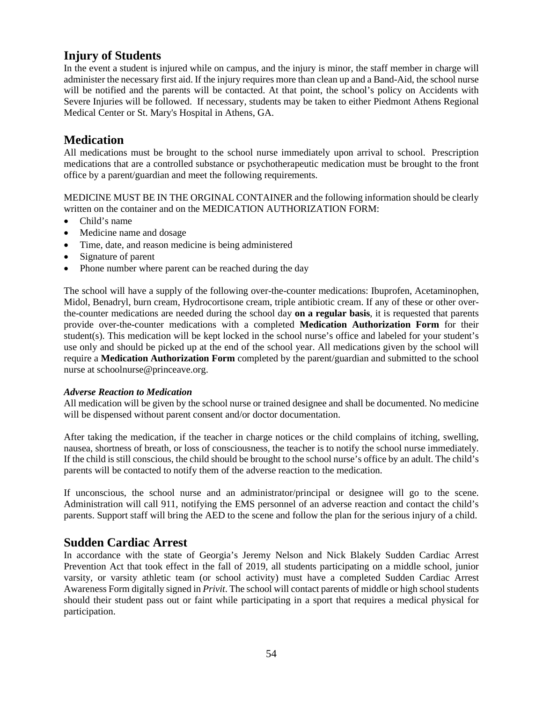## <span id="page-56-0"></span>**Injury of Students**

In the event a student is injured while on campus, and the injury is minor, the staff member in charge will administer the necessary first aid. If the injury requires more than clean up and a Band-Aid, the school nurse will be notified and the parents will be contacted. At that point, the school's policy on Accidents with Severe Injuries will be followed. If necessary, students may be taken to either Piedmont Athens Regional Medical Center or St. Mary's Hospital in Athens, GA.

## <span id="page-56-1"></span>**Medication**

All medications must be brought to the school nurse immediately upon arrival to school. Prescription medications that are a controlled substance or psychotherapeutic medication must be brought to the front office by a parent/guardian and meet the following requirements.

MEDICINE MUST BE IN THE ORGINAL CONTAINER and the following information should be clearly written on the container and on the MEDICATION AUTHORIZATION FORM:

- Child's name
- Medicine name and dosage
- Time, date, and reason medicine is being administered
- Signature of parent
- Phone number where parent can be reached during the day

The school will have a supply of the following over-the-counter medications: Ibuprofen, Acetaminophen, Midol, Benadryl, burn cream, Hydrocortisone cream, triple antibiotic cream. If any of these or other overthe-counter medications are needed during the school day **on a regular basis**, it is requested that parents provide over-the-counter medications with a completed **Medication Authorization Form** for their student(s). This medication will be kept locked in the school nurse's office and labeled for your student's use only and should be picked up at the end of the school year. All medications given by the school will require a **Medication Authorization Form** completed by the parent/guardian and submitted to the school nurse at [schoolnurse@princeave.org.](mailto:schoolnurse@princeave.org)

### *Adverse Reaction to Medication*

All medication will be given by the school nurse or trained designee and shall be documented. No medicine will be dispensed without parent consent and/or doctor documentation.

After taking the medication, if the teacher in charge notices or the child complains of itching, swelling, nausea, shortness of breath, or loss of consciousness, the teacher is to notify the school nurse immediately. If the child is still conscious, the child should be brought to the school nurse's office by an adult. The child's parents will be contacted to notify them of the adverse reaction to the medication.

If unconscious, the school nurse and an administrator/principal or designee will go to the scene. Administration will call 911, notifying the EMS personnel of an adverse reaction and contact the child's parents. Support staff will bring the AED to the scene and follow the plan for the serious injury of a child.

### <span id="page-56-2"></span>**Sudden Cardiac Arrest**

In accordance with the state of Georgia's Jeremy Nelson and Nick Blakely Sudden Cardiac Arrest Prevention Act that took effect in the fall of 2019, all students participating on a middle school, junior varsity, or varsity athletic team (or school activity) must have a completed Sudden Cardiac Arrest Awareness Form digitally signed in *Privit*. The school will contact parents of middle or high school students should their student pass out or faint while participating in a sport that requires a medical physical for participation.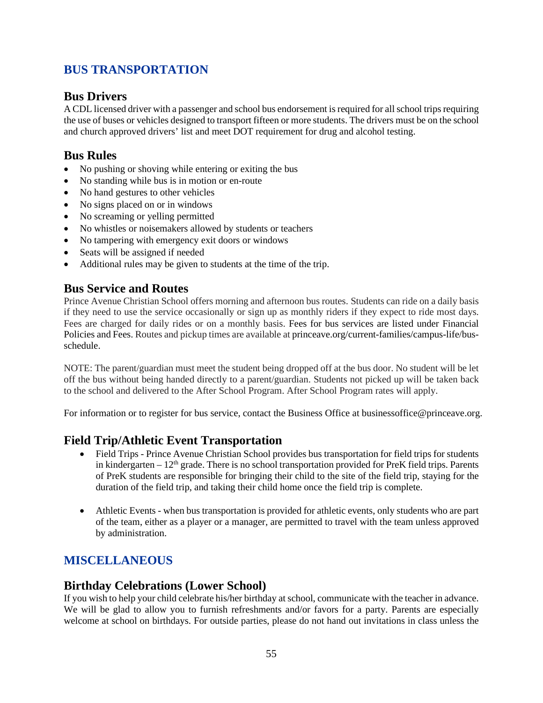## <span id="page-57-0"></span>**BUS TRANSPORTATION**

## <span id="page-57-1"></span>**Bus Drivers**

A CDL licensed driver with a passenger and school bus endorsement is required for all school trips requiring the use of buses or vehicles designed to transport fifteen or more students. The drivers must be on the school and church approved drivers' list and meet DOT requirement for drug and alcohol testing.

## <span id="page-57-2"></span>**Bus Rules**

- No pushing or shoving while entering or exiting the bus
- No standing while bus is in motion or en-route
- No hand gestures to other vehicles
- No signs placed on or in windows
- No screaming or yelling permitted
- No whistles or noisemakers allowed by students or teachers
- No tampering with emergency exit doors or windows
- Seats will be assigned if needed
- Additional rules may be given to students at the time of the trip.

### <span id="page-57-3"></span>**Bus Service and Routes**

Prince Avenue Christian School offers morning and afternoon bus routes. Students can ride on a daily basis if they need to use the service occasionally or sign up as monthly riders if they expect to ride most days. Fees are charged for daily rides or on a monthly basis. Fees for bus services are listed under Financial Policies and Fees. Routes and pickup times are available at princeave.org/current-families/campus-life/busschedule.

NOTE: The parent/guardian must meet the student being dropped off at the bus door. No student will be let off the bus without being handed directly to a parent/guardian. Students not picked up will be taken back to the school and delivered to the After School Program. After School Program rates will apply.

For information or to register for bus service, contact the Business Office at businessoffice@princeave.org.

### <span id="page-57-4"></span>**Field Trip/Athletic Event Transportation**

- Field Trips Prince Avenue Christian School provides bus transportation for field trips for students in kindergarten –  $12<sup>th</sup>$  grade. There is no school transportation provided for PreK field trips. Parents of PreK students are responsible for bringing their child to the site of the field trip, staying for the duration of the field trip, and taking their child home once the field trip is complete.
- Athletic Events when bus transportation is provided for athletic events, only students who are part of the team, either as a player or a manager, are permitted to travel with the team unless approved by administration.

## <span id="page-57-5"></span>**MISCELLANEOUS**

### <span id="page-57-6"></span>**Birthday Celebrations (Lower School)**

If you wish to help your child celebrate his/her birthday at school, communicate with the teacher in advance. We will be glad to allow you to furnish refreshments and/or favors for a party. Parents are especially welcome at school on birthdays. For outside parties, please do not hand out invitations in class unless the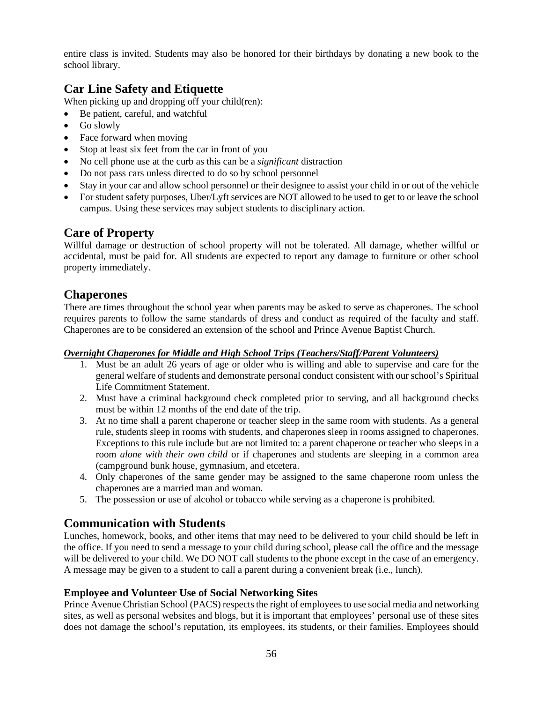entire class is invited. Students may also be honored for their birthdays by donating a new book to the school library.

## <span id="page-58-0"></span>**Car Line Safety and Etiquette**

When picking up and dropping off your child(ren):

- Be patient, careful, and watchful
- Go slowly
- Face forward when moving
- Stop at least six feet from the car in front of you
- No cell phone use at the curb as this can be a *significant* distraction
- Do not pass cars unless directed to do so by school personnel
- Stay in your car and allow school personnel or their designee to assist your child in or out of the vehicle
- For student safety purposes, Uber/Lyft services are NOT allowed to be used to get to or leave the school campus. Using these services may subject students to disciplinary action.

### <span id="page-58-1"></span>**Care of Property**

Willful damage or destruction of school property will not be tolerated. All damage, whether willful or accidental, must be paid for. All students are expected to report any damage to furniture or other school property immediately.

### <span id="page-58-2"></span>**Chaperones**

There are times throughout the school year when parents may be asked to serve as chaperones. The school requires parents to follow the same standards of dress and conduct as required of the faculty and staff. Chaperones are to be considered an extension of the school and Prince Avenue Baptist Church.

### *Overnight Chaperones for Middle and High School Trips (Teachers/Staff/Parent Volunteers)*

- 1. Must be an adult 26 years of age or older who is willing and able to supervise and care for the general welfare of students and demonstrate personal conduct consistent with our school's Spiritual Life Commitment Statement.
- 2. Must have a criminal background check completed prior to serving, and all background checks must be within 12 months of the end date of the trip.
- 3. At no time shall a parent chaperone or teacher sleep in the same room with students. As a general rule, students sleep in rooms with students, and chaperones sleep in rooms assigned to chaperones. Exceptions to this rule include but are not limited to: a parent chaperone or teacher who sleeps in a room *alone with their own child* or if chaperones and students are sleeping in a common area (campground bunk house, gymnasium, and etcetera.
- 4. Only chaperones of the same gender may be assigned to the same chaperone room unless the chaperones are a married man and woman.
- 5. The possession or use of alcohol or tobacco while serving as a chaperone is prohibited.

### <span id="page-58-3"></span>**Communication with Students**

Lunches, homework, books, and other items that may need to be delivered to your child should be left in the office. If you need to send a message to your child during school, please call the office and the message will be delivered to your child. We DO NOT call students to the phone except in the case of an emergency. A message may be given to a student to call a parent during a convenient break (i.e., lunch).

### **Employee and Volunteer Use of Social Networking Sites**

Prince Avenue Christian School (PACS) respects the right of employees to use social media and networking sites, as well as personal websites and blogs, but it is important that employees' personal use of these sites does not damage the school's reputation, its employees, its students, or their families. Employees should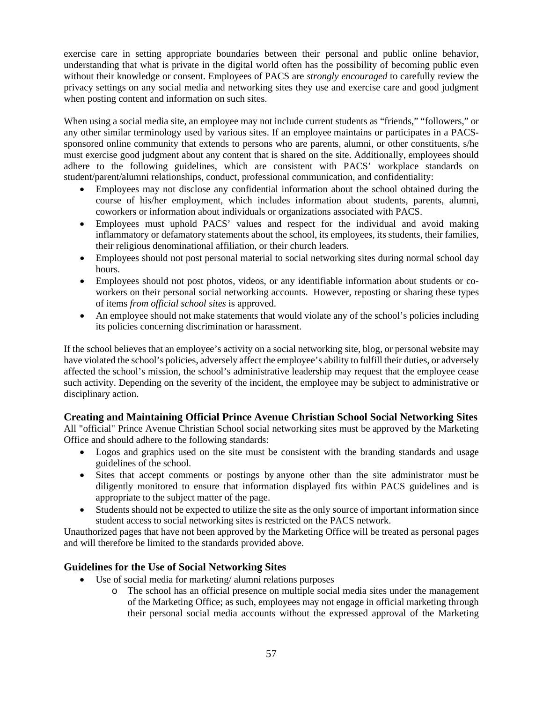exercise care in setting appropriate boundaries between their personal and public online behavior, understanding that what is private in the digital world often has the possibility of becoming public even without their knowledge or consent. Employees of PACS are *strongly encouraged* to carefully review the privacy settings on any social media and networking sites they use and exercise care and good judgment when posting content and information on such sites.

When using a social media site, an employee may not include current students as "friends," "followers," or any other similar terminology used by various sites. If an employee maintains or participates in a PACSsponsored online community that extends to persons who are parents, alumni, or other constituents, s/he must exercise good judgment about any content that is shared on the site. Additionally, employees should adhere to the following guidelines, which are consistent with PACS' workplace standards on student/parent/alumni relationships, conduct, professional communication, and confidentiality:

- Employees may not disclose any confidential information about the school obtained during the course of his/her employment, which includes information about students, parents, alumni, coworkers or information about individuals or organizations associated with PACS.
- Employees must uphold PACS' values and respect for the individual and avoid making inflammatory or defamatory statements about the school, its employees, its students, their families, their religious denominational affiliation, or their church leaders.
- Employees should not post personal material to social networking sites during normal school day hours.
- Employees should not post photos, videos, or any identifiable information about students or coworkers on their personal social networking accounts. However, reposting or sharing these types of items *from official school sites* is approved.
- An employee should not make statements that would violate any of the school's policies including its policies concerning discrimination or harassment.

If the school believes that an employee's activity on a social networking site, blog, or personal website may have violated the school's policies, adversely affect the employee's ability to fulfill their duties, or adversely affected the school's mission, the school's administrative leadership may request that the employee cease such activity. Depending on the severity of the incident, the employee may be subject to administrative or disciplinary action.

### <span id="page-59-0"></span>**Creating and Maintaining Official Prince Avenue Christian School Social Networking Sites**

All "official" Prince Avenue Christian School social networking sites must be approved by the Marketing Office and should adhere to the following standards:

- Logos and graphics used on the site must be consistent with the branding standards and usage guidelines of the school.
- Sites that accept comments or postings by anyone other than the site administrator must be diligently monitored to ensure that information displayed fits within PACS guidelines and is appropriate to the subject matter of the page.
- Students should not be expected to utilize the site as the only source of important information since student access to social networking sites is restricted on the PACS network.

Unauthorized pages that have not been approved by the Marketing Office will be treated as personal pages and will therefore be limited to the standards provided above.

### <span id="page-59-1"></span>**Guidelines for the Use of Social Networking Sites**

- Use of social media for marketing/ alumni relations purposes
	- o The school has an official presence on multiple social media sites under the management of the Marketing Office; as such, employees may not engage in official marketing through their personal social media accounts without the expressed approval of the Marketing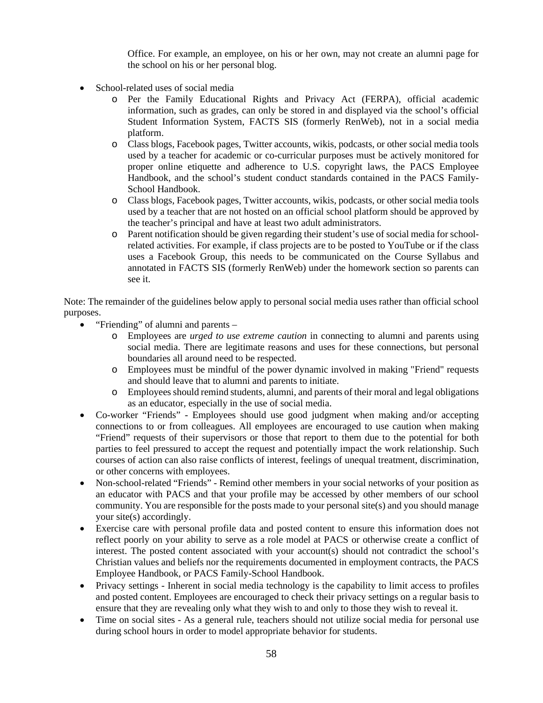Office. For example, an employee, on his or her own, may not create an alumni page for the school on his or her personal blog.

- School-related uses of social media
	- o Per the Family Educational Rights and Privacy Act (FERPA), official academic information, such as grades, can only be stored in and displayed via the school's official Student Information System, FACTS SIS (formerly RenWeb), not in a social media platform.
	- o Class blogs, Facebook pages, Twitter accounts, wikis, podcasts, or other social media tools used by a teacher for academic or co-curricular purposes must be actively monitored for proper online etiquette and adherence to U.S. copyright laws, the PACS Employee Handbook, and the school's student conduct standards contained in the PACS Family-School Handbook.
	- o Class blogs, Facebook pages, Twitter accounts, wikis, podcasts, or other social media tools used by a teacher that are not hosted on an official school platform should be approved by the teacher's principal and have at least two adult administrators.
	- o Parent notification should be given regarding their student's use of social media for schoolrelated activities. For example, if class projects are to be posted to YouTube or if the class uses a Facebook Group, this needs to be communicated on the Course Syllabus and annotated in FACTS SIS (formerly RenWeb) under the homework section so parents can see it.

Note: The remainder of the guidelines below apply to personal social media uses rather than official school purposes.

- "Friending" of alumni and parents
	- o Employees are *urged to use extreme caution* in connecting to alumni and parents using social media. There are legitimate reasons and uses for these connections, but personal boundaries all around need to be respected.
	- o Employees must be mindful of the power dynamic involved in making "Friend" requests and should leave that to alumni and parents to initiate.
	- o Employees should remind students, alumni, and parents of their moral and legal obligations as an educator, especially in the use of social media.
- Co-worker "Friends" Employees should use good judgment when making and/or accepting connections to or from colleagues. All employees are encouraged to use caution when making "Friend" requests of their supervisors or those that report to them due to the potential for both parties to feel pressured to accept the request and potentially impact the work relationship. Such courses of action can also raise conflicts of interest, feelings of unequal treatment, discrimination, or other concerns with employees.
- Non-school-related "Friends" Remind other members in your social networks of your position as an educator with PACS and that your profile may be accessed by other members of our school community. You are responsible for the posts made to your personal site(s) and you should manage your site(s) accordingly.
- Exercise care with personal profile data and posted content to ensure this information does not reflect poorly on your ability to serve as a role model at PACS or otherwise create a conflict of interest. The posted content associated with your account(s) should not contradict the school's Christian values and beliefs nor the requirements documented in employment contracts, the PACS Employee Handbook, or PACS Family-School Handbook.
- Privacy settings Inherent in social media technology is the capability to limit access to profiles and posted content. Employees are encouraged to check their privacy settings on a regular basis to ensure that they are revealing only what they wish to and only to those they wish to reveal it.
- Time on social sites As a general rule, teachers should not utilize social media for personal use during school hours in order to model appropriate behavior for students.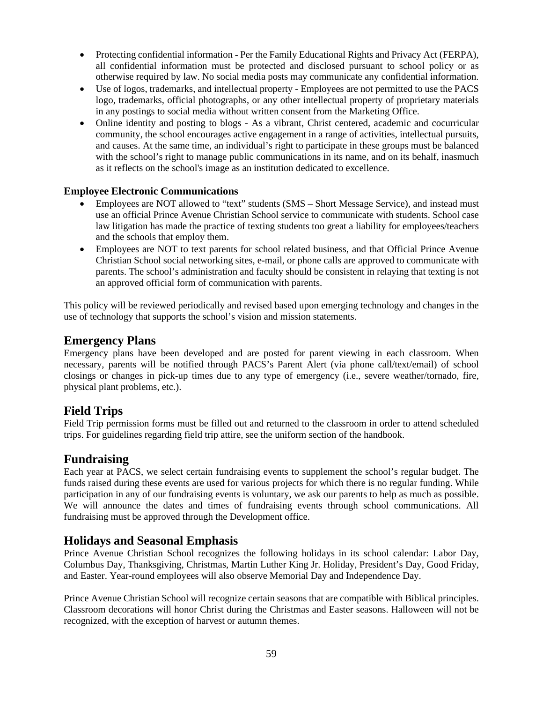- Protecting confidential information Per the Family Educational Rights and Privacy Act (FERPA), all confidential information must be protected and disclosed pursuant to school policy or as otherwise required by law. No social media posts may communicate any confidential information.
- Use of logos, trademarks, and intellectual property Employees are not permitted to use the PACS logo, trademarks, official photographs, or any other intellectual property of proprietary materials in any postings to social media without written consent from the Marketing Office.
- Online identity and posting to blogs As a vibrant, Christ centered, academic and cocurricular community, the school encourages active engagement in a range of activities, intellectual pursuits, and causes. At the same time, an individual's right to participate in these groups must be balanced with the school's right to manage public communications in its name, and on its behalf, inasmuch as it reflects on the school's image as an institution dedicated to excellence.

### **Employee Electronic Communications**

- Employees are NOT allowed to "text" students (SMS Short Message Service), and instead must use an official Prince Avenue Christian School service to communicate with students. School case law litigation has made the practice of texting students too great a liability for employees/teachers and the schools that employ them.
- Employees are NOT to text parents for school related business, and that Official Prince Avenue Christian School social networking sites, e-mail, or phone calls are approved to communicate with parents. The school's administration and faculty should be consistent in relaying that texting is not an approved official form of communication with parents.

This policy will be reviewed periodically and revised based upon emerging technology and changes in the use of technology that supports the school's vision and mission statements.

### <span id="page-61-0"></span>**Emergency Plans**

Emergency plans have been developed and are posted for parent viewing in each classroom. When necessary, parents will be notified through PACS's Parent Alert (via phone call/text/email) of school closings or changes in pick-up times due to any type of emergency (i.e., severe weather/tornado, fire, physical plant problems, etc.).

### <span id="page-61-1"></span>**Field Trips**

Field Trip permission forms must be filled out and returned to the classroom in order to attend scheduled trips. For guidelines regarding field trip attire, see the uniform section of the handbook.

### <span id="page-61-2"></span>**Fundraising**

Each year at PACS, we select certain fundraising events to supplement the school's regular budget. The funds raised during these events are used for various projects for which there is no regular funding. While participation in any of our fundraising events is voluntary, we ask our parents to help as much as possible. We will announce the dates and times of fundraising events through school communications. All fundraising must be approved through the Development office.

### <span id="page-61-3"></span>**Holidays and Seasonal Emphasis**

Prince Avenue Christian School recognizes the following holidays in its school calendar: Labor Day, Columbus Day, Thanksgiving, Christmas, Martin Luther King Jr. Holiday, President's Day, Good Friday, and Easter. Year-round employees will also observe Memorial Day and Independence Day.

Prince Avenue Christian School will recognize certain seasons that are compatible with Biblical principles. Classroom decorations will honor Christ during the Christmas and Easter seasons. Halloween will not be recognized, with the exception of harvest or autumn themes.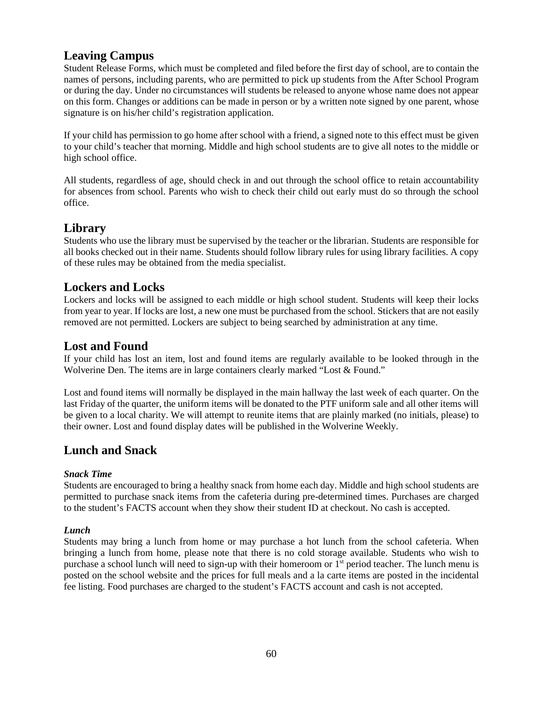## <span id="page-62-0"></span>**Leaving Campus**

Student Release Forms, which must be completed and filed before the first day of school, are to contain the names of persons, including parents, who are permitted to pick up students from the After School Program or during the day. Under no circumstances will students be released to anyone whose name does not appear on this form. Changes or additions can be made in person or by a written note signed by one parent, whose signature is on his/her child's registration application.

If your child has permission to go home after school with a friend, a signed note to this effect must be given to your child's teacher that morning. Middle and high school students are to give all notes to the middle or high school office.

All students, regardless of age, should check in and out through the school office to retain accountability for absences from school. Parents who wish to check their child out early must do so through the school office.

### <span id="page-62-1"></span>**Library**

Students who use the library must be supervised by the teacher or the librarian. Students are responsible for all books checked out in their name. Students should follow library rules for using library facilities. A copy of these rules may be obtained from the media specialist.

### <span id="page-62-2"></span>**Lockers and Locks**

Lockers and locks will be assigned to each middle or high school student. Students will keep their locks from year to year. If locks are lost, a new one must be purchased from the school. Stickers that are not easily removed are not permitted. Lockers are subject to being searched by administration at any time.

## <span id="page-62-3"></span>**Lost and Found**

If your child has lost an item, lost and found items are regularly available to be looked through in the Wolverine Den. The items are in large containers clearly marked "Lost & Found."

Lost and found items will normally be displayed in the main hallway the last week of each quarter. On the last Friday of the quarter, the uniform items will be donated to the PTF uniform sale and all other items will be given to a local charity. We will attempt to reunite items that are plainly marked (no initials, please) to their owner. Lost and found display dates will be published in the Wolverine Weekly.

## <span id="page-62-4"></span>**Lunch and Snack**

### *Snack Time*

Students are encouraged to bring a healthy snack from home each day. Middle and high school students are permitted to purchase snack items from the cafeteria during pre-determined times. Purchases are charged to the student's FACTS account when they show their student ID at checkout. No cash is accepted.

### *Lunch*

Students may bring a lunch from home or may purchase a hot lunch from the school cafeteria. When bringing a lunch from home, please note that there is no cold storage available. Students who wish to purchase a school lunch will need to sign-up with their homeroom or 1st period teacher. The lunch menu is posted on the school website and the prices for full meals and a la carte items are posted in the incidental fee listing. Food purchases are charged to the student's FACTS account and cash is not accepted.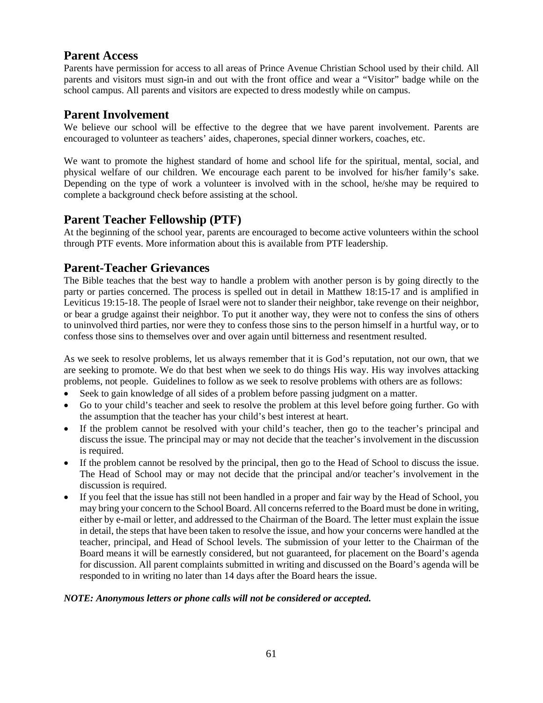## <span id="page-63-0"></span>**Parent Access**

Parents have permission for access to all areas of Prince Avenue Christian School used by their child. All parents and visitors must sign-in and out with the front office and wear a "Visitor" badge while on the school campus. All parents and visitors are expected to dress modestly while on campus.

### <span id="page-63-1"></span>**Parent Involvement**

We believe our school will be effective to the degree that we have parent involvement. Parents are encouraged to volunteer as teachers' aides, chaperones, special dinner workers, coaches, etc.

We want to promote the highest standard of home and school life for the spiritual, mental, social, and physical welfare of our children. We encourage each parent to be involved for his/her family's sake. Depending on the type of work a volunteer is involved with in the school, he/she may be required to complete a background check before assisting at the school.

### <span id="page-63-2"></span>**Parent Teacher Fellowship (PTF)**

At the beginning of the school year, parents are encouraged to become active volunteers within the school through PTF events. More information about this is available from PTF leadership.

## <span id="page-63-3"></span>**Parent-Teacher Grievances**

The Bible teaches that the best way to handle a problem with another person is by going directly to the party or parties concerned. The process is spelled out in detail in Matthew 18:15-17 and is amplified in Leviticus 19:15-18. The people of Israel were not to slander their neighbor, take revenge on their neighbor, or bear a grudge against their neighbor. To put it another way, they were not to confess the sins of others to uninvolved third parties, nor were they to confess those sins to the person himself in a hurtful way, or to confess those sins to themselves over and over again until bitterness and resentment resulted.

As we seek to resolve problems, let us always remember that it is God's reputation, not our own, that we are seeking to promote. We do that best when we seek to do things His way. His way involves attacking problems, not people. Guidelines to follow as we seek to resolve problems with others are as follows:

- Seek to gain knowledge of all sides of a problem before passing judgment on a matter.
- Go to your child's teacher and seek to resolve the problem at this level before going further. Go with the assumption that the teacher has your child's best interest at heart.
- If the problem cannot be resolved with your child's teacher, then go to the teacher's principal and discuss the issue. The principal may or may not decide that the teacher's involvement in the discussion is required.
- If the problem cannot be resolved by the principal, then go to the Head of School to discuss the issue. The Head of School may or may not decide that the principal and/or teacher's involvement in the discussion is required.
- If you feel that the issue has still not been handled in a proper and fair way by the Head of School, you may bring your concern to the School Board. All concerns referred to the Board must be done in writing, either by e-mail or letter, and addressed to the Chairman of the Board. The letter must explain the issue in detail, the steps that have been taken to resolve the issue, and how your concerns were handled at the teacher, principal, and Head of School levels. The submission of your letter to the Chairman of the Board means it will be earnestly considered, but not guaranteed, for placement on the Board's agenda for discussion. All parent complaints submitted in writing and discussed on the Board's agenda will be responded to in writing no later than 14 days after the Board hears the issue.

### *NOTE: Anonymous letters or phone calls will not be considered or accepted.*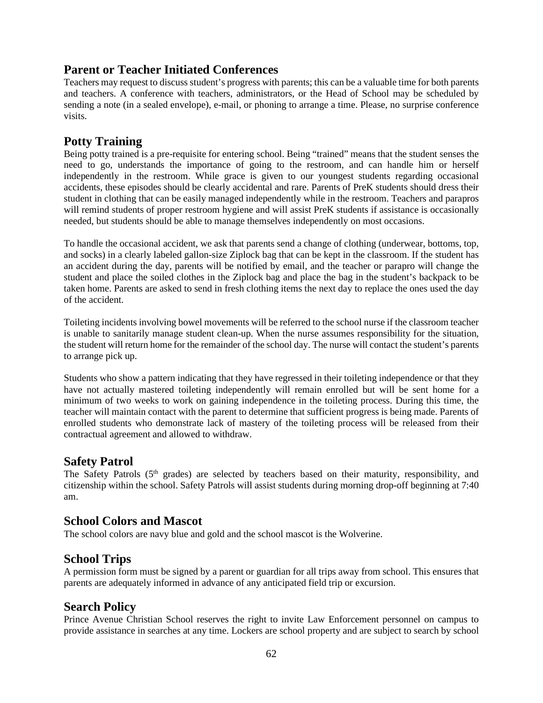### <span id="page-64-0"></span>**Parent or Teacher Initiated Conferences**

Teachers may request to discuss student's progress with parents; this can be a valuable time for both parents and teachers. A conference with teachers, administrators, or the Head of School may be scheduled by sending a note (in a sealed envelope), e-mail, or phoning to arrange a time. Please, no surprise conference visits.

## <span id="page-64-1"></span>**Potty Training**

Being potty trained is a pre-requisite for entering school. Being "trained" means that the student senses the need to go, understands the importance of going to the restroom, and can handle him or herself independently in the restroom. While grace is given to our youngest students regarding occasional accidents, these episodes should be clearly accidental and rare. Parents of PreK students should dress their student in clothing that can be easily managed independently while in the restroom. Teachers and parapros will remind students of proper restroom hygiene and will assist PreK students if assistance is occasionally needed, but students should be able to manage themselves independently on most occasions.

To handle the occasional accident, we ask that parents send a change of clothing (underwear, bottoms, top, and socks) in a clearly labeled gallon-size Ziplock bag that can be kept in the classroom. If the student has an accident during the day, parents will be notified by email, and the teacher or parapro will change the student and place the soiled clothes in the Ziplock bag and place the bag in the student's backpack to be taken home. Parents are asked to send in fresh clothing items the next day to replace the ones used the day of the accident.

Toileting incidents involving bowel movements will be referred to the school nurse if the classroom teacher is unable to sanitarily manage student clean-up. When the nurse assumes responsibility for the situation, the student will return home for the remainder of the school day. The nurse will contact the student's parents to arrange pick up.

Students who show a pattern indicating that they have regressed in their toileting independence or that they have not actually mastered toileting independently will remain enrolled but will be sent home for a minimum of two weeks to work on gaining independence in the toileting process. During this time, the teacher will maintain contact with the parent to determine that sufficient progress is being made. Parents of enrolled students who demonstrate lack of mastery of the toileting process will be released from their contractual agreement and allowed to withdraw.

### <span id="page-64-2"></span>**Safety Patrol**

The Safety Patrols  $(5<sup>th</sup>$  grades) are selected by teachers based on their maturity, responsibility, and citizenship within the school. Safety Patrols will assist students during morning drop-off beginning at 7:40 am.

## <span id="page-64-3"></span>**School Colors and Mascot**

The school colors are navy blue and gold and the school mascot is the Wolverine.

### <span id="page-64-4"></span>**School Trips**

A permission form must be signed by a parent or guardian for all trips away from school. This ensures that parents are adequately informed in advance of any anticipated field trip or excursion.

### <span id="page-64-5"></span>**Search Policy**

Prince Avenue Christian School reserves the right to invite Law Enforcement personnel on campus to provide assistance in searches at any time. Lockers are school property and are subject to search by school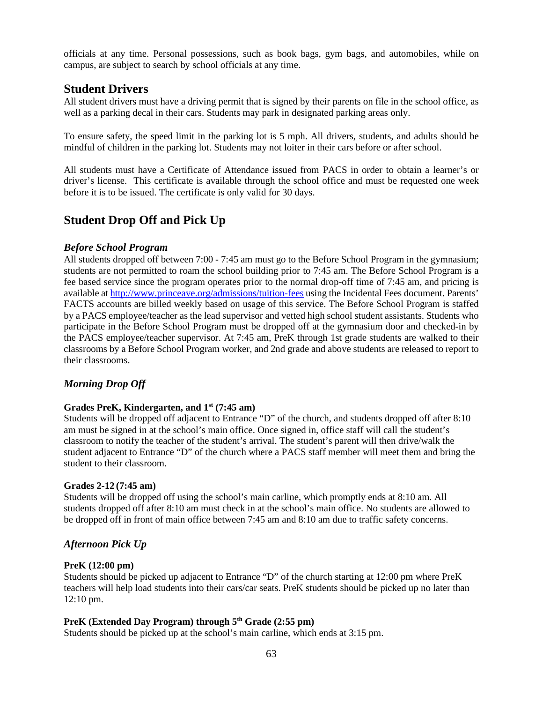officials at any time. Personal possessions, such as book bags, gym bags, and automobiles, while on campus, are subject to search by school officials at any time.

### <span id="page-65-0"></span>**Student Drivers**

All student drivers must have a driving permit that is signed by their parents on file in the school office, as well as a parking decal in their cars. Students may park in designated parking areas only.

To ensure safety, the speed limit in the parking lot is 5 mph. All drivers, students, and adults should be mindful of children in the parking lot. Students may not loiter in their cars before or after school.

All students must have a Certificate of Attendance issued from PACS in order to obtain a learner's or driver's license. This certificate is available through the school office and must be requested one week before it is to be issued. The certificate is only valid for 30 days.

### <span id="page-65-1"></span>**Student Drop Off and Pick Up**

#### *Before School Program*

All students dropped off between 7:00 - 7:45 am must go to the Before School Program in the gymnasium; students are not permitted to roam the school building prior to 7:45 am. The Before School Program is a fee based service since the program operates prior to the normal drop-off time of 7:45 am, and pricing is available at<http://www.princeave.org/admissions/tuition-fees> using the Incidental Fees document. Parents' FACTS accounts are billed weekly based on usage of this service. The Before School Program is staffed by a PACS employee/teacher as the lead supervisor and vetted high school student assistants. Students who participate in the Before School Program must be dropped off at the gymnasium door and checked-in by the PACS employee/teacher supervisor. At 7:45 am, PreK through 1st grade students are walked to their classrooms by a Before School Program worker, and 2nd grade and above students are released to report to their classrooms.

### *Morning Drop Off*

#### **Grades PreK, Kindergarten, and 1st (7:45 am)**

Students will be dropped off adjacent to Entrance "D" of the church, and students dropped off after 8:10 am must be signed in at the school's main office. Once signed in, office staff will call the student's classroom to notify the teacher of the student's arrival. The student's parent will then drive/walk the student adjacent to Entrance "D" of the church where a PACS staff member will meet them and bring the student to their classroom.

#### **Grades 2-12 (7:45 am)**

Students will be dropped off using the school's main carline, which promptly ends at 8:10 am. All students dropped off after 8:10 am must check in at the school's main office. No students are allowed to be dropped off in front of main office between 7:45 am and 8:10 am due to traffic safety concerns.

### *Afternoon Pick Up*

#### **PreK (12:00 pm)**

Students should be picked up adjacent to Entrance "D" of the church starting at 12:00 pm where PreK teachers will help load students into their cars/car seats. PreK students should be picked up no later than 12:10 pm.

### **PreK (Extended Day Program) through 5th Grade (2:55 pm)**

Students should be picked up at the school's main carline, which ends at 3:15 pm.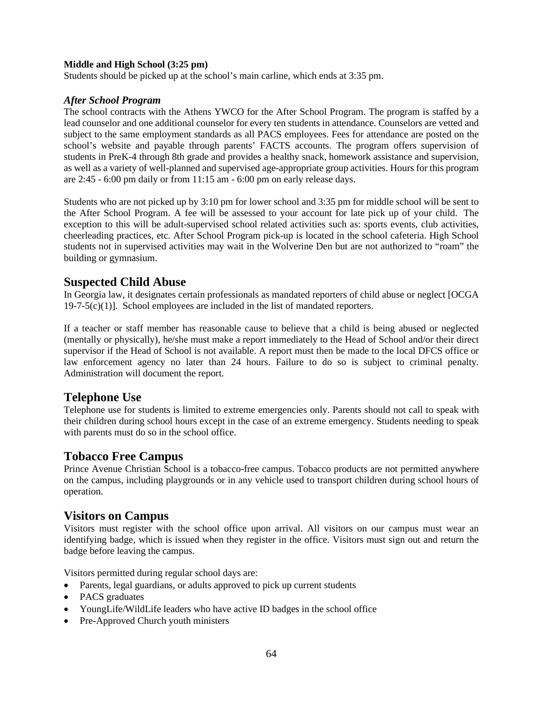#### **Middle and High School (3:25 pm)**

Students should be picked up at the school's main carline, which ends at 3:35 pm.

#### *After School Program*

The school contracts with the Athens YWCO for the After School Program. The program is staffed by a lead counselor and one additional counselor for every ten students in attendance. Counselors are vetted and subject to the same employment standards as all PACS employees. Fees for attendance are posted on the school's website and payable through parents' FACTS accounts. The program offers supervision of students in PreK-4 through 8th grade and provides a healthy snack, homework assistance and supervision, as well as a variety of well-planned and supervised age-appropriate group activities. Hours for this program are 2:45 - 6:00 pm daily or from 11:15 am - 6:00 pm on early release days.

Students who are not picked up by 3:10 pm for lower school and 3:35 pm for middle school will be sent to the After School Program. A fee will be assessed to your account for late pick up of your child. The exception to this will be adult-supervised school related activities such as: sports events, club activities, cheerleading practices, etc. After School Program pick-up is located in the school cafeteria. High School students not in supervised activities may wait in the Wolverine Den but are not authorized to "roam" the building or gymnasium.

### <span id="page-66-0"></span>**Suspected Child Abuse**

In Georgia law, it designates certain professionals as mandated reporters of child abuse or neglect [OCGA  $19-7-5(c)(1)$ ]. School employees are included in the list of mandated reporters.

If a teacher or staff member has reasonable cause to believe that a child is being abused or neglected (mentally or physically), he/she must make a report immediately to the Head of School and/or their direct supervisor if the Head of School is not available. A report must then be made to the local DFCS office or law enforcement agency no later than 24 hours. Failure to do so is subject to criminal penalty. Administration will document the report.

### <span id="page-66-1"></span>**Telephone Use**

Telephone use for students is limited to extreme emergencies only. Parents should not call to speak with their children during school hours except in the case of an extreme emergency. Students needing to speak with parents must do so in the school office.

### <span id="page-66-2"></span>**Tobacco Free Campus**

Prince Avenue Christian School is a tobacco-free campus. Tobacco products are not permitted anywhere on the campus, including playgrounds or in any vehicle used to transport children during school hours of operation.

### <span id="page-66-3"></span>**Visitors on Campus**

Visitors must register with the school office upon arrival. All visitors on our campus must wear an identifying badge, which is issued when they register in the office. Visitors must sign out and return the badge before leaving the campus.

Visitors permitted during regular school days are:

- Parents, legal guardians, or adults approved to pick up current students
- PACS graduates
- YoungLife/WildLife leaders who have active ID badges in the school office
- Pre-Approved Church youth ministers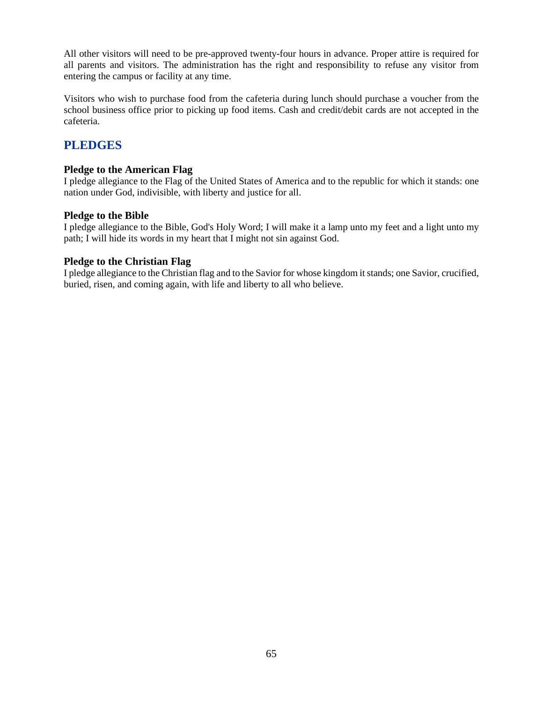All other visitors will need to be pre-approved twenty-four hours in advance. Proper attire is required for all parents and visitors. The administration has the right and responsibility to refuse any visitor from entering the campus or facility at any time.

Visitors who wish to purchase food from the cafeteria during lunch should purchase a voucher from the school business office prior to picking up food items. Cash and credit/debit cards are not accepted in the cafeteria.

## <span id="page-67-0"></span>**PLEDGES**

### **Pledge to the American Flag**

I pledge allegiance to the Flag of the United States of America and to the republic for which it stands: one nation under God, indivisible, with liberty and justice for all.

### **Pledge to the Bible**

I pledge allegiance to the Bible, God's Holy Word; I will make it a lamp unto my feet and a light unto my path; I will hide its words in my heart that I might not sin against God.

#### **Pledge to the Christian Flag**

I pledge allegiance to the Christian flag and to the Savior for whose kingdom it stands; one Savior, crucified, buried, risen, and coming again, with life and liberty to all who believe.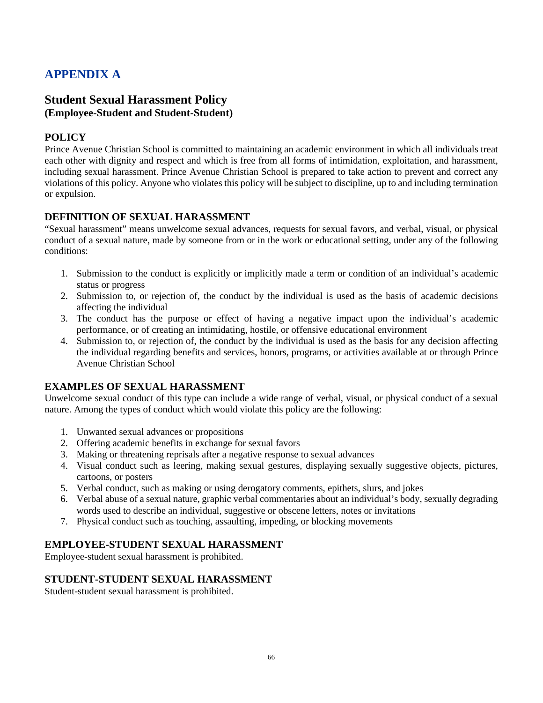## <span id="page-68-0"></span>**APPENDIX A**

### <span id="page-68-1"></span>**Student Sexual Harassment Policy (Employee-Student and Student-Student)**

### **POLICY**

Prince Avenue Christian School is committed to maintaining an academic environment in which all individuals treat each other with dignity and respect and which is free from all forms of intimidation, exploitation, and harassment, including sexual harassment. Prince Avenue Christian School is prepared to take action to prevent and correct any violations of this policy. Anyone who violates this policy will be subject to discipline, up to and including termination or expulsion.

### **DEFINITION OF SEXUAL HARASSMENT**

"Sexual harassment" means unwelcome sexual advances, requests for sexual favors, and verbal, visual, or physical conduct of a sexual nature, made by someone from or in the work or educational setting, under any of the following conditions:

- 1. Submission to the conduct is explicitly or implicitly made a term or condition of an individual's academic status or progress
- 2. Submission to, or rejection of, the conduct by the individual is used as the basis of academic decisions affecting the individual
- 3. The conduct has the purpose or effect of having a negative impact upon the individual's academic performance, or of creating an intimidating, hostile, or offensive educational environment
- 4. Submission to, or rejection of, the conduct by the individual is used as the basis for any decision affecting the individual regarding benefits and services, honors, programs, or activities available at or through Prince Avenue Christian School

### **EXAMPLES OF SEXUAL HARASSMENT**

Unwelcome sexual conduct of this type can include a wide range of verbal, visual, or physical conduct of a sexual nature. Among the types of conduct which would violate this policy are the following:

- 1. Unwanted sexual advances or propositions
- 2. Offering academic benefits in exchange for sexual favors
- 3. Making or threatening reprisals after a negative response to sexual advances
- 4. Visual conduct such as leering, making sexual gestures, displaying sexually suggestive objects, pictures, cartoons, or posters
- 5. Verbal conduct, such as making or using derogatory comments, epithets, slurs, and jokes
- 6. Verbal abuse of a sexual nature, graphic verbal commentaries about an individual's body, sexually degrading words used to describe an individual, suggestive or obscene letters, notes or invitations
- 7. Physical conduct such as touching, assaulting, impeding, or blocking movements

### **EMPLOYEE-STUDENT SEXUAL HARASSMENT**

Employee-student sexual harassment is prohibited.

### **STUDENT-STUDENT SEXUAL HARASSMENT**

Student-student sexual harassment is prohibited.